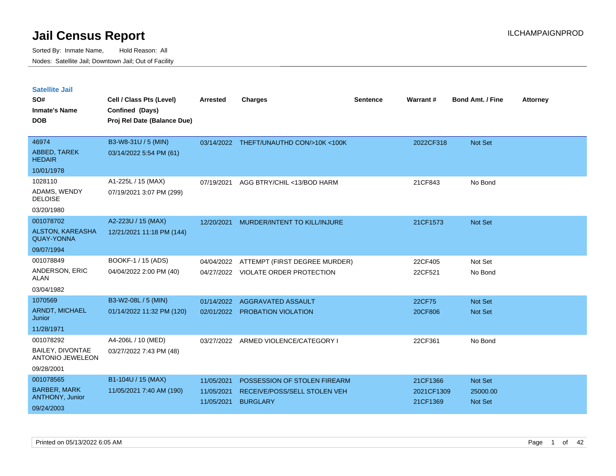| <b>Satellite Jail</b>                        |                             |            |                                        |          |                 |                         |                 |
|----------------------------------------------|-----------------------------|------------|----------------------------------------|----------|-----------------|-------------------------|-----------------|
| SO#                                          | Cell / Class Pts (Level)    | Arrested   | <b>Charges</b>                         | Sentence | <b>Warrant#</b> | <b>Bond Amt. / Fine</b> | <b>Attorney</b> |
| Inmate's Name                                | Confined (Days)             |            |                                        |          |                 |                         |                 |
| <b>DOB</b>                                   | Proj Rel Date (Balance Due) |            |                                        |          |                 |                         |                 |
|                                              |                             |            |                                        |          |                 |                         |                 |
| 46974                                        | B3-W8-31U / 5 (MIN)         |            | 03/14/2022 THEFT/UNAUTHD CON/>10K<100K |          | 2022CF318       | <b>Not Set</b>          |                 |
| <b>ABBED, TAREK</b><br><b>HEDAIR</b>         | 03/14/2022 5:54 PM (61)     |            |                                        |          |                 |                         |                 |
| 10/01/1978                                   |                             |            |                                        |          |                 |                         |                 |
| 1028110                                      | A1-225L / 15 (MAX)          | 07/19/2021 | AGG BTRY/CHIL <13/BOD HARM             |          | 21CF843         | No Bond                 |                 |
| ADAMS, WENDY<br><b>DELOISE</b>               | 07/19/2021 3:07 PM (299)    |            |                                        |          |                 |                         |                 |
| 03/20/1980                                   |                             |            |                                        |          |                 |                         |                 |
| 001078702                                    | A2-223U / 15 (MAX)          | 12/20/2021 | MURDER/INTENT TO KILL/INJURE           |          | 21CF1573        | <b>Not Set</b>          |                 |
| <b>ALSTON, KAREASHA</b><br><b>QUAY-YONNA</b> | 12/21/2021 11:18 PM (144)   |            |                                        |          |                 |                         |                 |
| 09/07/1994                                   |                             |            |                                        |          |                 |                         |                 |
| 001078849                                    | BOOKF-1 / 15 (ADS)          | 04/04/2022 | ATTEMPT (FIRST DEGREE MURDER)          |          | 22CF405         | Not Set                 |                 |
| ANDERSON, ERIC<br>ALAN                       | 04/04/2022 2:00 PM (40)     |            | 04/27/2022 VIOLATE ORDER PROTECTION    |          | 22CF521         | No Bond                 |                 |
| 03/04/1982                                   |                             |            |                                        |          |                 |                         |                 |
| 1070569                                      | B3-W2-08L / 5 (MIN)         | 01/14/2022 | AGGRAVATED ASSAULT                     |          | 22CF75          | <b>Not Set</b>          |                 |
| <b>ARNDT, MICHAEL</b><br>Junior              | 01/14/2022 11:32 PM (120)   |            | 02/01/2022 PROBATION VIOLATION         |          | 20CF806         | <b>Not Set</b>          |                 |
| 11/28/1971                                   |                             |            |                                        |          |                 |                         |                 |
| 001078292                                    | A4-206L / 10 (MED)          | 03/27/2022 | ARMED VIOLENCE/CATEGORY I              |          | 22CF361         | No Bond                 |                 |
| BAILEY, DIVONTAE<br><b>ANTONIO JEWELEON</b>  | 03/27/2022 7:43 PM (48)     |            |                                        |          |                 |                         |                 |
| 09/28/2001                                   |                             |            |                                        |          |                 |                         |                 |
| 001078565                                    | B1-104U / 15 (MAX)          | 11/05/2021 | POSSESSION OF STOLEN FIREARM           |          | 21CF1366        | <b>Not Set</b>          |                 |
| <b>BARBER, MARK</b>                          | 11/05/2021 7:40 AM (190)    | 11/05/2021 | RECEIVE/POSS/SELL STOLEN VEH           |          | 2021CF1309      | 25000.00                |                 |
| <b>ANTHONY, Junior</b>                       |                             | 11/05/2021 | <b>BURGLARY</b>                        |          | 21CF1369        | <b>Not Set</b>          |                 |
| 09/24/2003                                   |                             |            |                                        |          |                 |                         |                 |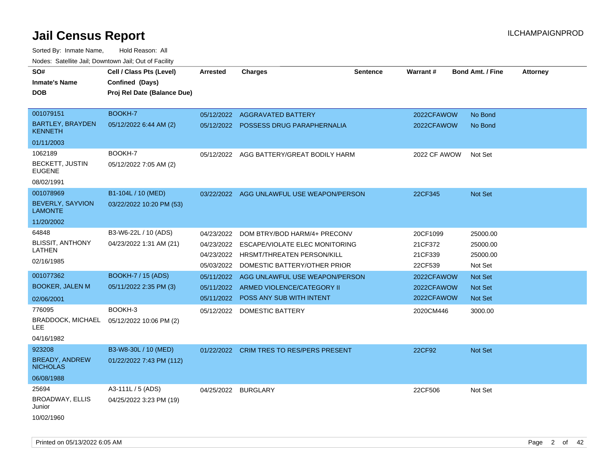| SO#<br><b>Inmate's Name</b><br><b>DOB</b> | Cell / Class Pts (Level)<br>Confined (Days)<br>Proj Rel Date (Balance Due) | <b>Arrested</b> | <b>Charges</b>                            | <b>Sentence</b> | Warrant#                 | <b>Bond Amt. / Fine</b><br><b>Attorney</b> |
|-------------------------------------------|----------------------------------------------------------------------------|-----------------|-------------------------------------------|-----------------|--------------------------|--------------------------------------------|
| 001079151                                 | BOOKH-7                                                                    |                 | 05/12/2022 AGGRAVATED BATTERY             |                 |                          | No Bond                                    |
| <b>BARTLEY, BRAYDEN</b><br><b>KENNETH</b> | 05/12/2022 6:44 AM (2)                                                     |                 | 05/12/2022 POSSESS DRUG PARAPHERNALIA     |                 | 2022CFAWOW<br>2022CFAWOW | No Bond                                    |
| 01/11/2003                                |                                                                            |                 |                                           |                 |                          |                                            |
| 1062189                                   | BOOKH-7                                                                    | 05/12/2022      | AGG BATTERY/GREAT BODILY HARM             |                 | 2022 CF AWOW             | Not Set                                    |
| <b>BECKETT, JUSTIN</b><br><b>EUGENE</b>   | 05/12/2022 7:05 AM (2)                                                     |                 |                                           |                 |                          |                                            |
| 08/02/1991                                |                                                                            |                 |                                           |                 |                          |                                            |
| 001078969                                 | B1-104L / 10 (MED)                                                         | 03/22/2022      | AGG UNLAWFUL USE WEAPON/PERSON            |                 | 22CF345                  | Not Set                                    |
| <b>BEVERLY, SAYVION</b><br><b>LAMONTE</b> | 03/22/2022 10:20 PM (53)                                                   |                 |                                           |                 |                          |                                            |
| 11/20/2002                                |                                                                            |                 |                                           |                 |                          |                                            |
| 64848                                     | B3-W6-22L / 10 (ADS)                                                       | 04/23/2022      | DOM BTRY/BOD HARM/4+ PRECONV              |                 | 20CF1099                 | 25000.00                                   |
| <b>BLISSIT, ANTHONY</b>                   | 04/23/2022 1:31 AM (21)                                                    |                 | 04/23/2022 ESCAPE/VIOLATE ELEC MONITORING |                 | 21CF372                  | 25000.00                                   |
| LATHEN                                    |                                                                            |                 | 04/23/2022 HRSMT/THREATEN PERSON/KILL     |                 | 21CF339                  | 25000.00                                   |
| 02/16/1985                                |                                                                            | 05/03/2022      | DOMESTIC BATTERY/OTHER PRIOR              |                 | 22CF539                  | Not Set                                    |
| 001077362                                 | <b>BOOKH-7 / 15 (ADS)</b>                                                  | 05/11/2022      | AGG UNLAWFUL USE WEAPON/PERSON            |                 | 2022CFAWOW               | <b>Not Set</b>                             |
| <b>BOOKER, JALEN M</b>                    | 05/11/2022 2:35 PM (3)                                                     |                 | 05/11/2022 ARMED VIOLENCE/CATEGORY II     |                 | 2022CFAWOW               | <b>Not Set</b>                             |
| 02/06/2001                                |                                                                            |                 | 05/11/2022 POSS ANY SUB WITH INTENT       |                 | 2022CFAWOW               | Not Set                                    |
| 776095                                    | BOOKH-3                                                                    |                 | 05/12/2022 DOMESTIC BATTERY               |                 | 2020CM446                | 3000.00                                    |
| <b>BRADDOCK, MICHAEL</b><br><b>LEE</b>    | 05/12/2022 10:06 PM (2)                                                    |                 |                                           |                 |                          |                                            |
| 04/16/1982                                |                                                                            |                 |                                           |                 |                          |                                            |
| 923208                                    | B3-W8-30L / 10 (MED)                                                       | 01/22/2022      | <b>CRIM TRES TO RES/PERS PRESENT</b>      |                 | 22CF92                   | Not Set                                    |
| <b>BREADY, ANDREW</b><br><b>NICHOLAS</b>  | 01/22/2022 7:43 PM (112)                                                   |                 |                                           |                 |                          |                                            |
| 06/08/1988                                |                                                                            |                 |                                           |                 |                          |                                            |
| 25694                                     | A3-111L / 5 (ADS)                                                          |                 | 04/25/2022 BURGLARY                       |                 | 22CF506                  | Not Set                                    |
| <b>BROADWAY, ELLIS</b><br>Junior          | 04/25/2022 3:23 PM (19)                                                    |                 |                                           |                 |                          |                                            |
| 10/02/1960                                |                                                                            |                 |                                           |                 |                          |                                            |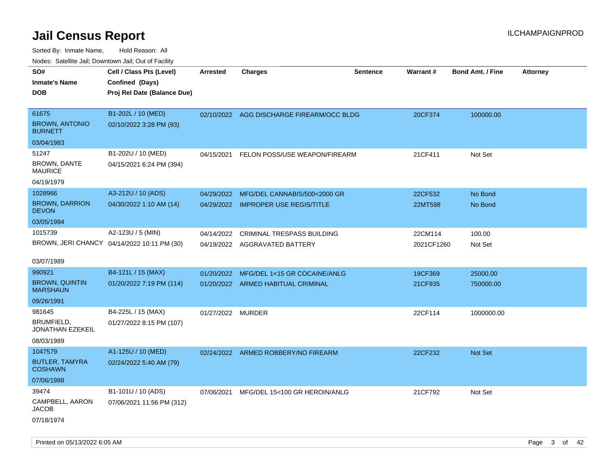| ivouss. Satellite Jali, Downtown Jali, Out of Facility |                                             |                   |                                           |                 |                 |                         |                 |
|--------------------------------------------------------|---------------------------------------------|-------------------|-------------------------------------------|-----------------|-----------------|-------------------------|-----------------|
| SO#                                                    | Cell / Class Pts (Level)                    | <b>Arrested</b>   | <b>Charges</b>                            | <b>Sentence</b> | <b>Warrant#</b> | <b>Bond Amt. / Fine</b> | <b>Attorney</b> |
| Inmate's Name                                          | Confined (Days)                             |                   |                                           |                 |                 |                         |                 |
| <b>DOB</b>                                             | Proj Rel Date (Balance Due)                 |                   |                                           |                 |                 |                         |                 |
|                                                        |                                             |                   |                                           |                 |                 |                         |                 |
| 61675                                                  | B1-202L / 10 (MED)                          |                   | 02/10/2022 AGG DISCHARGE FIREARM/OCC BLDG |                 | 20CF374         | 100000.00               |                 |
| <b>BROWN, ANTONIO</b><br><b>BURNETT</b>                | 02/10/2022 3:28 PM (93)                     |                   |                                           |                 |                 |                         |                 |
| 03/04/1983                                             |                                             |                   |                                           |                 |                 |                         |                 |
| 51247                                                  | B1-202U / 10 (MED)                          | 04/15/2021        | FELON POSS/USE WEAPON/FIREARM             |                 | 21CF411         | Not Set                 |                 |
| <b>BROWN, DANTE</b><br>MAURICE                         | 04/15/2021 6:24 PM (394)                    |                   |                                           |                 |                 |                         |                 |
| 04/19/1979                                             |                                             |                   |                                           |                 |                 |                         |                 |
| 1028966                                                | A3-212U / 10 (ADS)                          | 04/29/2022        | MFG/DEL CANNABIS/500<2000 GR              |                 | 22CF532         | No Bond                 |                 |
| <b>BROWN, DARRION</b><br><b>DEVON</b>                  | 04/30/2022 1:10 AM (14)                     |                   | 04/29/2022 IMPROPER USE REGIS/TITLE       |                 | 22MT598         | No Bond                 |                 |
| 03/05/1994                                             |                                             |                   |                                           |                 |                 |                         |                 |
| 1015739                                                | A2-123U / 5 (MIN)                           | 04/14/2022        | <b>CRIMINAL TRESPASS BUILDING</b>         |                 | 22CM114         | 100.00                  |                 |
|                                                        | BROWN, JERI CHANCY 04/14/2022 10:11 PM (30) |                   | 04/19/2022 AGGRAVATED BATTERY             |                 | 2021CF1260      | Not Set                 |                 |
| 03/07/1989                                             |                                             |                   |                                           |                 |                 |                         |                 |
| 990921                                                 | B4-121L / 15 (MAX)                          | 01/20/2022        | MFG/DEL 1<15 GR COCAINE/ANLG              |                 | 19CF369         | 25000.00                |                 |
| <b>BROWN, QUINTIN</b><br>MARSHAUN                      | 01/20/2022 7:19 PM (114)                    |                   | 01/20/2022 ARMED HABITUAL CRIMINAL        |                 | 21CF935         | 750000.00               |                 |
| 09/26/1991                                             |                                             |                   |                                           |                 |                 |                         |                 |
| 981645                                                 | B4-225L / 15 (MAX)                          | 01/27/2022 MURDER |                                           |                 | 22CF114         | 1000000.00              |                 |
| BRUMFIELD,<br>JONATHAN EZEKEIL                         | 01/27/2022 8:15 PM (107)                    |                   |                                           |                 |                 |                         |                 |
| 08/03/1989                                             |                                             |                   |                                           |                 |                 |                         |                 |
| 1047579                                                | A1-125U / 10 (MED)                          |                   | 02/24/2022 ARMED ROBBERY/NO FIREARM       |                 | 22CF232         | <b>Not Set</b>          |                 |
| <b>BUTLER, TAMYRA</b><br>COSHAWN                       | 02/24/2022 5:40 AM (79)                     |                   |                                           |                 |                 |                         |                 |
| 07/06/1988                                             |                                             |                   |                                           |                 |                 |                         |                 |
| 39474                                                  | B1-101U / 10 (ADS)                          | 07/06/2021        | MFG/DEL 15<100 GR HEROIN/ANLG             |                 | 21CF792         | Not Set                 |                 |
| CAMPBELL, AARON<br>JACOB                               | 07/06/2021 11:56 PM (312)                   |                   |                                           |                 |                 |                         |                 |
| 07/18/1974                                             |                                             |                   |                                           |                 |                 |                         |                 |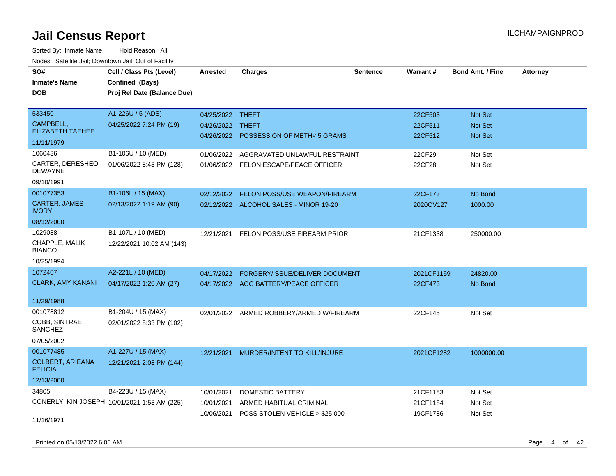Sorted By: Inmate Name, Hold Reason: All Nodes: Satellite Jail; Downtown Jail; Out of Facility

| SO#<br><b>Inmate's Name</b><br><b>DOB</b>  | Cell / Class Pts (Level)<br>Confined (Days)<br>Proj Rel Date (Balance Due) | Arrested         | <b>Charges</b>                           | <b>Sentence</b> | Warrant#   | <b>Bond Amt. / Fine</b> | <b>Attorney</b> |
|--------------------------------------------|----------------------------------------------------------------------------|------------------|------------------------------------------|-----------------|------------|-------------------------|-----------------|
| 533450                                     | A1-226U / 5 (ADS)                                                          | 04/25/2022 THEFT |                                          |                 | 22CF503    | Not Set                 |                 |
| CAMPBELL,<br><b>ELIZABETH TAEHEE</b>       | 04/25/2022 7:24 PM (19)                                                    | 04/26/2022       | THEFT                                    |                 | 22CF511    | <b>Not Set</b>          |                 |
| 11/11/1979                                 |                                                                            |                  | 04/26/2022 POSSESSION OF METH<5 GRAMS    |                 | 22CF512    | Not Set                 |                 |
| 1060436                                    | B1-106U / 10 (MED)                                                         | 01/06/2022       | AGGRAVATED UNLAWFUL RESTRAINT            |                 | 22CF29     | Not Set                 |                 |
| CARTER, DERESHEO<br>DEWAYNE                | 01/06/2022 8:43 PM (128)                                                   |                  | 01/06/2022 FELON ESCAPE/PEACE OFFICER    |                 | 22CF28     | Not Set                 |                 |
| 09/10/1991                                 |                                                                            |                  |                                          |                 |            |                         |                 |
| 001077353                                  | B1-106L / 15 (MAX)                                                         | 02/12/2022       | FELON POSS/USE WEAPON/FIREARM            |                 | 22CF173    | No Bond                 |                 |
| <b>CARTER, JAMES</b><br><b>IVORY</b>       | 02/13/2022 1:19 AM (90)                                                    |                  | 02/12/2022 ALCOHOL SALES - MINOR 19-20   |                 | 2020OV127  | 1000.00                 |                 |
| 08/12/2000                                 |                                                                            |                  |                                          |                 |            |                         |                 |
| 1029088<br>CHAPPLE, MALIK<br><b>BIANCO</b> | B1-107L / 10 (MED)<br>12/22/2021 10:02 AM (143)                            | 12/21/2021       | FELON POSS/USE FIREARM PRIOR             |                 | 21CF1338   | 250000.00               |                 |
| 10/25/1994                                 |                                                                            |                  |                                          |                 |            |                         |                 |
| 1072407                                    | A2-221L / 10 (MED)                                                         | 04/17/2022       | FORGERY/ISSUE/DELIVER DOCUMENT           |                 | 2021CF1159 | 24820.00                |                 |
| <b>CLARK, AMY KANANI</b>                   | 04/17/2022 1:20 AM (27)                                                    |                  | 04/17/2022 AGG BATTERY/PEACE OFFICER     |                 | 22CF473    | No Bond                 |                 |
| 11/29/1988                                 |                                                                            |                  |                                          |                 |            |                         |                 |
| 001078812                                  | B1-204U / 15 (MAX)                                                         |                  | 02/01/2022 ARMED ROBBERY/ARMED W/FIREARM |                 | 22CF145    | Not Set                 |                 |
| COBB, SINTRAE<br>SANCHEZ                   | 02/01/2022 8:33 PM (102)                                                   |                  |                                          |                 |            |                         |                 |
| 07/05/2002                                 |                                                                            |                  |                                          |                 |            |                         |                 |
| 001077485                                  | A1-227U / 15 (MAX)                                                         | 12/21/2021       | MURDER/INTENT TO KILL/INJURE             |                 | 2021CF1282 | 1000000.00              |                 |
| <b>COLBERT, ARIEANA</b><br><b>FELICIA</b>  | 12/21/2021 2:08 PM (144)                                                   |                  |                                          |                 |            |                         |                 |
| 12/13/2000                                 |                                                                            |                  |                                          |                 |            |                         |                 |
| 34805                                      | B4-223U / 15 (MAX)                                                         | 10/01/2021       | <b>DOMESTIC BATTERY</b>                  |                 | 21CF1183   | Not Set                 |                 |
|                                            | CONERLY, KIN JOSEPH 10/01/2021 1:53 AM (225)                               | 10/01/2021       | ARMED HABITUAL CRIMINAL                  |                 | 21CF1184   | Not Set                 |                 |
| 11/16/1971                                 |                                                                            | 10/06/2021       | POSS STOLEN VEHICLE > \$25,000           |                 | 19CF1786   | Not Set                 |                 |

Printed on 05/13/2022 6:05 AM Page 4 of 42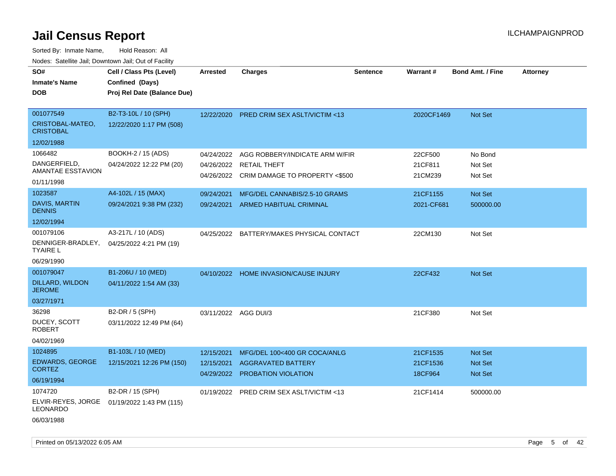| SO#                                      | Cell / Class Pts (Level)                       | <b>Arrested</b>          | <b>Charges</b>                                   | <b>Sentence</b> | <b>Warrant#</b>     | <b>Bond Amt. / Fine</b> | <b>Attorney</b> |
|------------------------------------------|------------------------------------------------|--------------------------|--------------------------------------------------|-----------------|---------------------|-------------------------|-----------------|
| <b>Inmate's Name</b><br><b>DOB</b>       | Confined (Days)<br>Proj Rel Date (Balance Due) |                          |                                                  |                 |                     |                         |                 |
|                                          |                                                |                          |                                                  |                 |                     |                         |                 |
| 001077549                                | B2-T3-10L / 10 (SPH)                           | 12/22/2020               | PRED CRIM SEX ASLT/VICTIM <13                    |                 | 2020CF1469          | Not Set                 |                 |
| CRISTOBAL-MATEO,<br><b>CRISTOBAL</b>     | 12/22/2020 1:17 PM (508)                       |                          |                                                  |                 |                     |                         |                 |
| 12/02/1988                               |                                                |                          |                                                  |                 |                     |                         |                 |
| 1066482                                  | BOOKH-2 / 15 (ADS)                             | 04/24/2022               | AGG ROBBERY/INDICATE ARM W/FIR                   |                 | 22CF500             | No Bond                 |                 |
| DANGERFIELD,<br><b>AMANTAE ESSTAVION</b> | 04/24/2022 12:22 PM (20)                       | 04/26/2022               | <b>RETAIL THEFT</b>                              |                 | 21CF811             | Not Set                 |                 |
| 01/11/1998                               |                                                |                          | 04/26/2022 CRIM DAMAGE TO PROPERTY <\$500        |                 | 21CM239             | Not Set                 |                 |
| 1023587                                  | A4-102L / 15 (MAX)                             | 09/24/2021               | MFG/DEL CANNABIS/2.5-10 GRAMS                    |                 | 21CF1155            | Not Set                 |                 |
| DAVIS, MARTIN<br><b>DENNIS</b>           | 09/24/2021 9:38 PM (232)                       | 09/24/2021               | ARMED HABITUAL CRIMINAL                          |                 | 2021-CF681          | 500000.00               |                 |
| 12/02/1994                               |                                                |                          |                                                  |                 |                     |                         |                 |
| 001079106                                | A3-217L / 10 (ADS)                             |                          | 04/25/2022 BATTERY/MAKES PHYSICAL CONTACT        |                 | 22CM130             | Not Set                 |                 |
| DENNIGER-BRADLEY,<br><b>TYAIRE L</b>     | 04/25/2022 4:21 PM (19)                        |                          |                                                  |                 |                     |                         |                 |
| 06/29/1990                               |                                                |                          |                                                  |                 |                     |                         |                 |
| 001079047                                | B1-206U / 10 (MED)                             |                          | 04/10/2022 HOME INVASION/CAUSE INJURY            |                 | 22CF432             | Not Set                 |                 |
| DILLARD, WILDON<br><b>JEROME</b>         | 04/11/2022 1:54 AM (33)                        |                          |                                                  |                 |                     |                         |                 |
| 03/27/1971                               |                                                |                          |                                                  |                 |                     |                         |                 |
| 36298                                    | B2-DR / 5 (SPH)                                | 03/11/2022 AGG DUI/3     |                                                  |                 | 21CF380             | Not Set                 |                 |
| DUCEY, SCOTT<br><b>ROBERT</b>            | 03/11/2022 12:49 PM (64)                       |                          |                                                  |                 |                     |                         |                 |
| 04/02/1969                               |                                                |                          |                                                  |                 |                     |                         |                 |
| 1024895                                  | B1-103L / 10 (MED)                             | 12/15/2021               | MFG/DEL 100<400 GR COCA/ANLG                     |                 | 21CF1535            | <b>Not Set</b>          |                 |
| <b>EDWARDS, GEORGE</b><br><b>CORTEZ</b>  | 12/15/2021 12:26 PM (150)                      | 12/15/2021<br>04/29/2022 | <b>AGGRAVATED BATTERY</b><br>PROBATION VIOLATION |                 | 21CF1536<br>18CF964 | Not Set<br>Not Set      |                 |
| 06/19/1994                               |                                                |                          |                                                  |                 |                     |                         |                 |
| 1074720                                  | B2-DR / 15 (SPH)                               |                          | 01/19/2022 PRED CRIM SEX ASLT/VICTIM <13         |                 | 21CF1414            | 500000.00               |                 |
| ELVIR-REYES, JORGE<br><b>LEONARDO</b>    | 01/19/2022 1:43 PM (115)                       |                          |                                                  |                 |                     |                         |                 |
| 06/03/1988                               |                                                |                          |                                                  |                 |                     |                         |                 |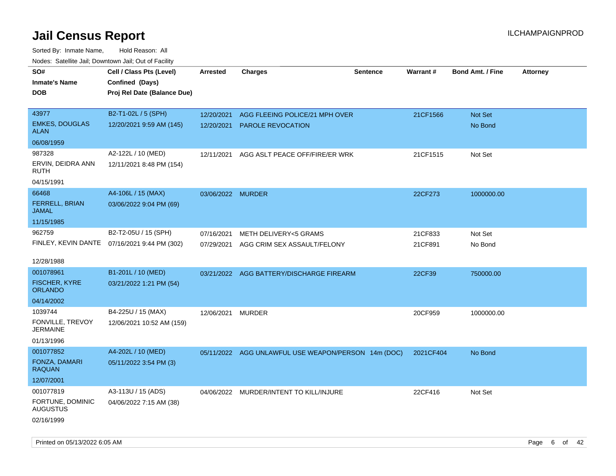Sorted By: Inmate Name, Hold Reason: All Nodes: Satellite Jail; Downtown Jail; Out of Facility

| <b>NOULD:</b> Catoline bail, Downtown bail, Out of I dollty       |                                                                            |                          |                                                                 |                 |                    |                         |                 |
|-------------------------------------------------------------------|----------------------------------------------------------------------------|--------------------------|-----------------------------------------------------------------|-----------------|--------------------|-------------------------|-----------------|
| SO#<br><b>Inmate's Name</b><br><b>DOB</b>                         | Cell / Class Pts (Level)<br>Confined (Days)<br>Proj Rel Date (Balance Due) | <b>Arrested</b>          | <b>Charges</b>                                                  | <b>Sentence</b> | Warrant#           | <b>Bond Amt. / Fine</b> | <b>Attorney</b> |
| 43977<br><b>EMKES, DOUGLAS</b><br><b>ALAN</b><br>06/08/1959       | B2-T1-02L / 5 (SPH)<br>12/20/2021 9:59 AM (145)                            | 12/20/2021<br>12/20/2021 | AGG FLEEING POLICE/21 MPH OVER<br><b>PAROLE REVOCATION</b>      |                 | 21CF1566           | Not Set<br>No Bond      |                 |
| 987328<br>ERVIN, DEIDRA ANN<br>RUTH<br>04/15/1991                 | A2-122L / 10 (MED)<br>12/11/2021 8:48 PM (154)                             | 12/11/2021               | AGG ASLT PEACE OFF/FIRE/ER WRK                                  |                 | 21CF1515           | Not Set                 |                 |
| 66468<br><b>FERRELL, BRIAN</b><br>JAMAL<br>11/15/1985             | A4-106L / 15 (MAX)<br>03/06/2022 9:04 PM (69)                              | 03/06/2022 MURDER        |                                                                 |                 | 22CF273            | 1000000.00              |                 |
| 962759<br>12/28/1988                                              | B2-T2-05U / 15 (SPH)<br>FINLEY, KEVIN DANTE 07/16/2021 9:44 PM (302)       | 07/16/2021               | METH DELIVERY<5 GRAMS<br>07/29/2021 AGG CRIM SEX ASSAULT/FELONY |                 | 21CF833<br>21CF891 | Not Set<br>No Bond      |                 |
| 001078961<br><b>FISCHER, KYRE</b><br><b>ORLANDO</b><br>04/14/2002 | B1-201L / 10 (MED)<br>03/21/2022 1:21 PM (54)                              |                          | 03/21/2022 AGG BATTERY/DISCHARGE FIREARM                        |                 | 22CF39             | 750000.00               |                 |
| 1039744<br>FONVILLE, TREVOY<br><b>JERMAINE</b><br>01/13/1996      | B4-225U / 15 (MAX)<br>12/06/2021 10:52 AM (159)                            | 12/06/2021 MURDER        |                                                                 |                 | 20CF959            | 1000000.00              |                 |
| 001077852<br>FONZA, DAMARI<br><b>RAQUAN</b><br>12/07/2001         | A4-202L / 10 (MED)<br>05/11/2022 3:54 PM (3)                               |                          | 05/11/2022 AGG UNLAWFUL USE WEAPON/PERSON 14m (DOC)             |                 | 2021CF404          | No Bond                 |                 |
| 001077819<br>FORTUNE, DOMINIC<br><b>AUGUSTUS</b><br>02/16/1999    | A3-113U / 15 (ADS)<br>04/06/2022 7:15 AM (38)                              |                          | 04/06/2022 MURDER/INTENT TO KILL/INJURE                         |                 | 22CF416            | Not Set                 |                 |

Printed on 05/13/2022 6:05 AM Page 6 of 42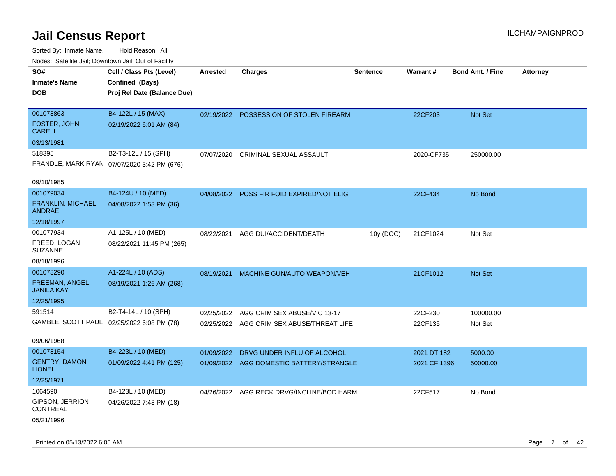| ivodes. Satellite Jali, Downtown Jali, Out of Facility |                                             |                 |                                           |           |              |                         |                 |
|--------------------------------------------------------|---------------------------------------------|-----------------|-------------------------------------------|-----------|--------------|-------------------------|-----------------|
| SO#                                                    | Cell / Class Pts (Level)                    | <b>Arrested</b> | <b>Charges</b>                            | Sentence  | Warrant#     | <b>Bond Amt. / Fine</b> | <b>Attorney</b> |
| <b>Inmate's Name</b>                                   | Confined (Days)                             |                 |                                           |           |              |                         |                 |
| <b>DOB</b>                                             | Proj Rel Date (Balance Due)                 |                 |                                           |           |              |                         |                 |
|                                                        |                                             |                 |                                           |           |              |                         |                 |
| 001078863                                              | B4-122L / 15 (MAX)                          | 02/19/2022      | POSSESSION OF STOLEN FIREARM              |           | 22CF203      | <b>Not Set</b>          |                 |
| FOSTER, JOHN<br><b>CARELL</b>                          | 02/19/2022 6:01 AM (84)                     |                 |                                           |           |              |                         |                 |
| 03/13/1981                                             |                                             |                 |                                           |           |              |                         |                 |
| 518395                                                 | B2-T3-12L / 15 (SPH)                        | 07/07/2020      | CRIMINAL SEXUAL ASSAULT                   |           | 2020-CF735   | 250000.00               |                 |
|                                                        | FRANDLE, MARK RYAN 07/07/2020 3:42 PM (676) |                 |                                           |           |              |                         |                 |
|                                                        |                                             |                 |                                           |           |              |                         |                 |
| 09/10/1985                                             |                                             |                 |                                           |           |              |                         |                 |
| 001079034                                              | B4-124U / 10 (MED)                          | 04/08/2022      | POSS FIR FOID EXPIRED/NOT ELIG            |           | 22CF434      | No Bond                 |                 |
| FRANKLIN, MICHAEL<br><b>ANDRAE</b>                     | 04/08/2022 1:53 PM (36)                     |                 |                                           |           |              |                         |                 |
| 12/18/1997                                             |                                             |                 |                                           |           |              |                         |                 |
| 001077934                                              | A1-125L / 10 (MED)                          | 08/22/2021      | AGG DUI/ACCIDENT/DEATH                    | 10y (DOC) | 21CF1024     | Not Set                 |                 |
| FREED, LOGAN<br><b>SUZANNE</b>                         | 08/22/2021 11:45 PM (265)                   |                 |                                           |           |              |                         |                 |
| 08/18/1996                                             |                                             |                 |                                           |           |              |                         |                 |
| 001078290                                              | A1-224L / 10 (ADS)                          | 08/19/2021      | MACHINE GUN/AUTO WEAPON/VEH               |           | 21CF1012     | Not Set                 |                 |
| FREEMAN, ANGEL<br><b>JANILA KAY</b>                    | 08/19/2021 1:26 AM (268)                    |                 |                                           |           |              |                         |                 |
| 12/25/1995                                             |                                             |                 |                                           |           |              |                         |                 |
| 591514                                                 | B2-T4-14L / 10 (SPH)                        | 02/25/2022      | AGG CRIM SEX ABUSE/VIC 13-17              |           | 22CF230      | 100000.00               |                 |
|                                                        | GAMBLE, SCOTT PAUL 02/25/2022 6:08 PM (78)  | 02/25/2022      | AGG CRIM SEX ABUSE/THREAT LIFE            |           | 22CF135      | Not Set                 |                 |
|                                                        |                                             |                 |                                           |           |              |                         |                 |
| 09/06/1968                                             |                                             |                 |                                           |           |              |                         |                 |
| 001078154                                              | B4-223L / 10 (MED)                          | 01/09/2022      | DRVG UNDER INFLU OF ALCOHOL               |           | 2021 DT 182  | 5000.00                 |                 |
| <b>GENTRY, DAMON</b><br><b>LIONEL</b>                  | 01/09/2022 4:41 PM (125)                    |                 | 01/09/2022 AGG DOMESTIC BATTERY/STRANGLE  |           | 2021 CF 1396 | 50000.00                |                 |
| 12/25/1971                                             |                                             |                 |                                           |           |              |                         |                 |
| 1064590                                                | B4-123L / 10 (MED)                          |                 | 04/26/2022 AGG RECK DRVG/INCLINE/BOD HARM |           | 22CF517      | No Bond                 |                 |
| GIPSON, JERRION<br><b>CONTREAL</b>                     | 04/26/2022 7:43 PM (18)                     |                 |                                           |           |              |                         |                 |
| 05/21/1996                                             |                                             |                 |                                           |           |              |                         |                 |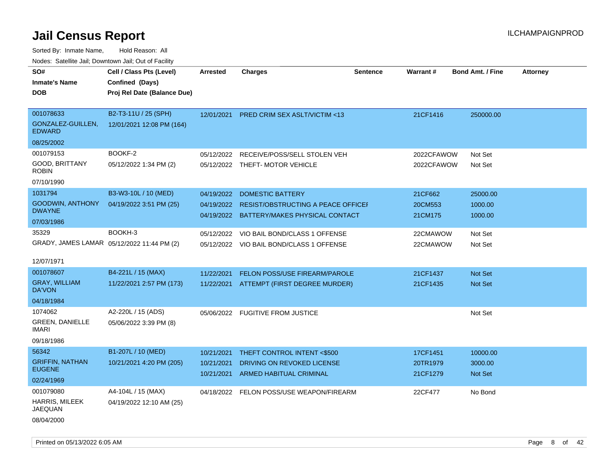| wacs. Calcinic Jan, Downtown Jan, Out of Facility |                             |                          |                                                              |                 |                      |                         |                 |
|---------------------------------------------------|-----------------------------|--------------------------|--------------------------------------------------------------|-----------------|----------------------|-------------------------|-----------------|
| SO#                                               | Cell / Class Pts (Level)    | <b>Arrested</b>          | <b>Charges</b>                                               | <b>Sentence</b> | Warrant#             | <b>Bond Amt. / Fine</b> | <b>Attorney</b> |
| <b>Inmate's Name</b>                              | Confined (Days)             |                          |                                                              |                 |                      |                         |                 |
| <b>DOB</b>                                        | Proj Rel Date (Balance Due) |                          |                                                              |                 |                      |                         |                 |
|                                                   |                             |                          |                                                              |                 |                      |                         |                 |
| 001078633                                         | B2-T3-11U / 25 (SPH)        | 12/01/2021               | <b>PRED CRIM SEX ASLT/VICTIM &lt;13</b>                      |                 | 21CF1416             | 250000.00               |                 |
| GONZALEZ-GUILLEN,<br><b>EDWARD</b>                | 12/01/2021 12:08 PM (164)   |                          |                                                              |                 |                      |                         |                 |
| 08/25/2002                                        |                             |                          |                                                              |                 |                      |                         |                 |
| 001079153                                         | BOOKF-2                     | 05/12/2022               | RECEIVE/POSS/SELL STOLEN VEH                                 |                 | 2022CFAWOW           | Not Set                 |                 |
| GOOD, BRITTANY<br>ROBIN                           | 05/12/2022 1:34 PM (2)      |                          | 05/12/2022 THEFT-MOTOR VEHICLE                               |                 | 2022CFAWOW           | Not Set                 |                 |
| 07/10/1990                                        |                             |                          |                                                              |                 |                      |                         |                 |
| 1031794                                           | B3-W3-10L / 10 (MED)        | 04/19/2022               | <b>DOMESTIC BATTERY</b>                                      |                 | 21CF662              | 25000.00                |                 |
| <b>GOODWIN, ANTHONY</b>                           | 04/19/2022 3:51 PM (25)     | 04/19/2022               | RESIST/OBSTRUCTING A PEACE OFFICEI                           |                 | 20CM553              | 1000.00                 |                 |
| <b>DWAYNE</b>                                     |                             |                          | 04/19/2022 BATTERY/MAKES PHYSICAL CONTACT                    |                 | 21CM175              | 1000.00                 |                 |
| 07/03/1986                                        |                             |                          |                                                              |                 |                      |                         |                 |
| 35329                                             | BOOKH-3                     | 05/12/2022               | VIO BAIL BOND/CLASS 1 OFFENSE                                |                 | 22CMAWOW             | Not Set                 |                 |
| GRADY, JAMES LAMAR 05/12/2022 11:44 PM (2)        |                             |                          | 05/12/2022 VIO BAIL BOND/CLASS 1 OFFENSE                     |                 | 22CMAWOW             | Not Set                 |                 |
|                                                   |                             |                          |                                                              |                 |                      |                         |                 |
| 12/07/1971                                        |                             |                          |                                                              |                 |                      |                         |                 |
| 001078607                                         | B4-221L / 15 (MAX)          | 11/22/2021               | <b>FELON POSS/USE FIREARM/PAROLE</b>                         |                 | 21CF1437             | <b>Not Set</b>          |                 |
| <b>GRAY, WILLIAM</b><br>DA'VON                    | 11/22/2021 2:57 PM (173)    | 11/22/2021               | ATTEMPT (FIRST DEGREE MURDER)                                |                 | 21CF1435             | <b>Not Set</b>          |                 |
| 04/18/1984                                        |                             |                          |                                                              |                 |                      |                         |                 |
| 1074062                                           | A2-220L / 15 (ADS)          |                          | 05/06/2022 FUGITIVE FROM JUSTICE                             |                 |                      | Not Set                 |                 |
| <b>GREEN, DANIELLE</b><br>IMARI                   | 05/06/2022 3:39 PM (8)      |                          |                                                              |                 |                      |                         |                 |
| 09/18/1986                                        |                             |                          |                                                              |                 |                      |                         |                 |
| 56342                                             | B1-207L / 10 (MED)          | 10/21/2021               | THEFT CONTROL INTENT <\$500                                  |                 | 17CF1451             | 10000.00                |                 |
| <b>GRIFFIN, NATHAN</b><br><b>EUGENE</b>           | 10/21/2021 4:20 PM (205)    | 10/21/2021<br>10/21/2021 | DRIVING ON REVOKED LICENSE<br><b>ARMED HABITUAL CRIMINAL</b> |                 | 20TR1979<br>21CF1279 | 3000.00<br>Not Set      |                 |
| 02/24/1969                                        |                             |                          |                                                              |                 |                      |                         |                 |
| 001079080                                         | A4-104L / 15 (MAX)          |                          | 04/18/2022 FELON POSS/USE WEAPON/FIREARM                     |                 | 22CF477              | No Bond                 |                 |
| HARRIS, MILEEK<br><b>JAEQUAN</b>                  | 04/19/2022 12:10 AM (25)    |                          |                                                              |                 |                      |                         |                 |
| 08/04/2000                                        |                             |                          |                                                              |                 |                      |                         |                 |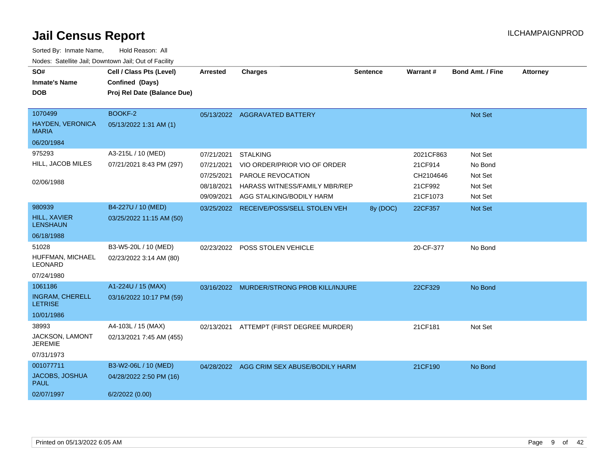| Sorted By: Inmate Name,                               | Hold Reason: All            |            |                                           |                 |           |                         |                 |
|-------------------------------------------------------|-----------------------------|------------|-------------------------------------------|-----------------|-----------|-------------------------|-----------------|
| Nodes: Satellite Jail; Downtown Jail; Out of Facility |                             |            |                                           |                 |           |                         |                 |
| SO#                                                   | Cell / Class Pts (Level)    | Arrested   | <b>Charges</b>                            | <b>Sentence</b> | Warrant#  | <b>Bond Amt. / Fine</b> | <b>Attorney</b> |
| <b>Inmate's Name</b>                                  | Confined (Days)             |            |                                           |                 |           |                         |                 |
| <b>DOB</b>                                            | Proj Rel Date (Balance Due) |            |                                           |                 |           |                         |                 |
|                                                       |                             |            |                                           |                 |           |                         |                 |
| 1070499                                               | BOOKF-2                     |            | 05/13/2022 AGGRAVATED BATTERY             |                 |           | Not Set                 |                 |
| <b>HAYDEN, VERONICA</b><br><b>MARIA</b>               | 05/13/2022 1:31 AM (1)      |            |                                           |                 |           |                         |                 |
| 06/20/1984                                            |                             |            |                                           |                 |           |                         |                 |
| 975293                                                | A3-215L / 10 (MED)          | 07/21/2021 | <b>STALKING</b>                           |                 | 2021CF863 | Not Set                 |                 |
| HILL, JACOB MILES                                     | 07/21/2021 8:43 PM (297)    | 07/21/2021 | VIO ORDER/PRIOR VIO OF ORDER              |                 | 21CF914   | No Bond                 |                 |
|                                                       |                             | 07/25/2021 | PAROLE REVOCATION                         |                 | CH2104646 | Not Set                 |                 |
| 02/06/1988                                            |                             | 08/18/2021 | HARASS WITNESS/FAMILY MBR/REP             |                 | 21CF992   | Not Set                 |                 |
|                                                       |                             | 09/09/2021 | AGG STALKING/BODILY HARM                  |                 | 21CF1073  | Not Set                 |                 |
| 980939                                                | B4-227U / 10 (MED)          |            | 03/25/2022 RECEIVE/POSS/SELL STOLEN VEH   | 8y (DOC)        | 22CF357   | Not Set                 |                 |
| <b>HILL, XAVIER</b><br><b>LENSHAUN</b>                | 03/25/2022 11:15 AM (50)    |            |                                           |                 |           |                         |                 |
| 06/18/1988                                            |                             |            |                                           |                 |           |                         |                 |
| 51028                                                 | B3-W5-20L / 10 (MED)        | 02/23/2022 | POSS STOLEN VEHICLE                       |                 | 20-CF-377 | No Bond                 |                 |
| HUFFMAN, MICHAEL<br>LEONARD                           | 02/23/2022 3:14 AM (80)     |            |                                           |                 |           |                         |                 |
| 07/24/1980                                            |                             |            |                                           |                 |           |                         |                 |
| 1061186                                               | A1-224U / 15 (MAX)          |            | 03/16/2022 MURDER/STRONG PROB KILL/INJURE |                 | 22CF329   | No Bond                 |                 |
| <b>INGRAM, CHERELL</b><br><b>LETRISE</b>              | 03/16/2022 10:17 PM (59)    |            |                                           |                 |           |                         |                 |
| 10/01/1986                                            |                             |            |                                           |                 |           |                         |                 |
| 38993                                                 | A4-103L / 15 (MAX)          | 02/13/2021 | ATTEMPT (FIRST DEGREE MURDER)             |                 | 21CF181   | Not Set                 |                 |
| JACKSON, LAMONT<br><b>JEREMIE</b>                     | 02/13/2021 7:45 AM (455)    |            |                                           |                 |           |                         |                 |
| 07/31/1973                                            |                             |            |                                           |                 |           |                         |                 |
| 001077711                                             | B3-W2-06L / 10 (MED)        |            | 04/28/2022 AGG CRIM SEX ABUSE/BODILY HARM |                 | 21CF190   | No Bond                 |                 |
| JACOBS, JOSHUA<br><b>PAUL</b>                         | 04/28/2022 2:50 PM (16)     |            |                                           |                 |           |                         |                 |
| 02/07/1997                                            | 6/2/2022(0.00)              |            |                                           |                 |           |                         |                 |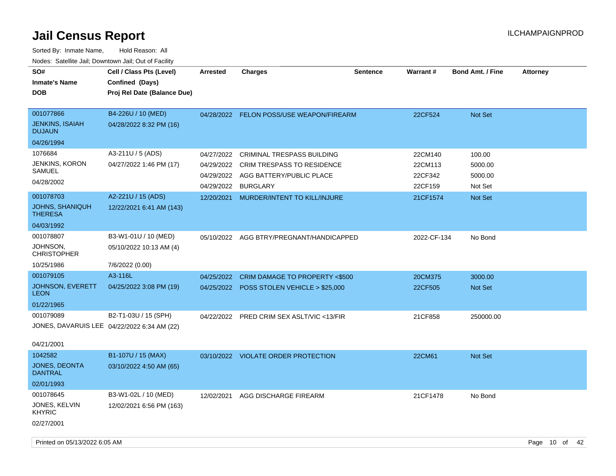| SO#<br><b>Inmate's Name</b><br><b>DOB</b>                              | Cell / Class Pts (Level)<br>Confined (Days)<br>Proj Rel Date (Balance Due) | <b>Arrested</b>          | <b>Charges</b>                                                                                                                       | <b>Sentence</b> | Warrant#                                 | <b>Bond Amt. / Fine</b>                 | <b>Attorney</b> |
|------------------------------------------------------------------------|----------------------------------------------------------------------------|--------------------------|--------------------------------------------------------------------------------------------------------------------------------------|-----------------|------------------------------------------|-----------------------------------------|-----------------|
| 001077866<br><b>JENKINS, ISAIAH</b><br><b>DUJAUN</b>                   | B4-226U / 10 (MED)<br>04/28/2022 8:32 PM (16)                              |                          | 04/28/2022 FELON POSS/USE WEAPON/FIREARM                                                                                             |                 | 22CF524                                  | Not Set                                 |                 |
| 04/26/1994                                                             |                                                                            |                          |                                                                                                                                      |                 |                                          |                                         |                 |
| 1076684<br><b>JENKINS, KORON</b><br>SAMUEL<br>04/28/2002               | A3-211U / 5 (ADS)<br>04/27/2022 1:46 PM (17)                               | 04/27/2022<br>04/29/2022 | <b>CRIMINAL TRESPASS BUILDING</b><br>04/29/2022 CRIM TRESPASS TO RESIDENCE<br>04/29/2022 AGG BATTERY/PUBLIC PLACE<br><b>BURGLARY</b> |                 | 22CM140<br>22CM113<br>22CF342<br>22CF159 | 100.00<br>5000.00<br>5000.00<br>Not Set |                 |
| 001078703<br>JOHNS, SHANIQUH<br><b>THERESA</b>                         | A2-221U / 15 (ADS)<br>12/22/2021 6:41 AM (143)                             | 12/20/2021               | MURDER/INTENT TO KILL/INJURE                                                                                                         |                 | 21CF1574                                 | <b>Not Set</b>                          |                 |
| 04/03/1992                                                             |                                                                            |                          |                                                                                                                                      |                 |                                          |                                         |                 |
| 001078807<br><b>JOHNSON,</b><br><b>CHRISTOPHER</b>                     | B3-W1-01U / 10 (MED)<br>05/10/2022 10:13 AM (4)                            |                          | 05/10/2022 AGG BTRY/PREGNANT/HANDICAPPED                                                                                             |                 | 2022-CF-134                              | No Bond                                 |                 |
| 10/25/1986                                                             | 7/6/2022 (0.00)                                                            |                          |                                                                                                                                      |                 |                                          |                                         |                 |
| 001079105                                                              | A3-116L                                                                    | 04/25/2022               | CRIM DAMAGE TO PROPERTY <\$500                                                                                                       |                 | 20CM375                                  | 3000.00                                 |                 |
| JOHNSON, EVERETT<br><b>LEON</b>                                        | 04/25/2022 3:08 PM (19)                                                    |                          | 04/25/2022 POSS STOLEN VEHICLE > \$25,000                                                                                            |                 | 22CF505                                  | Not Set                                 |                 |
| 01/22/1965                                                             |                                                                            |                          |                                                                                                                                      |                 |                                          |                                         |                 |
| 001079089<br>JONES, DAVARUIS LEE 04/22/2022 6:34 AM (22)<br>04/21/2001 | B2-T1-03U / 15 (SPH)                                                       |                          | 04/22/2022 PRED CRIM SEX ASLT/VIC <13/FIR                                                                                            |                 | 21CF858                                  | 250000.00                               |                 |
| 1042582                                                                | B1-107U / 15 (MAX)                                                         |                          | 03/10/2022 VIOLATE ORDER PROTECTION                                                                                                  |                 | 22CM61                                   | Not Set                                 |                 |
| JONES, DEONTA<br><b>DANTRAL</b>                                        | 03/10/2022 4:50 AM (65)                                                    |                          |                                                                                                                                      |                 |                                          |                                         |                 |
| 02/01/1993                                                             |                                                                            |                          |                                                                                                                                      |                 |                                          |                                         |                 |
| 001078645<br>JONES, KELVIN<br><b>KHYRIC</b>                            | B3-W1-02L / 10 (MED)<br>12/02/2021 6:56 PM (163)                           | 12/02/2021               | AGG DISCHARGE FIREARM                                                                                                                |                 | 21CF1478                                 | No Bond                                 |                 |
| 02/27/2001                                                             |                                                                            |                          |                                                                                                                                      |                 |                                          |                                         |                 |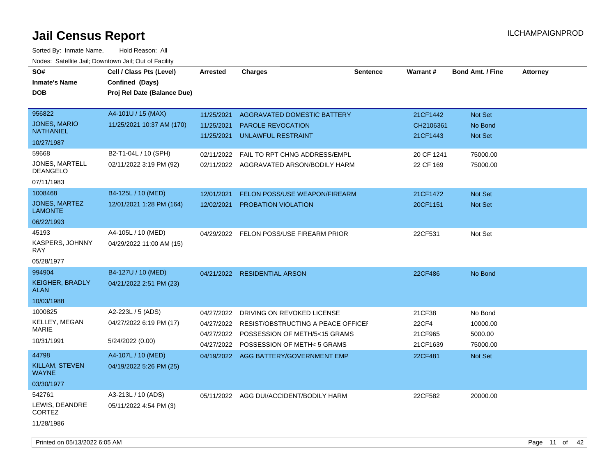| SO#<br><b>Inmate's Name</b><br><b>DOB</b>                                                                                                                                    | Cell / Class Pts (Level)<br>Confined (Days)<br>Proj Rel Date (Balance Due)                                                                          | <b>Arrested</b>                                      | <b>Charges</b>                                                                                                                                                          | <b>Sentence</b> | Warrant#                                                   | <b>Bond Amt. / Fine</b>                               | <b>Attorney</b> |
|------------------------------------------------------------------------------------------------------------------------------------------------------------------------------|-----------------------------------------------------------------------------------------------------------------------------------------------------|------------------------------------------------------|-------------------------------------------------------------------------------------------------------------------------------------------------------------------------|-----------------|------------------------------------------------------------|-------------------------------------------------------|-----------------|
| 956822<br><b>JONES, MARIO</b><br><b>NATHANIEL</b><br>10/27/1987                                                                                                              | A4-101U / 15 (MAX)<br>11/25/2021 10:37 AM (170)                                                                                                     | 11/25/2021<br>11/25/2021<br>11/25/2021               | AGGRAVATED DOMESTIC BATTERY<br><b>PAROLE REVOCATION</b><br><b>UNLAWFUL RESTRAINT</b>                                                                                    |                 | 21CF1442<br>CH2106361<br>21CF1443                          | Not Set<br>No Bond<br>Not Set                         |                 |
| 59668<br>JONES, MARTELL<br>DEANGELO<br>07/11/1983<br>1008468<br><b>JONES, MARTEZ</b><br><b>LAMONTE</b><br>06/22/1993<br>45193<br><b>KASPERS, JOHNNY</b><br>RAY<br>05/28/1977 | B2-T1-04L / 10 (SPH)<br>02/11/2022 3:19 PM (92)<br>B4-125L / 10 (MED)<br>12/01/2021 1:28 PM (164)<br>A4-105L / 10 (MED)<br>04/29/2022 11:00 AM (15) | 02/11/2022<br>12/01/2021<br>12/02/2021<br>04/29/2022 | FAIL TO RPT CHNG ADDRESS/EMPL<br>02/11/2022 AGGRAVATED ARSON/BODILY HARM<br><b>FELON POSS/USE WEAPON/FIREARM</b><br>PROBATION VIOLATION<br>FELON POSS/USE FIREARM PRIOR |                 | 20 CF 1241<br>22 CF 169<br>21CF1472<br>20CF1151<br>22CF531 | 75000.00<br>75000.00<br>Not Set<br>Not Set<br>Not Set |                 |
| 994904<br><b>KEIGHER, BRADLY</b><br><b>ALAN</b><br>10/03/1988                                                                                                                | B4-127U / 10 (MED)<br>04/21/2022 2:51 PM (23)                                                                                                       | 04/21/2022                                           | <b>RESIDENTIAL ARSON</b>                                                                                                                                                |                 | 22CF486                                                    | No Bond                                               |                 |
| 1000825<br><b>KELLEY, MEGAN</b><br><b>MARIE</b><br>10/31/1991                                                                                                                | A2-223L / 5 (ADS)<br>04/27/2022 6:19 PM (17)<br>5/24/2022 (0.00)                                                                                    | 04/27/2022<br>04/27/2022<br>04/27/2022<br>04/27/2022 | DRIVING ON REVOKED LICENSE<br>RESIST/OBSTRUCTING A PEACE OFFICEF<br>POSSESSION OF METH/5<15 GRAMS<br>POSSESSION OF METH< 5 GRAMS                                        |                 | 21CF38<br>22CF4<br>21CF965<br>21CF1639                     | No Bond<br>10000.00<br>5000.00<br>75000.00            |                 |
| 44798<br>KILLAM, STEVEN<br><b>WAYNE</b><br>03/30/1977                                                                                                                        | A4-107L / 10 (MED)<br>04/19/2022 5:26 PM (25)                                                                                                       |                                                      | 04/19/2022 AGG BATTERY/GOVERNMENT EMP                                                                                                                                   |                 | 22CF481                                                    | Not Set                                               |                 |
| 542761<br>LEWIS, DEANDRE<br><b>CORTEZ</b><br>11/28/1986                                                                                                                      | A3-213L / 10 (ADS)<br>05/11/2022 4:54 PM (3)                                                                                                        |                                                      | 05/11/2022 AGG DUI/ACCIDENT/BODILY HARM                                                                                                                                 |                 | 22CF582                                                    | 20000.00                                              |                 |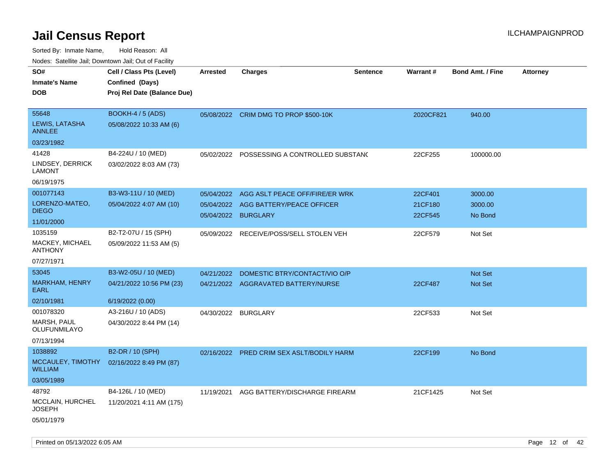| Nudes. Satellite Jali, Downtown Jali, Out of Facility<br>SO# | Cell / Class Pts (Level)                  | <b>Arrested</b> | <b>Charges</b>                        | <b>Sentence</b> | <b>Warrant#</b> | <b>Bond Amt. / Fine</b> | <b>Attorney</b> |
|--------------------------------------------------------------|-------------------------------------------|-----------------|---------------------------------------|-----------------|-----------------|-------------------------|-----------------|
| Inmate's Name                                                | Confined (Days)                           |                 |                                       |                 |                 |                         |                 |
| DOB                                                          | Proj Rel Date (Balance Due)               |                 |                                       |                 |                 |                         |                 |
|                                                              |                                           |                 |                                       |                 |                 |                         |                 |
| 55648                                                        | <b>BOOKH-4 / 5 (ADS)</b>                  |                 | 05/08/2022 CRIM DMG TO PROP \$500-10K |                 | 2020CF821       | 940.00                  |                 |
| LEWIS, LATASHA<br>ANNLEE                                     | 05/08/2022 10:33 AM (6)                   |                 |                                       |                 |                 |                         |                 |
| 03/23/1982                                                   |                                           |                 |                                       |                 |                 |                         |                 |
| 41428                                                        | B4-224U / 10 (MED)                        | 05/02/2022      | POSSESSING A CONTROLLED SUBSTAND      |                 | 22CF255         | 100000.00               |                 |
| LINDSEY, DERRICK<br>LAMONT                                   | 03/02/2022 8:03 AM (73)                   |                 |                                       |                 |                 |                         |                 |
| 06/19/1975                                                   |                                           |                 |                                       |                 |                 |                         |                 |
| 001077143                                                    | B3-W3-11U / 10 (MED)                      | 05/04/2022      | AGG ASLT PEACE OFF/FIRE/ER WRK        |                 | 22CF401         | 3000.00                 |                 |
| LORENZO-MATEO,                                               | 05/04/2022 4:07 AM (10)                   | 05/04/2022      | AGG BATTERY/PEACE OFFICER             |                 | 21CF180         | 3000.00                 |                 |
| <b>DIEGO</b>                                                 |                                           |                 | 05/04/2022 BURGLARY                   |                 | 22CF545         | No Bond                 |                 |
| 11/01/2000                                                   |                                           |                 |                                       |                 |                 |                         |                 |
| 1035159                                                      | B2-T2-07U / 15 (SPH)                      | 05/09/2022      | RECEIVE/POSS/SELL STOLEN VEH          |                 | 22CF579         | Not Set                 |                 |
| MACKEY, MICHAEL<br><b>ANTHONY</b>                            | 05/09/2022 11:53 AM (5)                   |                 |                                       |                 |                 |                         |                 |
| 07/27/1971                                                   |                                           |                 |                                       |                 |                 |                         |                 |
| 53045                                                        | B3-W2-05U / 10 (MED)                      | 04/21/2022      | DOMESTIC BTRY/CONTACT/VIO O/P         |                 |                 | <b>Not Set</b>          |                 |
| <b>MARKHAM, HENRY</b><br>EARL                                | 04/21/2022 10:56 PM (23)                  |                 | 04/21/2022 AGGRAVATED BATTERY/NURSE   |                 | 22CF487         | <b>Not Set</b>          |                 |
| 02/10/1981                                                   | 6/19/2022 (0.00)                          |                 |                                       |                 |                 |                         |                 |
| 001078320                                                    | A3-216U / 10 (ADS)                        | 04/30/2022      | <b>BURGLARY</b>                       |                 | 22CF533         | Not Set                 |                 |
| MARSH, PAUL<br>OLUFUNMILAYO                                  | 04/30/2022 8:44 PM (14)                   |                 |                                       |                 |                 |                         |                 |
| 07/13/1994                                                   |                                           |                 |                                       |                 |                 |                         |                 |
| 1038892                                                      | B2-DR / 10 (SPH)                          | 02/16/2022      | <b>PRED CRIM SEX ASLT/BODILY HARM</b> |                 | 22CF199         | No Bond                 |                 |
| WILLIAM                                                      | MCCAULEY, TIMOTHY 02/16/2022 8:49 PM (87) |                 |                                       |                 |                 |                         |                 |
| 03/05/1989                                                   |                                           |                 |                                       |                 |                 |                         |                 |
| 48792                                                        | B4-126L / 10 (MED)                        | 11/19/2021      | AGG BATTERY/DISCHARGE FIREARM         |                 | 21CF1425        | Not Set                 |                 |
| MCCLAIN, HURCHEL<br>JOSEPH                                   | 11/20/2021 4:11 AM (175)                  |                 |                                       |                 |                 |                         |                 |
| 05/01/1979                                                   |                                           |                 |                                       |                 |                 |                         |                 |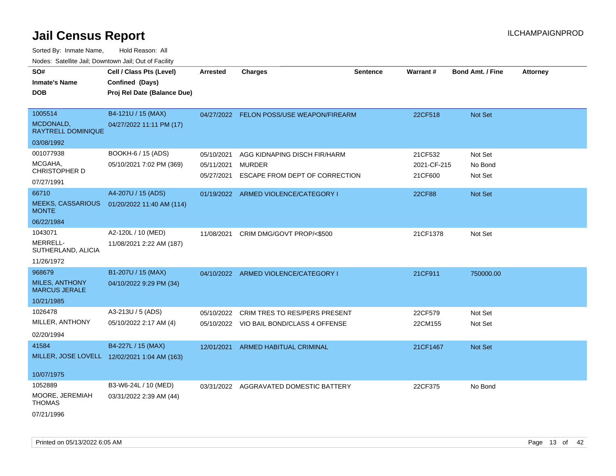| SO#                                           | Cell / Class Pts (Level)                     | <b>Arrested</b> | <b>Charges</b>                           | <b>Sentence</b> | Warrant#    | <b>Bond Amt. / Fine</b> | <b>Attorney</b> |
|-----------------------------------------------|----------------------------------------------|-----------------|------------------------------------------|-----------------|-------------|-------------------------|-----------------|
| <b>Inmate's Name</b>                          | Confined (Days)                              |                 |                                          |                 |             |                         |                 |
| <b>DOB</b>                                    | Proj Rel Date (Balance Due)                  |                 |                                          |                 |             |                         |                 |
|                                               |                                              |                 |                                          |                 |             |                         |                 |
| 1005514                                       | B4-121U / 15 (MAX)                           |                 | 04/27/2022 FELON POSS/USE WEAPON/FIREARM |                 | 22CF518     | Not Set                 |                 |
| MCDONALD,<br><b>RAYTRELL DOMINIQUE</b>        | 04/27/2022 11:11 PM (17)                     |                 |                                          |                 |             |                         |                 |
| 03/08/1992                                    |                                              |                 |                                          |                 |             |                         |                 |
| 001077938                                     | BOOKH-6 / 15 (ADS)                           | 05/10/2021      | AGG KIDNAPING DISCH FIR/HARM             |                 | 21CF532     | Not Set                 |                 |
| MCGAHA,<br><b>CHRISTOPHER D</b>               | 05/10/2021 7:02 PM (369)                     | 05/11/2021      | <b>MURDER</b>                            |                 | 2021-CF-215 | No Bond                 |                 |
| 07/27/1991                                    |                                              | 05/27/2021      | ESCAPE FROM DEPT OF CORRECTION           |                 | 21CF600     | Not Set                 |                 |
| 66710                                         | A4-207U / 15 (ADS)                           | 01/19/2022      | ARMED VIOLENCE/CATEGORY I                |                 | 22CF88      | Not Set                 |                 |
| <b>MEEKS, CASSARIOUS</b><br><b>MONTE</b>      | 01/20/2022 11:40 AM (114)                    |                 |                                          |                 |             |                         |                 |
| 06/22/1984                                    |                                              |                 |                                          |                 |             |                         |                 |
| 1043071                                       | A2-120L / 10 (MED)                           | 11/08/2021      | CRIM DMG/GOVT PROP/<\$500                |                 | 21CF1378    | Not Set                 |                 |
| <b>MERRELL-</b><br>SUTHERLAND, ALICIA         | 11/08/2021 2:22 AM (187)                     |                 |                                          |                 |             |                         |                 |
| 11/26/1972                                    |                                              |                 |                                          |                 |             |                         |                 |
| 968679                                        | B1-207U / 15 (MAX)                           | 04/10/2022      | ARMED VIOLENCE/CATEGORY I                |                 | 21CF911     | 750000.00               |                 |
| <b>MILES, ANTHONY</b><br><b>MARCUS JERALE</b> | 04/10/2022 9:29 PM (34)                      |                 |                                          |                 |             |                         |                 |
| 10/21/1985                                    |                                              |                 |                                          |                 |             |                         |                 |
| 1026478                                       | A3-213U / 5 (ADS)                            | 05/10/2022      | <b>CRIM TRES TO RES/PERS PRESENT</b>     |                 | 22CF579     | Not Set                 |                 |
| MILLER, ANTHONY                               | 05/10/2022 2:17 AM (4)                       |                 | 05/10/2022 VIO BAIL BOND/CLASS 4 OFFENSE |                 | 22CM155     | Not Set                 |                 |
| 02/20/1994                                    |                                              |                 |                                          |                 |             |                         |                 |
| 41584                                         | B4-227L / 15 (MAX)                           | 12/01/2021      | <b>ARMED HABITUAL CRIMINAL</b>           |                 | 21CF1467    | Not Set                 |                 |
|                                               | MILLER, JOSE LOVELL 12/02/2021 1:04 AM (163) |                 |                                          |                 |             |                         |                 |
|                                               |                                              |                 |                                          |                 |             |                         |                 |
| 10/07/1975                                    |                                              |                 |                                          |                 |             |                         |                 |
| 1052889                                       | B3-W6-24L / 10 (MED)                         |                 | 03/31/2022 AGGRAVATED DOMESTIC BATTERY   |                 | 22CF375     | No Bond                 |                 |
| MOORE, JEREMIAH<br><b>THOMAS</b>              | 03/31/2022 2:39 AM (44)                      |                 |                                          |                 |             |                         |                 |
| 07/21/1996                                    |                                              |                 |                                          |                 |             |                         |                 |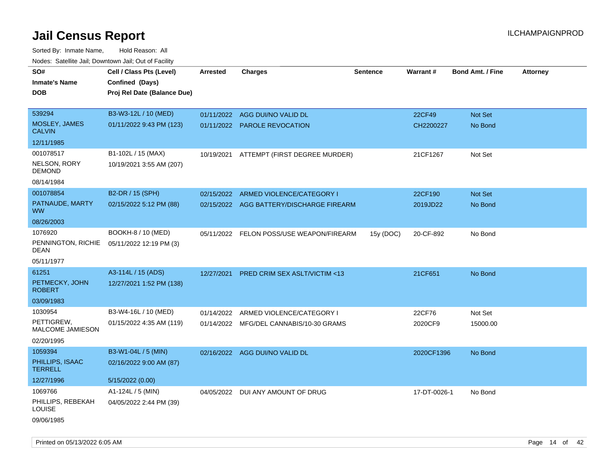| roaco. Catolino cali, Downtown cali, Out of Facility |                             |                 |                                          |                 |              |                         |                 |
|------------------------------------------------------|-----------------------------|-----------------|------------------------------------------|-----------------|--------------|-------------------------|-----------------|
| SO#                                                  | Cell / Class Pts (Level)    | <b>Arrested</b> | <b>Charges</b>                           | <b>Sentence</b> | Warrant#     | <b>Bond Amt. / Fine</b> | <b>Attorney</b> |
| Inmate's Name                                        | Confined (Days)             |                 |                                          |                 |              |                         |                 |
| DOB                                                  | Proj Rel Date (Balance Due) |                 |                                          |                 |              |                         |                 |
|                                                      |                             |                 |                                          |                 |              |                         |                 |
| 539294                                               | B3-W3-12L / 10 (MED)        |                 | 01/11/2022 AGG DUI/NO VALID DL           |                 | 22CF49       | Not Set                 |                 |
| MOSLEY, JAMES<br><b>CALVIN</b>                       | 01/11/2022 9:43 PM (123)    |                 | 01/11/2022 PAROLE REVOCATION             |                 | CH2200227    | No Bond                 |                 |
| 12/11/1985                                           |                             |                 |                                          |                 |              |                         |                 |
| 001078517                                            | B1-102L / 15 (MAX)          | 10/19/2021      | ATTEMPT (FIRST DEGREE MURDER)            |                 | 21CF1267     | Not Set                 |                 |
| NELSON, RORY<br><b>DEMOND</b>                        | 10/19/2021 3:55 AM (207)    |                 |                                          |                 |              |                         |                 |
| 08/14/1984                                           |                             |                 |                                          |                 |              |                         |                 |
| 001078854                                            | B2-DR / 15 (SPH)            | 02/15/2022      | ARMED VIOLENCE/CATEGORY I                |                 | 22CF190      | Not Set                 |                 |
| PATNAUDE, MARTY<br><b>WW</b>                         | 02/15/2022 5:12 PM (88)     |                 | 02/15/2022 AGG BATTERY/DISCHARGE FIREARM |                 | 2019JD22     | No Bond                 |                 |
| 08/26/2003                                           |                             |                 |                                          |                 |              |                         |                 |
| 1076920                                              | BOOKH-8 / 10 (MED)          |                 | 05/11/2022 FELON POSS/USE WEAPON/FIREARM | 15y (DOC)       | 20-CF-892    | No Bond                 |                 |
| PENNINGTON, RICHIE<br>DEAN                           | 05/11/2022 12:19 PM (3)     |                 |                                          |                 |              |                         |                 |
| 05/11/1977                                           |                             |                 |                                          |                 |              |                         |                 |
| 61251                                                | A3-114L / 15 (ADS)          | 12/27/2021      | <b>PRED CRIM SEX ASLT/VICTIM &lt;13</b>  |                 | 21CF651      | No Bond                 |                 |
| PETMECKY, JOHN<br><b>ROBERT</b>                      | 12/27/2021 1:52 PM (138)    |                 |                                          |                 |              |                         |                 |
| 03/09/1983                                           |                             |                 |                                          |                 |              |                         |                 |
| 1030954                                              | B3-W4-16L / 10 (MED)        | 01/14/2022      | ARMED VIOLENCE/CATEGORY I                |                 | 22CF76       | Not Set                 |                 |
| PETTIGREW,<br>MALCOME JAMIESON                       | 01/15/2022 4:35 AM (119)    |                 | 01/14/2022 MFG/DEL CANNABIS/10-30 GRAMS  |                 | 2020CF9      | 15000.00                |                 |
| 02/20/1995                                           |                             |                 |                                          |                 |              |                         |                 |
| 1059394                                              | B3-W1-04L / 5 (MIN)         |                 | 02/16/2022 AGG DUI/NO VALID DL           |                 | 2020CF1396   | No Bond                 |                 |
| PHILLIPS, ISAAC<br><b>TERRELL</b>                    | 02/16/2022 9:00 AM (87)     |                 |                                          |                 |              |                         |                 |
| 12/27/1996                                           | 5/15/2022 (0.00)            |                 |                                          |                 |              |                         |                 |
| 1069766                                              | A1-124L / 5 (MIN)           | 04/05/2022      | DUI ANY AMOUNT OF DRUG                   |                 | 17-DT-0026-1 | No Bond                 |                 |
| PHILLIPS, REBEKAH<br>LOUISE                          | 04/05/2022 2:44 PM (39)     |                 |                                          |                 |              |                         |                 |
| 09/06/1985                                           |                             |                 |                                          |                 |              |                         |                 |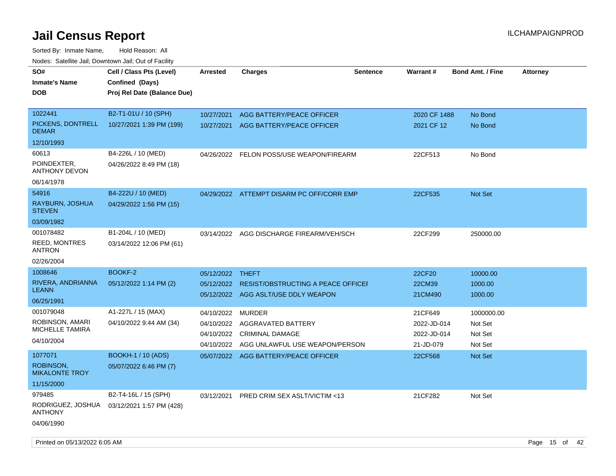| SO#<br><b>Inmate's Name</b><br><b>DOB</b>                            | Cell / Class Pts (Level)<br>Confined (Days)<br>Proj Rel Date (Balance Due) | <b>Arrested</b>                                      | <b>Charges</b>                                                                                  | <b>Sentence</b> | Warrant#                                           | <b>Bond Amt. / Fine</b>                     | <b>Attorney</b> |
|----------------------------------------------------------------------|----------------------------------------------------------------------------|------------------------------------------------------|-------------------------------------------------------------------------------------------------|-----------------|----------------------------------------------------|---------------------------------------------|-----------------|
| 1022441<br>PICKENS, DONTRELL<br><b>DEMAR</b><br>12/10/1993           | B2-T1-01U / 10 (SPH)<br>10/27/2021 1:39 PM (199)                           | 10/27/2021<br>10/27/2021                             | AGG BATTERY/PEACE OFFICER<br>AGG BATTERY/PEACE OFFICER                                          |                 | 2020 CF 1488<br>2021 CF 12                         | No Bond<br>No Bond                          |                 |
| 60613<br>POINDEXTER,<br><b>ANTHONY DEVON</b><br>06/14/1978           | B4-226L / 10 (MED)<br>04/26/2022 8:49 PM (18)                              | 04/26/2022                                           | FELON POSS/USE WEAPON/FIREARM                                                                   |                 | 22CF513                                            | No Bond                                     |                 |
| 54916<br>RAYBURN, JOSHUA<br><b>STEVEN</b><br>03/09/1982              | B4-222U / 10 (MED)<br>04/29/2022 1:56 PM (15)                              |                                                      | 04/29/2022 ATTEMPT DISARM PC OFF/CORR EMP                                                       |                 | 22CF535                                            | <b>Not Set</b>                              |                 |
| 001078482<br><b>REED, MONTRES</b><br>ANTRON<br>02/26/2004            | B1-204L / 10 (MED)<br>03/14/2022 12:06 PM (61)                             | 03/14/2022                                           | AGG DISCHARGE FIREARM/VEH/SCH                                                                   |                 | 22CF299                                            | 250000.00                                   |                 |
| 1008646<br>RIVERA, ANDRIANNA<br><b>LEANN</b><br>06/25/1991           | <b>BOOKF-2</b><br>05/12/2022 1:14 PM (2)                                   | 05/12/2022 THEFT<br>05/12/2022                       | RESIST/OBSTRUCTING A PEACE OFFICE<br>05/12/2022 AGG ASLT/USE DDLY WEAPON                        |                 | 22CF20<br>22CM39<br>21CM490                        | 10000.00<br>1000.00<br>1000.00              |                 |
| 001079048<br>ROBINSON, AMARI<br><b>MICHELLE TAMIRA</b><br>04/10/2004 | A1-227L / 15 (MAX)<br>04/10/2022 9:44 AM (34)                              | 04/10/2022<br>04/10/2022<br>04/10/2022<br>04/10/2022 | <b>MURDER</b><br>AGGRAVATED BATTERY<br><b>CRIMINAL DAMAGE</b><br>AGG UNLAWFUL USE WEAPON/PERSON |                 | 21CF649<br>2022-JD-014<br>2022-JD-014<br>21-JD-079 | 1000000.00<br>Not Set<br>Not Set<br>Not Set |                 |
| 1077071<br><b>ROBINSON,</b><br><b>MIKALONTE TROY</b><br>11/15/2000   | <b>BOOKH-1 / 10 (ADS)</b><br>05/07/2022 6:46 PM (7)                        |                                                      | 05/07/2022 AGG BATTERY/PEACE OFFICER                                                            |                 | 22CF568                                            | Not Set                                     |                 |
| 979485<br>RODRIGUEZ, JOSHUA<br><b>ANTHONY</b><br>04/06/1990          | B2-T4-16L / 15 (SPH)<br>03/12/2021 1:57 PM (428)                           | 03/12/2021                                           | <b>PRED CRIM SEX ASLT/VICTIM &lt;13</b>                                                         |                 | 21CF282                                            | Not Set                                     |                 |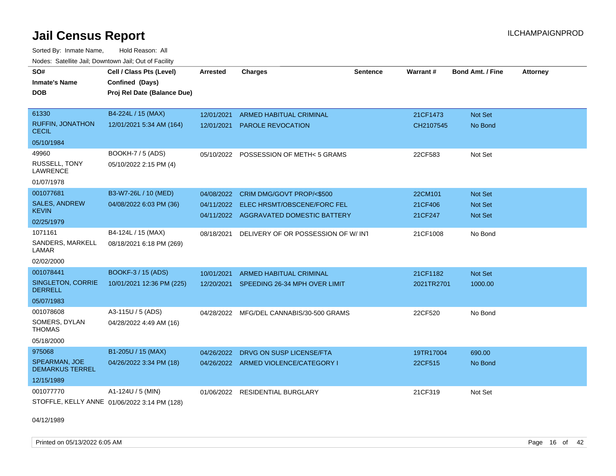Sorted By: Inmate Name, Hold Reason: All Nodes: Satellite Jail; Downtown Jail; Out of Facility

| SO#<br><b>Inmate's Name</b><br><b>DOB</b><br>61330<br><b>RUFFIN, JONATHON</b><br><b>CECIL</b> | Cell / Class Pts (Level)<br>Confined (Days)<br>Proj Rel Date (Balance Due)<br>B4-224L / 15 (MAX)<br>12/01/2021 5:34 AM (164) | <b>Arrested</b><br>12/01/2021<br>12/01/2021 | <b>Charges</b><br><b>ARMED HABITUAL CRIMINAL</b><br><b>PAROLE REVOCATION</b>                              | <b>Sentence</b> | Warrant#<br>21CF1473<br>CH2107545 | <b>Bond Amt. / Fine</b><br>Not Set<br>No Bond      | <b>Attorney</b> |
|-----------------------------------------------------------------------------------------------|------------------------------------------------------------------------------------------------------------------------------|---------------------------------------------|-----------------------------------------------------------------------------------------------------------|-----------------|-----------------------------------|----------------------------------------------------|-----------------|
| 05/10/1984                                                                                    |                                                                                                                              |                                             |                                                                                                           |                 |                                   |                                                    |                 |
| 49960<br><b>RUSSELL, TONY</b><br><b>LAWRENCE</b><br>01/07/1978                                | BOOKH-7 / 5 (ADS)<br>05/10/2022 2:15 PM (4)                                                                                  |                                             | 05/10/2022 POSSESSION OF METH< 5 GRAMS                                                                    |                 | 22CF583                           | Not Set                                            |                 |
| 001077681<br><b>SALES, ANDREW</b><br><b>KEVIN</b><br>02/25/1979                               | B3-W7-26L / 10 (MED)<br>04/08/2022 6:03 PM (36)                                                                              | 04/08/2022<br>04/11/2022                    | CRIM DMG/GOVT PROP/<\$500<br><b>ELEC HRSMT/OBSCENE/FORC FEL</b><br>04/11/2022 AGGRAVATED DOMESTIC BATTERY |                 | 22CM101<br>21CF406<br>21CF247     | <b>Not Set</b><br><b>Not Set</b><br><b>Not Set</b> |                 |
| 1071161<br>SANDERS, MARKELL<br>LAMAR<br>02/02/2000                                            | B4-124L / 15 (MAX)<br>08/18/2021 6:18 PM (269)                                                                               | 08/18/2021                                  | DELIVERY OF OR POSSESSION OF W/INT                                                                        |                 | 21CF1008                          | No Bond                                            |                 |
| 001078441<br>SINGLETON, CORRIE<br>DERRELL<br>05/07/1983                                       | BOOKF-3 / 15 (ADS)<br>10/01/2021 12:36 PM (225)                                                                              | 10/01/2021<br>12/20/2021                    | <b>ARMED HABITUAL CRIMINAL</b><br>SPEEDING 26-34 MPH OVER LIMIT                                           |                 | 21CF1182<br>2021TR2701            | Not Set<br>1000.00                                 |                 |
| 001078608<br>SOMERS, DYLAN<br><b>THOMAS</b><br>05/18/2000                                     | A3-115U / 5 (ADS)<br>04/28/2022 4:49 AM (16)                                                                                 | 04/28/2022                                  | MFG/DEL CANNABIS/30-500 GRAMS                                                                             |                 | 22CF520                           | No Bond                                            |                 |
| 975068<br>SPEARMAN, JOE<br><b>DEMARKUS TERREL</b><br>12/15/1989                               | B1-205U / 15 (MAX)<br>04/26/2022 3:34 PM (18)                                                                                | 04/26/2022                                  | DRVG ON SUSP LICENSE/FTA<br>04/26/2022 ARMED VIOLENCE/CATEGORY I                                          |                 | 19TR17004<br>22CF515              | 690.00<br>No Bond                                  |                 |
| 001077770                                                                                     | A1-124U / 5 (MIN)<br>STOFFLE, KELLY ANNE 01/06/2022 3:14 PM (128)                                                            | 01/06/2022                                  | <b>RESIDENTIAL BURGLARY</b>                                                                               |                 | 21CF319                           | Not Set                                            |                 |

04/12/1989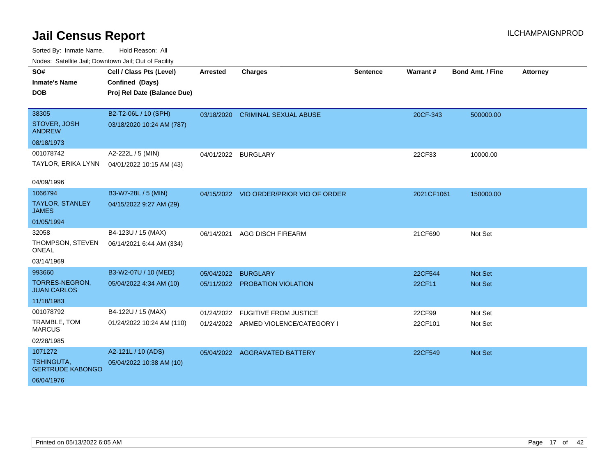| SO#                                          | Cell / Class Pts (Level)    | <b>Arrested</b>     | <b>Charges</b>                          | <b>Sentence</b> | <b>Warrant#</b> | <b>Bond Amt. / Fine</b> | <b>Attorney</b> |
|----------------------------------------------|-----------------------------|---------------------|-----------------------------------------|-----------------|-----------------|-------------------------|-----------------|
| <b>Inmate's Name</b>                         | Confined (Days)             |                     |                                         |                 |                 |                         |                 |
| <b>DOB</b>                                   | Proj Rel Date (Balance Due) |                     |                                         |                 |                 |                         |                 |
|                                              |                             |                     |                                         |                 |                 |                         |                 |
| 38305                                        | B2-T2-06L / 10 (SPH)        |                     | 03/18/2020 CRIMINAL SEXUAL ABUSE        |                 | 20CF-343        | 500000.00               |                 |
| STOVER, JOSH<br><b>ANDREW</b>                | 03/18/2020 10:24 AM (787)   |                     |                                         |                 |                 |                         |                 |
| 08/18/1973                                   |                             |                     |                                         |                 |                 |                         |                 |
| 001078742                                    | A2-222L / 5 (MIN)           | 04/01/2022 BURGLARY |                                         |                 | 22CF33          | 10000.00                |                 |
| TAYLOR, ERIKA LYNN                           | 04/01/2022 10:15 AM (43)    |                     |                                         |                 |                 |                         |                 |
|                                              |                             |                     |                                         |                 |                 |                         |                 |
| 04/09/1996                                   |                             |                     |                                         |                 |                 |                         |                 |
| 1066794                                      | B3-W7-28L / 5 (MIN)         |                     | 04/15/2022 VIO ORDER/PRIOR VIO OF ORDER |                 | 2021CF1061      | 150000.00               |                 |
| <b>TAYLOR, STANLEY</b><br><b>JAMES</b>       | 04/15/2022 9:27 AM (29)     |                     |                                         |                 |                 |                         |                 |
| 01/05/1994                                   |                             |                     |                                         |                 |                 |                         |                 |
| 32058                                        | B4-123U / 15 (MAX)          | 06/14/2021          | <b>AGG DISCH FIREARM</b>                |                 | 21CF690         | Not Set                 |                 |
| THOMPSON, STEVEN<br><b>ONEAL</b>             | 06/14/2021 6:44 AM (334)    |                     |                                         |                 |                 |                         |                 |
| 03/14/1969                                   |                             |                     |                                         |                 |                 |                         |                 |
| 993660                                       | B3-W2-07U / 10 (MED)        | 05/04/2022          | <b>BURGLARY</b>                         |                 | 22CF544         | Not Set                 |                 |
| TORRES-NEGRON,<br><b>JUAN CARLOS</b>         | 05/04/2022 4:34 AM (10)     | 05/11/2022          | PROBATION VIOLATION                     |                 | 22CF11          | Not Set                 |                 |
| 11/18/1983                                   |                             |                     |                                         |                 |                 |                         |                 |
| 001078792                                    | B4-122U / 15 (MAX)          | 01/24/2022          | <b>FUGITIVE FROM JUSTICE</b>            |                 | 22CF99          | Not Set                 |                 |
| TRAMBLE, TOM<br><b>MARCUS</b>                | 01/24/2022 10:24 AM (110)   |                     | 01/24/2022 ARMED VIOLENCE/CATEGORY I    |                 | 22CF101         | Not Set                 |                 |
| 02/28/1985                                   |                             |                     |                                         |                 |                 |                         |                 |
| 1071272                                      | A2-121L / 10 (ADS)          |                     | 05/04/2022 AGGRAVATED BATTERY           |                 | 22CF549         | Not Set                 |                 |
| <b>TSHINGUTA,</b><br><b>GERTRUDE KABONGO</b> | 05/04/2022 10:38 AM (10)    |                     |                                         |                 |                 |                         |                 |
| 06/04/1976                                   |                             |                     |                                         |                 |                 |                         |                 |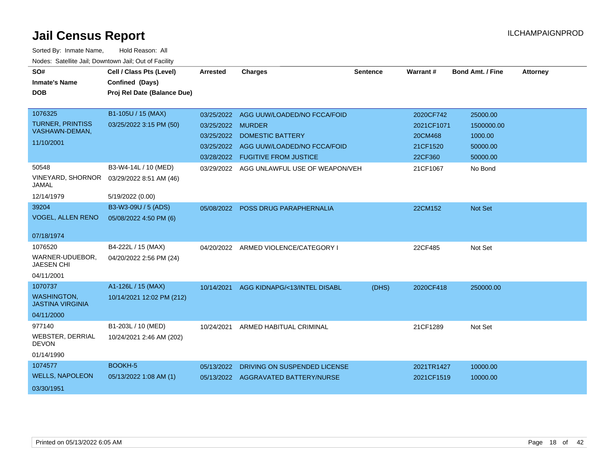| SO#<br><b>Inmate's Name</b><br><b>DOB</b>                              | Cell / Class Pts (Level)<br>Confined (Days)<br>Proj Rel Date (Balance Due) | <b>Arrested</b>                                             | <b>Charges</b>                                                                                                                   | <b>Sentence</b> | <b>Warrant#</b>                                           | <b>Bond Amt. / Fine</b>                                   | <b>Attorney</b> |
|------------------------------------------------------------------------|----------------------------------------------------------------------------|-------------------------------------------------------------|----------------------------------------------------------------------------------------------------------------------------------|-----------------|-----------------------------------------------------------|-----------------------------------------------------------|-----------------|
| 1076325<br><b>TURNER, PRINTISS</b><br>VASHAWN-DEMAN,<br>11/10/2001     | B1-105U / 15 (MAX)<br>03/25/2022 3:15 PM (50)                              | 03/25/2022<br>03/25/2022 MURDER<br>03/25/2022<br>03/28/2022 | AGG UUW/LOADED/NO FCCA/FOID<br><b>DOMESTIC BATTERY</b><br>03/25/2022 AGG UUW/LOADED/NO FCCA/FOID<br><b>FUGITIVE FROM JUSTICE</b> |                 | 2020CF742<br>2021CF1071<br>20CM468<br>21CF1520<br>22CF360 | 25000.00<br>1500000.00<br>1000.00<br>50000.00<br>50000.00 |                 |
| 50548<br>VINEYARD, SHORNOR<br><b>JAMAL</b><br>12/14/1979               | B3-W4-14L / 10 (MED)<br>03/29/2022 8:51 AM (46)<br>5/19/2022 (0.00)        |                                                             | 03/29/2022 AGG UNLAWFUL USE OF WEAPON/VEH                                                                                        |                 | 21CF1067                                                  | No Bond                                                   |                 |
| 39204<br>VOGEL, ALLEN RENO<br>07/18/1974                               | B3-W3-09U / 5 (ADS)<br>05/08/2022 4:50 PM (6)                              | 05/08/2022                                                  | <b>POSS DRUG PARAPHERNALIA</b>                                                                                                   |                 | 22CM152                                                   | Not Set                                                   |                 |
| 1076520<br>WARNER-UDUEBOR,<br><b>JAESEN CHI</b><br>04/11/2001          | B4-222L / 15 (MAX)<br>04/20/2022 2:56 PM (24)                              |                                                             | 04/20/2022 ARMED VIOLENCE/CATEGORY I                                                                                             |                 | 22CF485                                                   | Not Set                                                   |                 |
| 1070737<br><b>WASHINGTON,</b><br><b>JASTINA VIRGINIA</b><br>04/11/2000 | A1-126L / 15 (MAX)<br>10/14/2021 12:02 PM (212)                            | 10/14/2021                                                  | AGG KIDNAPG/<13/INTEL DISABL                                                                                                     | (DHS)           | 2020CF418                                                 | 250000.00                                                 |                 |
| 977140<br><b>WEBSTER, DERRIAL</b><br><b>DEVON</b><br>01/14/1990        | B1-203L / 10 (MED)<br>10/24/2021 2:46 AM (202)                             | 10/24/2021                                                  | ARMED HABITUAL CRIMINAL                                                                                                          |                 | 21CF1289                                                  | Not Set                                                   |                 |
| 1074577<br><b>WELLS, NAPOLEON</b><br>03/30/1951                        | BOOKH-5<br>05/13/2022 1:08 AM (1)                                          | 05/13/2022                                                  | DRIVING ON SUSPENDED LICENSE<br>05/13/2022 AGGRAVATED BATTERY/NURSE                                                              |                 | 2021TR1427<br>2021CF1519                                  | 10000.00<br>10000.00                                      |                 |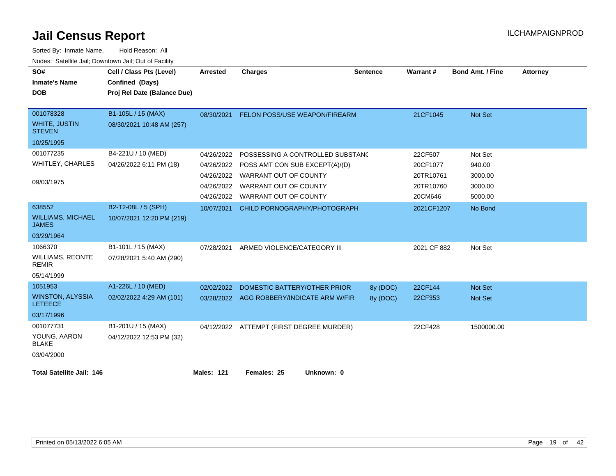| SO#<br><b>Inmate's Name</b><br><b>DOB</b> | Cell / Class Pts (Level)<br>Confined (Days)<br>Proj Rel Date (Balance Due) | <b>Arrested</b> | <b>Charges</b>                            | <b>Sentence</b> | Warrant#    | <b>Bond Amt. / Fine</b> | <b>Attorney</b> |
|-------------------------------------------|----------------------------------------------------------------------------|-----------------|-------------------------------------------|-----------------|-------------|-------------------------|-----------------|
|                                           |                                                                            |                 |                                           |                 |             |                         |                 |
| 001078328                                 | B1-105L / 15 (MAX)                                                         | 08/30/2021      | FELON POSS/USE WEAPON/FIREARM             |                 | 21CF1045    | <b>Not Set</b>          |                 |
| <b>WHITE, JUSTIN</b><br><b>STEVEN</b>     | 08/30/2021 10:48 AM (257)                                                  |                 |                                           |                 |             |                         |                 |
| 10/25/1995                                |                                                                            |                 |                                           |                 |             |                         |                 |
| 001077235                                 | B4-221U / 10 (MED)                                                         | 04/26/2022      | POSSESSING A CONTROLLED SUBSTAND          |                 | 22CF507     | Not Set                 |                 |
| <b>WHITLEY, CHARLES</b>                   | 04/26/2022 6:11 PM (18)                                                    | 04/26/2022      | POSS AMT CON SUB EXCEPT(A)/(D)            |                 | 20CF1077    | 940.00                  |                 |
|                                           |                                                                            |                 | 04/26/2022 WARRANT OUT OF COUNTY          |                 | 20TR10761   | 3000.00                 |                 |
| 09/03/1975                                |                                                                            | 04/26/2022      | WARRANT OUT OF COUNTY                     |                 | 20TR10760   | 3000.00                 |                 |
|                                           |                                                                            | 04/26/2022      | WARRANT OUT OF COUNTY                     |                 | 20CM646     | 5000.00                 |                 |
| 638552                                    | B2-T2-08L / 5 (SPH)                                                        | 10/07/2021      | CHILD PORNOGRAPHY/PHOTOGRAPH              |                 | 2021CF1207  | No Bond                 |                 |
| <b>WILLIAMS, MICHAEL</b><br><b>JAMES</b>  | 10/07/2021 12:20 PM (219)                                                  |                 |                                           |                 |             |                         |                 |
| 03/29/1964                                |                                                                            |                 |                                           |                 |             |                         |                 |
| 1066370                                   | B1-101L / 15 (MAX)                                                         | 07/28/2021      | ARMED VIOLENCE/CATEGORY III               |                 | 2021 CF 882 | Not Set                 |                 |
| <b>WILLIAMS, REONTE</b><br><b>REMIR</b>   | 07/28/2021 5:40 AM (290)                                                   |                 |                                           |                 |             |                         |                 |
| 05/14/1999                                |                                                                            |                 |                                           |                 |             |                         |                 |
| 1051953                                   | A1-226L / 10 (MED)                                                         | 02/02/2022      | DOMESTIC BATTERY/OTHER PRIOR              | 8y (DOC)        | 22CF144     | <b>Not Set</b>          |                 |
| <b>WINSTON, ALYSSIA</b><br><b>LETEECE</b> | 02/02/2022 4:29 AM (101)                                                   |                 | 03/28/2022 AGG ROBBERY/INDICATE ARM W/FIR | 8y (DOC)        | 22CF353     | <b>Not Set</b>          |                 |
| 03/17/1996                                |                                                                            |                 |                                           |                 |             |                         |                 |
| 001077731                                 | B1-201U / 15 (MAX)                                                         |                 | 04/12/2022 ATTEMPT (FIRST DEGREE MURDER)  |                 | 22CF428     | 1500000.00              |                 |
| YOUNG, AARON<br><b>BLAKE</b>              | 04/12/2022 12:53 PM (32)                                                   |                 |                                           |                 |             |                         |                 |
| 03/04/2000                                |                                                                            |                 |                                           |                 |             |                         |                 |
| <b>Total Satellite Jail: 146</b>          |                                                                            | Males: 121      | Females: 25<br>Unknown: 0                 |                 |             |                         |                 |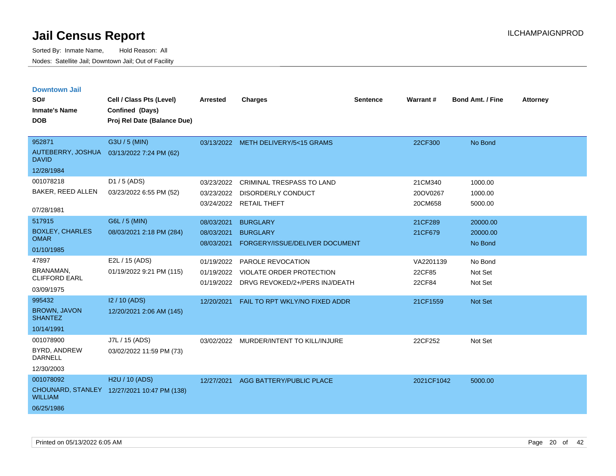| <b>Downtown Jail</b>                  |                                             |                 |                                           |                 |            |                         |                 |
|---------------------------------------|---------------------------------------------|-----------------|-------------------------------------------|-----------------|------------|-------------------------|-----------------|
| SO#                                   | Cell / Class Pts (Level)                    | <b>Arrested</b> | <b>Charges</b>                            | <b>Sentence</b> | Warrant#   | <b>Bond Amt. / Fine</b> | <b>Attorney</b> |
| <b>Inmate's Name</b>                  | Confined (Days)                             |                 |                                           |                 |            |                         |                 |
| <b>DOB</b>                            | Proj Rel Date (Balance Due)                 |                 |                                           |                 |            |                         |                 |
|                                       |                                             |                 |                                           |                 |            |                         |                 |
| 952871                                | G3U / 5 (MIN)                               |                 | 03/13/2022 METH DELIVERY/5<15 GRAMS       |                 | 22CF300    | No Bond                 |                 |
| <b>DAVID</b>                          | AUTEBERRY, JOSHUA 03/13/2022 7:24 PM (62)   |                 |                                           |                 |            |                         |                 |
| 12/28/1984                            |                                             |                 |                                           |                 |            |                         |                 |
| 001078218                             | D1 / 5 (ADS)                                | 03/23/2022      | <b>CRIMINAL TRESPASS TO LAND</b>          |                 | 21CM340    | 1000.00                 |                 |
| BAKER, REED ALLEN                     | 03/23/2022 6:55 PM (52)                     | 03/23/2022      | <b>DISORDERLY CONDUCT</b>                 |                 | 20OV0267   | 1000.00                 |                 |
| 07/28/1981                            |                                             |                 | 03/24/2022 RETAIL THEFT                   |                 | 20CM658    | 5000.00                 |                 |
| 517915                                | G6L / 5 (MIN)                               | 08/03/2021      | <b>BURGLARY</b>                           |                 | 21CF289    | 20000.00                |                 |
| <b>BOXLEY, CHARLES</b>                | 08/03/2021 2:18 PM (284)                    | 08/03/2021      | <b>BURGLARY</b>                           |                 | 21CF679    | 20000.00                |                 |
| <b>OMAR</b>                           |                                             | 08/03/2021      | FORGERY/ISSUE/DELIVER DOCUMENT            |                 |            | No Bond                 |                 |
| 01/10/1985                            |                                             |                 |                                           |                 |            |                         |                 |
| 47897                                 | E2L / 15 (ADS)                              | 01/19/2022      | PAROLE REVOCATION                         |                 | VA2201139  | No Bond                 |                 |
| BRANAMAN.<br><b>CLIFFORD EARL</b>     | 01/19/2022 9:21 PM (115)                    | 01/19/2022      | VIOLATE ORDER PROTECTION                  |                 | 22CF85     | Not Set                 |                 |
| 03/09/1975                            |                                             |                 | 01/19/2022 DRVG REVOKED/2+/PERS INJ/DEATH |                 | 22CF84     | Not Set                 |                 |
| 995432                                | I2 / 10 (ADS)                               | 12/20/2021      | FAIL TO RPT WKLY/NO FIXED ADDR            |                 | 21CF1559   | <b>Not Set</b>          |                 |
| <b>BROWN, JAVON</b><br><b>SHANTEZ</b> | 12/20/2021 2:06 AM (145)                    |                 |                                           |                 |            |                         |                 |
| 10/14/1991                            |                                             |                 |                                           |                 |            |                         |                 |
| 001078900                             | J7L / 15 (ADS)                              |                 | 03/02/2022 MURDER/INTENT TO KILL/INJURE   |                 | 22CF252    | Not Set                 |                 |
| BYRD, ANDREW<br><b>DARNELL</b>        | 03/02/2022 11:59 PM (73)                    |                 |                                           |                 |            |                         |                 |
| 12/30/2003                            |                                             |                 |                                           |                 |            |                         |                 |
| 001078092                             | H <sub>2</sub> U / 10 (ADS)                 |                 | 12/27/2021 AGG BATTERY/PUBLIC PLACE       |                 | 2021CF1042 | 5000.00                 |                 |
| <b>WILLIAM</b>                        | CHOUNARD, STANLEY 12/27/2021 10:47 PM (138) |                 |                                           |                 |            |                         |                 |
| 06/25/1986                            |                                             |                 |                                           |                 |            |                         |                 |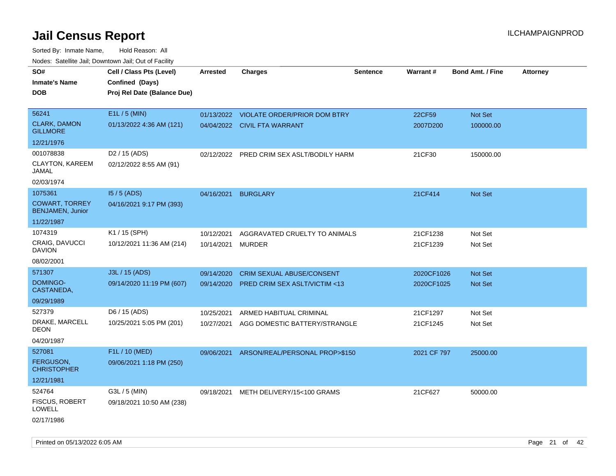| SO#                                              | Cell / Class Pts (Level)    | <b>Arrested</b> | <b>Charges</b>                          | Sentence | Warrant#    | <b>Bond Amt. / Fine</b> | <b>Attorney</b> |
|--------------------------------------------------|-----------------------------|-----------------|-----------------------------------------|----------|-------------|-------------------------|-----------------|
| <b>Inmate's Name</b>                             | Confined (Days)             |                 |                                         |          |             |                         |                 |
| <b>DOB</b>                                       | Proj Rel Date (Balance Due) |                 |                                         |          |             |                         |                 |
|                                                  |                             |                 |                                         |          |             |                         |                 |
| 56241                                            | E1L / 5 (MIN)               |                 | 01/13/2022 VIOLATE ORDER/PRIOR DOM BTRY |          | 22CF59      | Not Set                 |                 |
| <b>CLARK, DAMON</b><br><b>GILLMORE</b>           | 01/13/2022 4:36 AM (121)    |                 | 04/04/2022 CIVIL FTA WARRANT            |          | 2007D200    | 100000.00               |                 |
| 12/21/1976                                       |                             |                 |                                         |          |             |                         |                 |
| 001078838                                        | D <sub>2</sub> / 15 (ADS)   | 02/12/2022      | PRED CRIM SEX ASLT/BODILY HARM          |          | 21CF30      | 150000.00               |                 |
| CLAYTON, KAREEM<br>JAMAL                         | 02/12/2022 8:55 AM (91)     |                 |                                         |          |             |                         |                 |
| 02/03/1974                                       |                             |                 |                                         |          |             |                         |                 |
| 1075361                                          | $15/5$ (ADS)                | 04/16/2021      | <b>BURGLARY</b>                         |          | 21CF414     | <b>Not Set</b>          |                 |
| <b>COWART, TORREY</b><br><b>BENJAMEN, Junior</b> | 04/16/2021 9:17 PM (393)    |                 |                                         |          |             |                         |                 |
| 11/22/1987                                       |                             |                 |                                         |          |             |                         |                 |
| 1074319                                          | K1 / 15 (SPH)               | 10/12/2021      | AGGRAVATED CRUELTY TO ANIMALS           |          | 21CF1238    | Not Set                 |                 |
| CRAIG, DAVUCCI<br><b>DAVION</b>                  | 10/12/2021 11:36 AM (214)   | 10/14/2021      | <b>MURDER</b>                           |          | 21CF1239    | Not Set                 |                 |
| 08/02/2001                                       |                             |                 |                                         |          |             |                         |                 |
| 571307                                           | J3L / 15 (ADS)              | 09/14/2020      | <b>CRIM SEXUAL ABUSE/CONSENT</b>        |          | 2020CF1026  | <b>Not Set</b>          |                 |
| DOMINGO-<br>CASTANEDA,                           | 09/14/2020 11:19 PM (607)   | 09/14/2020      | <b>PRED CRIM SEX ASLT/VICTIM &lt;13</b> |          | 2020CF1025  | <b>Not Set</b>          |                 |
| 09/29/1989                                       |                             |                 |                                         |          |             |                         |                 |
| 527379                                           | D6 / 15 (ADS)               | 10/25/2021      | ARMED HABITUAL CRIMINAL                 |          | 21CF1297    | Not Set                 |                 |
| DRAKE, MARCELL<br><b>DEON</b>                    | 10/25/2021 5:05 PM (201)    | 10/27/2021      | AGG DOMESTIC BATTERY/STRANGLE           |          | 21CF1245    | Not Set                 |                 |
| 04/20/1987                                       |                             |                 |                                         |          |             |                         |                 |
| 527081                                           | F1L / 10 (MED)              | 09/06/2021      | ARSON/REAL/PERSONAL PROP>\$150          |          | 2021 CF 797 | 25000.00                |                 |
| <b>FERGUSON,</b><br><b>CHRISTOPHER</b>           | 09/06/2021 1:18 PM (250)    |                 |                                         |          |             |                         |                 |
| 12/21/1981                                       |                             |                 |                                         |          |             |                         |                 |
| 524764                                           | G3L / 5 (MIN)               |                 | 09/18/2021 METH DELIVERY/15<100 GRAMS   |          | 21CF627     | 50000.00                |                 |
| <b>FISCUS, ROBERT</b><br><b>LOWELL</b>           | 09/18/2021 10:50 AM (238)   |                 |                                         |          |             |                         |                 |
| 02/17/1986                                       |                             |                 |                                         |          |             |                         |                 |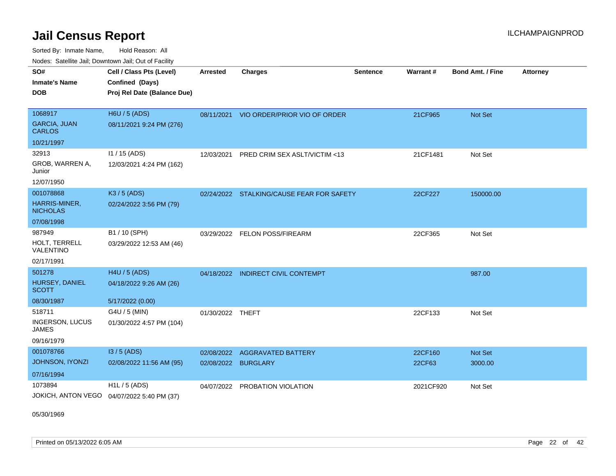Sorted By: Inmate Name, Hold Reason: All Nodes: Satellite Jail; Downtown Jail; Out of Facility

| <b>Houce.</b> Catellite ball, Downtown ball, Out of Fability |                                             |                  |                                           |                 |                 |                         |                 |
|--------------------------------------------------------------|---------------------------------------------|------------------|-------------------------------------------|-----------------|-----------------|-------------------------|-----------------|
| SO#                                                          | Cell / Class Pts (Level)                    | Arrested         | <b>Charges</b>                            | <b>Sentence</b> | <b>Warrant#</b> | <b>Bond Amt. / Fine</b> | <b>Attorney</b> |
| <b>Inmate's Name</b>                                         | Confined (Days)                             |                  |                                           |                 |                 |                         |                 |
| <b>DOB</b>                                                   | Proj Rel Date (Balance Due)                 |                  |                                           |                 |                 |                         |                 |
|                                                              |                                             |                  |                                           |                 |                 |                         |                 |
| 1068917                                                      | H6U / 5 (ADS)                               |                  | 08/11/2021 VIO ORDER/PRIOR VIO OF ORDER   |                 | 21CF965         | <b>Not Set</b>          |                 |
| <b>GARCIA, JUAN</b><br><b>CARLOS</b>                         | 08/11/2021 9:24 PM (276)                    |                  |                                           |                 |                 |                         |                 |
| 10/21/1997                                                   |                                             |                  |                                           |                 |                 |                         |                 |
| 32913                                                        | I1 / 15 (ADS)                               | 12/03/2021       | PRED CRIM SEX ASLT/VICTIM <13             |                 | 21CF1481        | Not Set                 |                 |
| GROB, WARREN A,<br>Junior                                    | 12/03/2021 4:24 PM (162)                    |                  |                                           |                 |                 |                         |                 |
| 12/07/1950                                                   |                                             |                  |                                           |                 |                 |                         |                 |
| 001078868                                                    | K3 / 5 (ADS)                                |                  | 02/24/2022 STALKING/CAUSE FEAR FOR SAFETY |                 | 22CF227         | 150000.00               |                 |
| HARRIS-MINER,<br><b>NICHOLAS</b>                             | 02/24/2022 3:56 PM (79)                     |                  |                                           |                 |                 |                         |                 |
| 07/08/1998                                                   |                                             |                  |                                           |                 |                 |                         |                 |
| 987949                                                       | B1 / 10 (SPH)                               | 03/29/2022       | <b>FELON POSS/FIREARM</b>                 |                 | 22CF365         | Not Set                 |                 |
| HOLT, TERRELL<br>VALENTINO                                   | 03/29/2022 12:53 AM (46)                    |                  |                                           |                 |                 |                         |                 |
| 02/17/1991                                                   |                                             |                  |                                           |                 |                 |                         |                 |
| 501278                                                       | H4U / 5 (ADS)                               |                  | 04/18/2022 INDIRECT CIVIL CONTEMPT        |                 |                 | 987.00                  |                 |
| HURSEY, DANIEL<br><b>SCOTT</b>                               | 04/18/2022 9:26 AM (26)                     |                  |                                           |                 |                 |                         |                 |
| 08/30/1987                                                   | 5/17/2022 (0.00)                            |                  |                                           |                 |                 |                         |                 |
| 518711                                                       | G4U / 5 (MIN)                               | 01/30/2022 THEFT |                                           |                 | 22CF133         | Not Set                 |                 |
| INGERSON, LUCUS<br><b>JAMES</b>                              | 01/30/2022 4:57 PM (104)                    |                  |                                           |                 |                 |                         |                 |
| 09/16/1979                                                   |                                             |                  |                                           |                 |                 |                         |                 |
| 001078766                                                    | $13/5$ (ADS)                                | 02/08/2022       | <b>AGGRAVATED BATTERY</b>                 |                 | 22CF160         | <b>Not Set</b>          |                 |
| <b>JOHNSON, IYONZI</b>                                       | 02/08/2022 11:56 AM (95)                    | 02/08/2022       | <b>BURGLARY</b>                           |                 | 22CF63          | 3000.00                 |                 |
| 07/16/1994                                                   |                                             |                  |                                           |                 |                 |                         |                 |
| 1073894                                                      | H1L / 5 (ADS)                               | 04/07/2022       | PROBATION VIOLATION                       |                 | 2021CF920       | Not Set                 |                 |
|                                                              | JOKICH, ANTON VEGO  04/07/2022 5:40 PM (37) |                  |                                           |                 |                 |                         |                 |

05/30/1969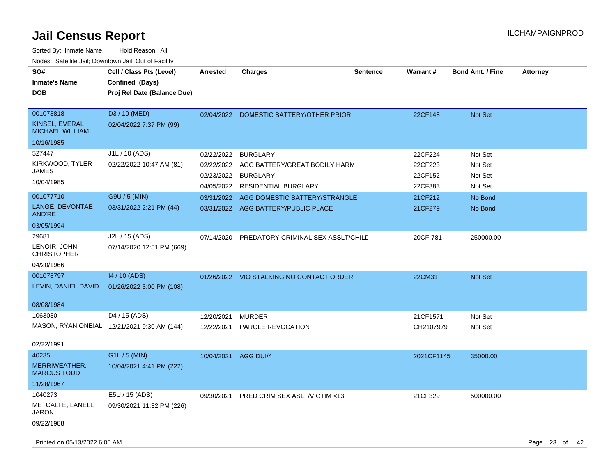| SO#<br><b>Inmate's Name</b><br><b>DOB</b>                                                         | Cell / Class Pts (Level)<br>Confined (Days)<br>Proj Rel Date (Balance Due)             | <b>Arrested</b>                                 | <b>Charges</b>                                                                                                                                                                | <b>Sentence</b> | Warrant#                                                       | <b>Bond Amt. / Fine</b>                                        | <b>Attorney</b> |
|---------------------------------------------------------------------------------------------------|----------------------------------------------------------------------------------------|-------------------------------------------------|-------------------------------------------------------------------------------------------------------------------------------------------------------------------------------|-----------------|----------------------------------------------------------------|----------------------------------------------------------------|-----------------|
| 001078818<br>KINSEL, EVERAL<br>MICHAEL WILLIAM<br>10/16/1985                                      | D3 / 10 (MED)<br>02/04/2022 7:37 PM (99)                                               |                                                 | 02/04/2022 DOMESTIC BATTERY/OTHER PRIOR                                                                                                                                       |                 | 22CF148                                                        | Not Set                                                        |                 |
| 527447<br>KIRKWOOD, TYLER<br><b>JAMES</b><br>10/04/1985<br>001077710<br>LANGE, DEVONTAE<br>AND'RE | J1L / 10 (ADS)<br>02/22/2022 10:47 AM (81)<br>G9U / 5 (MIN)<br>03/31/2022 2:21 PM (44) | 02/22/2022<br>02/23/2022 BURGLARY<br>04/05/2022 | <b>BURGLARY</b><br>02/22/2022 AGG BATTERY/GREAT BODILY HARM<br><b>RESIDENTIAL BURGLARY</b><br>03/31/2022 AGG DOMESTIC BATTERY/STRANGLE<br>03/31/2022 AGG BATTERY/PUBLIC PLACE |                 | 22CF224<br>22CF223<br>22CF152<br>22CF383<br>21CF212<br>21CF279 | Not Set<br>Not Set<br>Not Set<br>Not Set<br>No Bond<br>No Bond |                 |
| 03/05/1994<br>29681<br>LENOIR, JOHN<br><b>CHRISTOPHER</b><br>04/20/1966                           | J2L / 15 (ADS)<br>07/14/2020 12:51 PM (669)                                            | 07/14/2020                                      | PREDATORY CRIMINAL SEX ASSLT/CHILD                                                                                                                                            |                 | 20CF-781                                                       | 250000.00                                                      |                 |
| 001078797<br>LEVIN, DANIEL DAVID<br>08/08/1984                                                    | 14 / 10 (ADS)<br>01/26/2022 3:00 PM (108)                                              |                                                 | 01/26/2022 VIO STALKING NO CONTACT ORDER                                                                                                                                      |                 | 22CM31                                                         | Not Set                                                        |                 |
| 1063030<br>02/22/1991                                                                             | D4 / 15 (ADS)<br>MASON, RYAN ONEIAL 12/21/2021 9:30 AM (144)                           | 12/20/2021<br>12/22/2021                        | <b>MURDER</b><br>PAROLE REVOCATION                                                                                                                                            |                 | 21CF1571<br>CH2107979                                          | Not Set<br>Not Set                                             |                 |
| 40235<br>MERRIWEATHER,<br><b>MARCUS TODD</b><br>11/28/1967                                        | G1L / 5 (MIN)<br>10/04/2021 4:41 PM (222)                                              | 10/04/2021 AGG DUI/4                            |                                                                                                                                                                               |                 | 2021CF1145                                                     | 35000.00                                                       |                 |
| 1040273<br>METCALFE, LANELL<br><b>JARON</b><br>09/22/1988                                         | E5U / 15 (ADS)<br>09/30/2021 11:32 PM (226)                                            | 09/30/2021                                      | PRED CRIM SEX ASLT/VICTIM <13                                                                                                                                                 |                 | 21CF329                                                        | 500000.00                                                      |                 |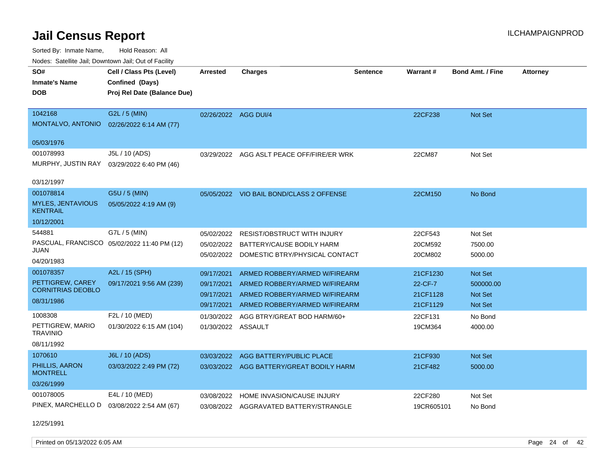Sorted By: Inmate Name, Hold Reason: All Nodes: Satellite Jail; Downtown Jail; Out of Facility

| Nuuts. Saltiille Jall, Duwilluwii Jall, Oul of Facility |                                             |                      |                                           |                 |                 |                  |                 |
|---------------------------------------------------------|---------------------------------------------|----------------------|-------------------------------------------|-----------------|-----------------|------------------|-----------------|
| SO#                                                     | Cell / Class Pts (Level)                    | Arrested             | <b>Charges</b>                            | <b>Sentence</b> | <b>Warrant#</b> | Bond Amt. / Fine | <b>Attorney</b> |
| <b>Inmate's Name</b>                                    | Confined (Days)                             |                      |                                           |                 |                 |                  |                 |
| <b>DOB</b>                                              | Proj Rel Date (Balance Due)                 |                      |                                           |                 |                 |                  |                 |
|                                                         |                                             |                      |                                           |                 |                 |                  |                 |
| 1042168                                                 | G2L / 5 (MIN)                               | 02/26/2022 AGG DUI/4 |                                           |                 | 22CF238         | <b>Not Set</b>   |                 |
| MONTALVO, ANTONIO                                       | 02/26/2022 6:14 AM (77)                     |                      |                                           |                 |                 |                  |                 |
| 05/03/1976                                              |                                             |                      |                                           |                 |                 |                  |                 |
| 001078993                                               | J5L / 10 (ADS)                              |                      | 03/29/2022 AGG ASLT PEACE OFF/FIRE/ER WRK |                 | 22CM87          | Not Set          |                 |
| MURPHY, JUSTIN RAY                                      | 03/29/2022 6:40 PM (46)                     |                      |                                           |                 |                 |                  |                 |
|                                                         |                                             |                      |                                           |                 |                 |                  |                 |
| 03/12/1997                                              |                                             |                      |                                           |                 |                 |                  |                 |
| 001078814                                               | G5U / 5 (MIN)                               |                      | 05/05/2022 VIO BAIL BOND/CLASS 2 OFFENSE  |                 | 22CM150         | No Bond          |                 |
| <b>MYLES, JENTAVIOUS</b><br><b>KENTRAIL</b>             | 05/05/2022 4:19 AM (9)                      |                      |                                           |                 |                 |                  |                 |
| 10/12/2001                                              |                                             |                      |                                           |                 |                 |                  |                 |
| 544881                                                  | G7L / 5 (MIN)                               | 05/02/2022           | <b>RESIST/OBSTRUCT WITH INJURY</b>        |                 | 22CF543         | Not Set          |                 |
|                                                         | PASCUAL, FRANCISCO 05/02/2022 11:40 PM (12) | 05/02/2022           | BATTERY/CAUSE BODILY HARM                 |                 | 20CM592         | 7500.00          |                 |
| JUAN                                                    |                                             | 05/02/2022           | DOMESTIC BTRY/PHYSICAL CONTACT            |                 | 20CM802         | 5000.00          |                 |
| 04/20/1983                                              |                                             |                      |                                           |                 |                 |                  |                 |
| 001078357                                               | A2L / 15 (SPH)                              | 09/17/2021           | ARMED ROBBERY/ARMED W/FIREARM             |                 | 21CF1230        | <b>Not Set</b>   |                 |
| PETTIGREW, CAREY<br><b>CORNITRIAS DEOBLO</b>            | 09/17/2021 9:56 AM (239)                    | 09/17/2021           | ARMED ROBBERY/ARMED W/FIREARM             |                 | 22-CF-7         | 500000.00        |                 |
|                                                         |                                             | 09/17/2021           | ARMED ROBBERY/ARMED W/FIREARM             |                 | 21CF1128        | <b>Not Set</b>   |                 |
| 08/31/1986                                              |                                             | 09/17/2021           | ARMED ROBBERY/ARMED W/FIREARM             |                 | 21CF1129        | <b>Not Set</b>   |                 |
| 1008308                                                 | F2L / 10 (MED)                              | 01/30/2022           | AGG BTRY/GREAT BOD HARM/60+               |                 | 22CF131         | No Bond          |                 |
| PETTIGREW, MARIO<br><b>TRAVINIO</b>                     | 01/30/2022 6:15 AM (104)                    | 01/30/2022 ASSAULT   |                                           |                 | 19CM364         | 4000.00          |                 |
| 08/11/1992                                              |                                             |                      |                                           |                 |                 |                  |                 |
| 1070610                                                 | J6L / 10 (ADS)                              | 03/03/2022           | AGG BATTERY/PUBLIC PLACE                  |                 | 21CF930         | <b>Not Set</b>   |                 |
| PHILLIS, AARON<br><b>MONTRELL</b>                       | 03/03/2022 2:49 PM (72)                     |                      | 03/03/2022 AGG BATTERY/GREAT BODILY HARM  |                 | 21CF482         | 5000.00          |                 |
| 03/26/1999                                              |                                             |                      |                                           |                 |                 |                  |                 |
| 001078005                                               | E4L / 10 (MED)                              | 03/08/2022           | HOME INVASION/CAUSE INJURY                |                 | 22CF280         | Not Set          |                 |
| PINEX, MARCHELLO D                                      | 03/08/2022 2:54 AM (67)                     |                      | 03/08/2022 AGGRAVATED BATTERY/STRANGLE    |                 | 19CR605101      | No Bond          |                 |
|                                                         |                                             |                      |                                           |                 |                 |                  |                 |

12/25/1991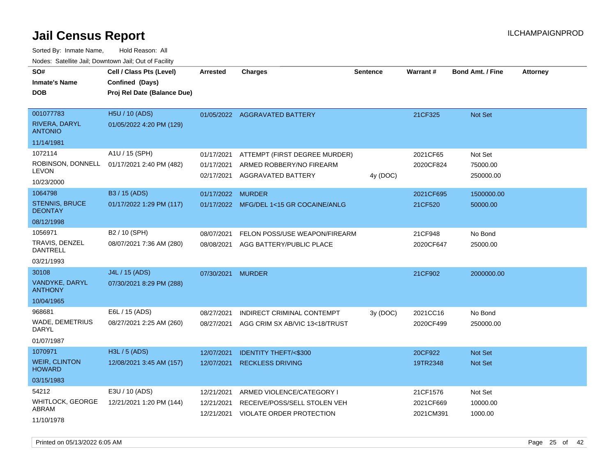Sorted By: Inmate Name, Hold Reason: All Nodes: Satellite Jail; Downtown Jail; Out of Facility

| SO#<br><b>Inmate's Name</b><br><b>DOB</b>                  | Cell / Class Pts (Level)<br>Confined (Days)<br>Proj Rel Date (Balance Due) | <b>Arrested</b>                        | <b>Charges</b>                                                                        | <b>Sentence</b> | Warrant#                           | <b>Bond Amt. / Fine</b>          | <b>Attorney</b> |
|------------------------------------------------------------|----------------------------------------------------------------------------|----------------------------------------|---------------------------------------------------------------------------------------|-----------------|------------------------------------|----------------------------------|-----------------|
| 001077783<br>RIVERA, DARYL<br><b>ANTONIO</b>               | H5U / 10 (ADS)<br>01/05/2022 4:20 PM (129)                                 |                                        | 01/05/2022 AGGRAVATED BATTERY                                                         |                 | 21CF325                            | Not Set                          |                 |
| 11/14/1981                                                 |                                                                            |                                        |                                                                                       |                 |                                    |                                  |                 |
| 1072114<br><b>LEVON</b><br>10/23/2000                      | A1U / 15 (SPH)<br>ROBINSON, DONNELL 01/17/2021 2:40 PM (482)               | 01/17/2021<br>01/17/2021<br>02/17/2021 | ATTEMPT (FIRST DEGREE MURDER)<br>ARMED ROBBERY/NO FIREARM<br>AGGRAVATED BATTERY       | 4y (DOC)        | 2021CF65<br>2020CF824              | Not Set<br>75000.00<br>250000.00 |                 |
| 1064798                                                    | B3 / 15 (ADS)                                                              | 01/17/2022 MURDER                      |                                                                                       |                 | 2021CF695                          | 1500000.00                       |                 |
| <b>STENNIS, BRUCE</b><br><b>DEONTAY</b>                    | 01/17/2022 1:29 PM (117)                                                   |                                        | 01/17/2022 MFG/DEL 1<15 GR COCAINE/ANLG                                               |                 | 21CF520                            | 50000.00                         |                 |
| 08/12/1998                                                 |                                                                            |                                        |                                                                                       |                 |                                    |                                  |                 |
| 1056971<br>TRAVIS, DENZEL<br><b>DANTRELL</b><br>03/21/1993 | B2 / 10 (SPH)<br>08/07/2021 7:36 AM (280)                                  | 08/07/2021<br>08/08/2021               | FELON POSS/USE WEAPON/FIREARM<br>AGG BATTERY/PUBLIC PLACE                             |                 | 21CF948<br>2020CF647               | No Bond<br>25000.00              |                 |
| 30108                                                      | J4L / 15 (ADS)                                                             | 07/30/2021                             | <b>MURDER</b>                                                                         |                 | 21CF902                            | 2000000.00                       |                 |
| VANDYKE, DARYL<br><b>ANTHONY</b>                           | 07/30/2021 8:29 PM (288)                                                   |                                        |                                                                                       |                 |                                    |                                  |                 |
| 10/04/1965                                                 |                                                                            |                                        |                                                                                       |                 |                                    |                                  |                 |
| 968681<br>WADE, DEMETRIUS<br>DARYL<br>01/07/1987           | E6L / 15 (ADS)<br>08/27/2021 2:25 AM (260)                                 | 08/27/2021<br>08/27/2021               | INDIRECT CRIMINAL CONTEMPT<br>AGG CRIM SX AB/VIC 13<18/TRUST                          | 3y (DOC)        | 2021CC16<br>2020CF499              | No Bond<br>250000.00             |                 |
| 1070971                                                    | H3L / 5 (ADS)                                                              | 12/07/2021                             | <b>IDENTITY THEFT/&lt;\$300</b>                                                       |                 | 20CF922                            | <b>Not Set</b>                   |                 |
| <b>WEIR, CLINTON</b><br><b>HOWARD</b>                      | 12/08/2021 3:45 AM (157)                                                   | 12/07/2021                             | <b>RECKLESS DRIVING</b>                                                               |                 | 19TR2348                           | Not Set                          |                 |
| 03/15/1983                                                 |                                                                            |                                        |                                                                                       |                 |                                    |                                  |                 |
| 54212<br>WHITLOCK, GEORGE<br>ABRAM<br>11/10/1978           | E3U / 10 (ADS)<br>12/21/2021 1:20 PM (144)                                 | 12/21/2021<br>12/21/2021<br>12/21/2021 | ARMED VIOLENCE/CATEGORY I<br>RECEIVE/POSS/SELL STOLEN VEH<br>VIOLATE ORDER PROTECTION |                 | 21CF1576<br>2021CF669<br>2021CM391 | Not Set<br>10000.00<br>1000.00   |                 |

Printed on 05/13/2022 6:05 AM Page 25 of 42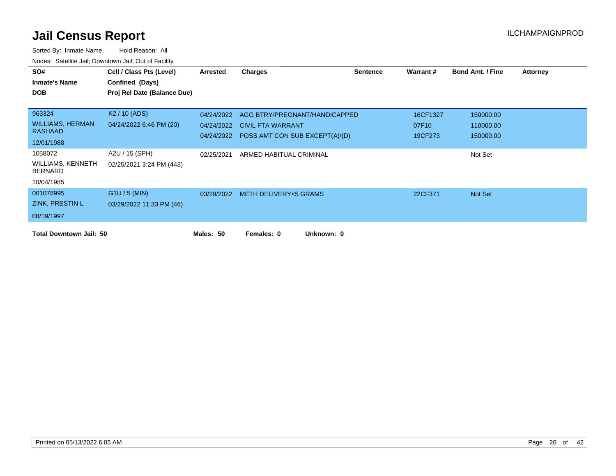| SO#                                 | Cell / Class Pts (Level)    | <b>Arrested</b> | <b>Charges</b>                            | <b>Sentence</b> | Warrant # | <b>Bond Amt. / Fine</b> | <b>Attorney</b> |
|-------------------------------------|-----------------------------|-----------------|-------------------------------------------|-----------------|-----------|-------------------------|-----------------|
| <b>Inmate's Name</b>                | Confined (Days)             |                 |                                           |                 |           |                         |                 |
| <b>DOB</b>                          | Proj Rel Date (Balance Due) |                 |                                           |                 |           |                         |                 |
|                                     |                             |                 |                                           |                 |           |                         |                 |
| 963324                              | K <sub>2</sub> / 10 (ADS)   | 04/24/2022      | AGG BTRY/PREGNANT/HANDICAPPED             |                 | 16CF1327  | 150000.00               |                 |
| <b>WILLIAMS, HERMAN</b>             | 04/24/2022 6:46 PM (20)     | 04/24/2022      | <b>CIVIL FTA WARRANT</b>                  |                 | 07F10     | 110000.00               |                 |
| <b>RASHAAD</b>                      |                             |                 | 04/24/2022 POSS AMT CON SUB EXCEPT(A)/(D) |                 | 19CF273   | 150000.00               |                 |
| 12/01/1988                          |                             |                 |                                           |                 |           |                         |                 |
| 1058072                             | A2U / 15 (SPH)              | 02/25/2021      | ARMED HABITUAL CRIMINAL                   |                 |           | Not Set                 |                 |
| WILLIAMS, KENNETH<br><b>BERNARD</b> | 02/25/2021 3:24 PM (443)    |                 |                                           |                 |           |                         |                 |
| 10/04/1985                          |                             |                 |                                           |                 |           |                         |                 |
| 001078995                           | $G1U / 5$ (MIN)             |                 | 03/29/2022 METH DELIVERY<5 GRAMS          |                 | 22CF371   | Not Set                 |                 |
| ZINK, PRESTIN L                     | 03/29/2022 11:33 PM (46)    |                 |                                           |                 |           |                         |                 |
| 08/19/1997                          |                             |                 |                                           |                 |           |                         |                 |
| <b>Total Downtown Jail: 50</b>      |                             | Males: 50       | Unknown: 0<br>Females: 0                  |                 |           |                         |                 |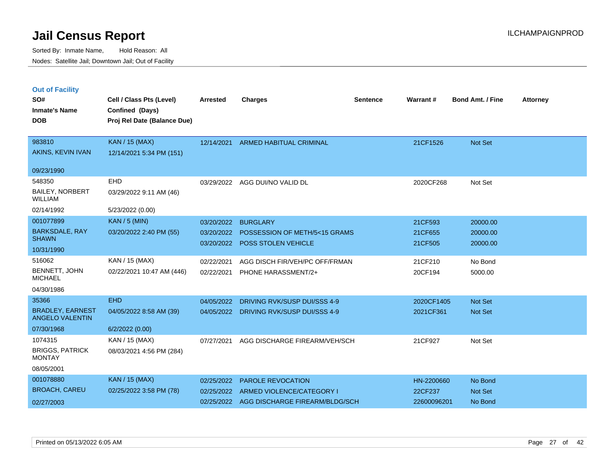|  | <b>Out of Facility</b> |  |
|--|------------------------|--|
|  |                        |  |

| SO#<br><b>Inmate's Name</b><br><b>DOB</b>                                | Cell / Class Pts (Level)<br>Confined (Days)<br>Proj Rel Date (Balance Due) | <b>Arrested</b>                        | <b>Charges</b>                                                                     | <b>Sentence</b> | Warrant#                             | <b>Bond Amt. / Fine</b>          | <b>Attorney</b> |
|--------------------------------------------------------------------------|----------------------------------------------------------------------------|----------------------------------------|------------------------------------------------------------------------------------|-----------------|--------------------------------------|----------------------------------|-----------------|
| 983810<br>AKINS, KEVIN IVAN                                              | <b>KAN / 15 (MAX)</b><br>12/14/2021 5:34 PM (151)                          |                                        | 12/14/2021 ARMED HABITUAL CRIMINAL                                                 |                 | 21CF1526                             | Not Set                          |                 |
| 09/23/1990                                                               |                                                                            |                                        |                                                                                    |                 |                                      |                                  |                 |
| 548350<br><b>BAILEY, NORBERT</b><br><b>WILLIAM</b>                       | <b>EHD</b><br>03/29/2022 9:11 AM (46)                                      | 03/29/2022                             | AGG DUI/NO VALID DL                                                                |                 | 2020CF268                            | Not Set                          |                 |
| 02/14/1992                                                               | 5/23/2022 (0.00)                                                           |                                        |                                                                                    |                 |                                      |                                  |                 |
| 001077899<br><b>BARKSDALE, RAY</b><br><b>SHAWN</b><br>10/31/1990         | <b>KAN / 5 (MIN)</b><br>03/20/2022 2:40 PM (55)                            | 03/20/2022<br>03/20/2022               | <b>BURGLARY</b><br>POSSESSION OF METH/5<15 GRAMS<br>03/20/2022 POSS STOLEN VEHICLE |                 | 21CF593<br>21CF655<br>21CF505        | 20000.00<br>20000.00<br>20000.00 |                 |
| 516062<br>BENNETT, JOHN<br><b>MICHAEL</b><br>04/30/1986                  | KAN / 15 (MAX)<br>02/22/2021 10:47 AM (446)                                | 02/22/2021<br>02/22/2021               | AGG DISCH FIR/VEH/PC OFF/FRMAN<br>PHONE HARASSMENT/2+                              |                 | 21CF210<br>20CF194                   | No Bond<br>5000.00               |                 |
| 35366<br><b>BRADLEY, EARNEST</b><br><b>ANGELO VALENTIN</b><br>07/30/1968 | <b>EHD</b><br>04/05/2022 8:58 AM (39)<br>6/2/2022(0.00)                    | 04/05/2022<br>04/05/2022               | DRIVING RVK/SUSP DUI/SSS 4-9<br>DRIVING RVK/SUSP DUI/SSS 4-9                       |                 | 2020CF1405<br>2021CF361              | Not Set<br>Not Set               |                 |
| 1074315<br><b>BRIGGS, PATRICK</b><br><b>MONTAY</b><br>08/05/2001         | KAN / 15 (MAX)<br>08/03/2021 4:56 PM (284)                                 | 07/27/2021                             | AGG DISCHARGE FIREARM/VEH/SCH                                                      |                 | 21CF927                              | Not Set                          |                 |
| 001078880<br><b>BROACH, CAREU</b><br>02/27/2003                          | <b>KAN / 15 (MAX)</b><br>02/25/2022 3:58 PM (78)                           | 02/25/2022<br>02/25/2022<br>02/25/2022 | PAROLE REVOCATION<br>ARMED VIOLENCE/CATEGORY I<br>AGG DISCHARGE FIREARM/BLDG/SCH   |                 | HN-2200660<br>22CF237<br>22600096201 | No Bond<br>Not Set<br>No Bond    |                 |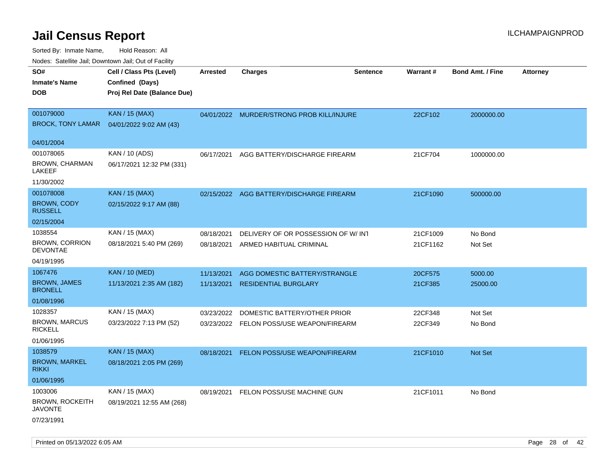| ivouss. Saleling Jali, Downtown Jali, Out of Facility |                             |            |                                           |                 |          |                         |                 |
|-------------------------------------------------------|-----------------------------|------------|-------------------------------------------|-----------------|----------|-------------------------|-----------------|
| SO#                                                   | Cell / Class Pts (Level)    | Arrested   | <b>Charges</b>                            | <b>Sentence</b> | Warrant# | <b>Bond Amt. / Fine</b> | <b>Attorney</b> |
| <b>Inmate's Name</b>                                  | Confined (Days)             |            |                                           |                 |          |                         |                 |
| <b>DOB</b>                                            | Proj Rel Date (Balance Due) |            |                                           |                 |          |                         |                 |
|                                                       |                             |            |                                           |                 |          |                         |                 |
| 001079000                                             | <b>KAN / 15 (MAX)</b>       |            | 04/01/2022 MURDER/STRONG PROB KILL/INJURE |                 | 22CF102  | 2000000.00              |                 |
| <b>BROCK, TONY LAMAR</b>                              | 04/01/2022 9:02 AM (43)     |            |                                           |                 |          |                         |                 |
|                                                       |                             |            |                                           |                 |          |                         |                 |
| 04/01/2004                                            |                             |            |                                           |                 |          |                         |                 |
| 001078065                                             | KAN / 10 (ADS)              | 06/17/2021 | AGG BATTERY/DISCHARGE FIREARM             |                 | 21CF704  | 1000000.00              |                 |
| <b>BROWN, CHARMAN</b><br>LAKEEF                       | 06/17/2021 12:32 PM (331)   |            |                                           |                 |          |                         |                 |
| 11/30/2002                                            |                             |            |                                           |                 |          |                         |                 |
| 001078008                                             | <b>KAN / 15 (MAX)</b>       |            | 02/15/2022 AGG BATTERY/DISCHARGE FIREARM  |                 | 21CF1090 | 500000.00               |                 |
| <b>BROWN, CODY</b><br><b>RUSSELL</b>                  | 02/15/2022 9:17 AM (88)     |            |                                           |                 |          |                         |                 |
| 02/15/2004                                            |                             |            |                                           |                 |          |                         |                 |
| 1038554                                               | KAN / 15 (MAX)              | 08/18/2021 | DELIVERY OF OR POSSESSION OF W/INT        |                 | 21CF1009 | No Bond                 |                 |
| <b>BROWN, CORRION</b>                                 | 08/18/2021 5:40 PM (269)    | 08/18/2021 | ARMED HABITUAL CRIMINAL                   |                 | 21CF1162 | Not Set                 |                 |
| <b>DEVONTAE</b>                                       |                             |            |                                           |                 |          |                         |                 |
| 04/19/1995                                            |                             |            |                                           |                 |          |                         |                 |
| 1067476                                               | <b>KAN / 10 (MED)</b>       | 11/13/2021 | AGG DOMESTIC BATTERY/STRANGLE             |                 | 20CF575  | 5000.00                 |                 |
| <b>BROWN, JAMES</b><br><b>BRONELL</b>                 | 11/13/2021 2:35 AM (182)    | 11/13/2021 | <b>RESIDENTIAL BURGLARY</b>               |                 | 21CF385  | 25000.00                |                 |
| 01/08/1996                                            |                             |            |                                           |                 |          |                         |                 |
| 1028357                                               | KAN / 15 (MAX)              | 03/23/2022 | DOMESTIC BATTERY/OTHER PRIOR              |                 | 22CF348  | Not Set                 |                 |
| <b>BROWN, MARCUS</b><br><b>RICKELL</b>                | 03/23/2022 7:13 PM (52)     |            | 03/23/2022 FELON POSS/USE WEAPON/FIREARM  |                 | 22CF349  | No Bond                 |                 |
| 01/06/1995                                            |                             |            |                                           |                 |          |                         |                 |
| 1038579                                               | <b>KAN / 15 (MAX)</b>       | 08/18/2021 | FELON POSS/USE WEAPON/FIREARM             |                 | 21CF1010 | Not Set                 |                 |
| <b>BROWN, MARKEL</b><br><b>RIKKI</b>                  | 08/18/2021 2:05 PM (269)    |            |                                           |                 |          |                         |                 |
| 01/06/1995                                            |                             |            |                                           |                 |          |                         |                 |
| 1003006                                               | KAN / 15 (MAX)              | 08/19/2021 | FELON POSS/USE MACHINE GUN                |                 | 21CF1011 | No Bond                 |                 |
| <b>BROWN, ROCKEITH</b><br>JAVONTE                     | 08/19/2021 12:55 AM (268)   |            |                                           |                 |          |                         |                 |
| 07/23/1991                                            |                             |            |                                           |                 |          |                         |                 |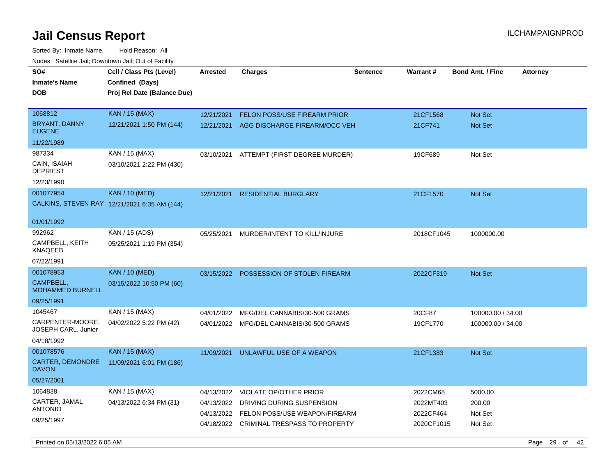Sorted By: Inmate Name, Hold Reason: All Nodes: Satellite Jail; Downtown Jail; Out of Facility

| SO#<br><b>Inmate's Name</b><br><b>DOB</b> | Cell / Class Pts (Level)<br>Confined (Days)<br>Proj Rel Date (Balance Due) | <b>Arrested</b> | Charges                             | <b>Sentence</b> | Warrant#   | <b>Bond Amt. / Fine</b> | <b>Attorney</b> |
|-------------------------------------------|----------------------------------------------------------------------------|-----------------|-------------------------------------|-----------------|------------|-------------------------|-----------------|
|                                           |                                                                            |                 |                                     |                 |            |                         |                 |
| 1068812                                   | <b>KAN / 15 (MAX)</b>                                                      | 12/21/2021      | <b>FELON POSS/USE FIREARM PRIOR</b> |                 | 21CF1568   | <b>Not Set</b>          |                 |
| BRYANT, DANNY<br><b>EUGENE</b>            | 12/21/2021 1:50 PM (144)                                                   | 12/21/2021      | AGG DISCHARGE FIREARM/OCC VEH       |                 | 21CF741    | <b>Not Set</b>          |                 |
| 11/22/1989                                |                                                                            |                 |                                     |                 |            |                         |                 |
| 987334                                    | KAN / 15 (MAX)                                                             | 03/10/2021      | ATTEMPT (FIRST DEGREE MURDER)       |                 | 19CF689    | Not Set                 |                 |
| CAIN, ISAIAH<br><b>DEPRIEST</b>           | 03/10/2021 2:22 PM (430)                                                   |                 |                                     |                 |            |                         |                 |
| 12/23/1990                                |                                                                            |                 |                                     |                 |            |                         |                 |
| 001077954                                 | <b>KAN / 10 (MED)</b>                                                      | 12/21/2021      | <b>RESIDENTIAL BURGLARY</b>         |                 | 21CF1570   | <b>Not Set</b>          |                 |
|                                           | CALKINS, STEVEN RAY 12/21/2021 6:35 AM (144)                               |                 |                                     |                 |            |                         |                 |
|                                           |                                                                            |                 |                                     |                 |            |                         |                 |
| 01/01/1992                                |                                                                            |                 |                                     |                 |            |                         |                 |
| 992962                                    | KAN / 15 (ADS)                                                             | 05/25/2021      | MURDER/INTENT TO KILL/INJURE        |                 | 2018CF1045 | 1000000.00              |                 |
| CAMPBELL, KEITH<br>KNAQEEB                | 05/25/2021 1:19 PM (354)                                                   |                 |                                     |                 |            |                         |                 |
| 07/22/1991                                |                                                                            |                 |                                     |                 |            |                         |                 |
| 001078953                                 | <b>KAN / 10 (MED)</b>                                                      | 03/15/2022      | POSSESSION OF STOLEN FIREARM        |                 | 2022CF319  | <b>Not Set</b>          |                 |
| CAMPBELL,<br><b>MOHAMMED BURNELL</b>      | 03/15/2022 10:50 PM (60)                                                   |                 |                                     |                 |            |                         |                 |
| 09/25/1991                                |                                                                            |                 |                                     |                 |            |                         |                 |
| 1045467                                   | KAN / 15 (MAX)                                                             | 04/01/2022      | MFG/DEL CANNABIS/30-500 GRAMS       |                 | 20CF87     | 100000.00 / 34.00       |                 |
| CARPENTER-MOORE,<br>JOSEPH CARL, Junior   | 04/02/2022 5:22 PM (42)                                                    | 04/01/2022      | MFG/DEL CANNABIS/30-500 GRAMS       |                 | 19CF1770   | 100000.00 / 34.00       |                 |
| 04/18/1992                                |                                                                            |                 |                                     |                 |            |                         |                 |
| 001078576                                 | <b>KAN / 15 (MAX)</b>                                                      | 11/09/2021      | UNLAWFUL USE OF A WEAPON            |                 | 21CF1383   | Not Set                 |                 |
| CARTER, DEMONDRE<br><b>DAVON</b>          | 11/09/2021 6:01 PM (186)                                                   |                 |                                     |                 |            |                         |                 |
| 05/27/2001                                |                                                                            |                 |                                     |                 |            |                         |                 |
| 1064838                                   | KAN / 15 (MAX)                                                             | 04/13/2022      | <b>VIOLATE OP/OTHER PRIOR</b>       |                 | 2022CM68   | 5000.00                 |                 |
| CARTER, JAMAL                             | 04/13/2022 6:34 PM (31)                                                    | 04/13/2022      | DRIVING DURING SUSPENSION           |                 | 2022MT403  | 200.00                  |                 |
| <b>ANTONIO</b>                            |                                                                            | 04/13/2022      | FELON POSS/USE WEAPON/FIREARM       |                 | 2022CF464  | Not Set                 |                 |
| 09/25/1997                                |                                                                            | 04/18/2022      | CRIMINAL TRESPASS TO PROPERTY       |                 | 2020CF1015 | Not Set                 |                 |
|                                           |                                                                            |                 |                                     |                 |            |                         |                 |

Printed on 05/13/2022 6:05 AM Page 29 of 42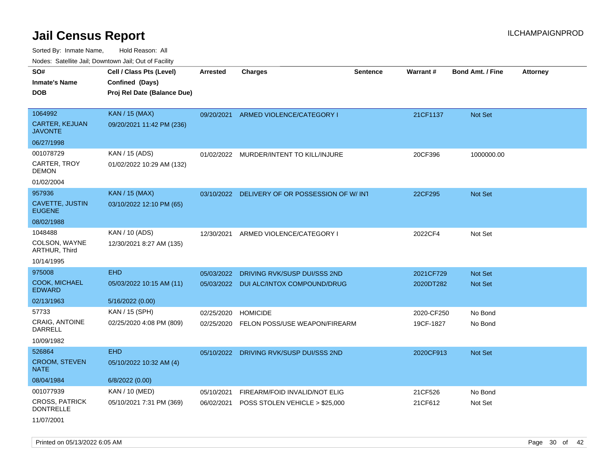Sorted By: Inmate Name, Hold Reason: All Nodes: Satellite Jail; Downtown Jail; Out of Facility

| rouco. Calcillo Jali, Downtown Jali, Out of Facility |                                                                            |                 |                                               |                 |                 |                         |                 |
|------------------------------------------------------|----------------------------------------------------------------------------|-----------------|-----------------------------------------------|-----------------|-----------------|-------------------------|-----------------|
| SO#<br>Inmate's Name<br><b>DOB</b>                   | Cell / Class Pts (Level)<br>Confined (Days)<br>Proj Rel Date (Balance Due) | <b>Arrested</b> | <b>Charges</b>                                | <b>Sentence</b> | <b>Warrant#</b> | <b>Bond Amt. / Fine</b> | <b>Attorney</b> |
| 1064992<br><b>CARTER, KEJUAN</b><br>JAVONTE          | <b>KAN / 15 (MAX)</b><br>09/20/2021 11:42 PM (236)                         | 09/20/2021      | ARMED VIOLENCE/CATEGORY I                     |                 | 21CF1137        | <b>Not Set</b>          |                 |
| 06/27/1998                                           |                                                                            |                 |                                               |                 |                 |                         |                 |
| 001078729<br>CARTER, TROY<br>DEMON                   | KAN / 15 (ADS)<br>01/02/2022 10:29 AM (132)                                |                 | 01/02/2022 MURDER/INTENT TO KILL/INJURE       |                 | 20CF396         | 1000000.00              |                 |
| 01/02/2004                                           |                                                                            |                 |                                               |                 |                 |                         |                 |
| 957936<br><b>CAVETTE, JUSTIN</b><br><b>EUGENE</b>    | <b>KAN / 15 (MAX)</b><br>03/10/2022 12:10 PM (65)                          |                 | 03/10/2022 DELIVERY OF OR POSSESSION OF W/INT |                 | 22CF295         | <b>Not Set</b>          |                 |
| 08/02/1988                                           |                                                                            |                 |                                               |                 |                 |                         |                 |
| 1048488<br>COLSON, WAYNE<br>ARTHUR, Third            | KAN / 10 (ADS)<br>12/30/2021 8:27 AM (135)                                 | 12/30/2021      | ARMED VIOLENCE/CATEGORY I                     |                 | 2022CF4         | Not Set                 |                 |
| 10/14/1995                                           |                                                                            |                 |                                               |                 |                 |                         |                 |
| 975008                                               | <b>EHD</b>                                                                 | 05/03/2022      | DRIVING RVK/SUSP DUI/SSS 2ND                  |                 | 2021CF729       | <b>Not Set</b>          |                 |
| <b>COOK, MICHAEL</b><br>EDWARD                       | 05/03/2022 10:15 AM (11)                                                   | 05/03/2022      | DUI ALC/INTOX COMPOUND/DRUG                   |                 | 2020DT282       | <b>Not Set</b>          |                 |
| 02/13/1963                                           | 5/16/2022 (0.00)                                                           |                 |                                               |                 |                 |                         |                 |
| 57733                                                | KAN / 15 (SPH)                                                             | 02/25/2020      | <b>HOMICIDE</b>                               |                 | 2020-CF250      | No Bond                 |                 |
| CRAIG, ANTOINE<br><b>DARRELL</b><br>10/09/1982       | 02/25/2020 4:08 PM (809)                                                   | 02/25/2020      | FELON POSS/USE WEAPON/FIREARM                 |                 | 19CF-1827       | No Bond                 |                 |
| 526864                                               | <b>EHD</b>                                                                 | 05/10/2022      | DRIVING RVK/SUSP DUI/SSS 2ND                  |                 | 2020CF913       | <b>Not Set</b>          |                 |
| <b>CROOM, STEVEN</b><br>NATE                         | 05/10/2022 10:32 AM (4)                                                    |                 |                                               |                 |                 |                         |                 |
| 08/04/1984                                           | 6/8/2022 (0.00)                                                            |                 |                                               |                 |                 |                         |                 |
| 001077939                                            | <b>KAN / 10 (MED)</b>                                                      | 05/10/2021      | FIREARM/FOID INVALID/NOT ELIG                 |                 | 21CF526         | No Bond                 |                 |
| <b>CROSS, PATRICK</b><br>DONTRELLE                   | 05/10/2021 7:31 PM (369)                                                   | 06/02/2021      | POSS STOLEN VEHICLE > \$25,000                |                 | 21CF612         | Not Set                 |                 |
|                                                      |                                                                            |                 |                                               |                 |                 |                         |                 |

11/07/2001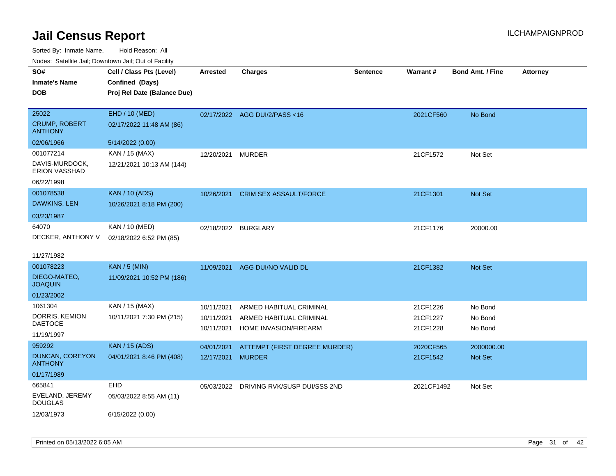| SO#                                      | Cell / Class Pts (Level)    | <b>Arrested</b>     | <b>Charges</b>                          | <b>Sentence</b> | Warrant#   | <b>Bond Amt. / Fine</b> | <b>Attorney</b> |
|------------------------------------------|-----------------------------|---------------------|-----------------------------------------|-----------------|------------|-------------------------|-----------------|
| <b>Inmate's Name</b>                     | Confined (Days)             |                     |                                         |                 |            |                         |                 |
| <b>DOB</b>                               | Proj Rel Date (Balance Due) |                     |                                         |                 |            |                         |                 |
|                                          |                             |                     |                                         |                 |            |                         |                 |
| 25022                                    | EHD / 10 (MED)              |                     | 02/17/2022 AGG DUI/2/PASS<16            |                 | 2021CF560  | No Bond                 |                 |
| <b>CRUMP, ROBERT</b><br><b>ANTHONY</b>   | 02/17/2022 11:48 AM (86)    |                     |                                         |                 |            |                         |                 |
| 02/06/1966                               | 5/14/2022 (0.00)            |                     |                                         |                 |            |                         |                 |
| 001077214                                | KAN / 15 (MAX)              | 12/20/2021          | <b>MURDER</b>                           |                 | 21CF1572   | Not Set                 |                 |
| DAVIS-MURDOCK,<br><b>ERION VASSHAD</b>   | 12/21/2021 10:13 AM (144)   |                     |                                         |                 |            |                         |                 |
| 06/22/1998                               |                             |                     |                                         |                 |            |                         |                 |
| 001078538                                | <b>KAN / 10 (ADS)</b>       | 10/26/2021          | CRIM SEX ASSAULT/FORCE                  |                 | 21CF1301   | Not Set                 |                 |
| DAWKINS, LEN                             | 10/26/2021 8:18 PM (200)    |                     |                                         |                 |            |                         |                 |
| 03/23/1987                               |                             |                     |                                         |                 |            |                         |                 |
| 64070                                    | KAN / 10 (MED)              | 02/18/2022 BURGLARY |                                         |                 | 21CF1176   | 20000.00                |                 |
| DECKER, ANTHONY V                        | 02/18/2022 6:52 PM (85)     |                     |                                         |                 |            |                         |                 |
|                                          |                             |                     |                                         |                 |            |                         |                 |
| 11/27/1982                               |                             |                     |                                         |                 |            |                         |                 |
| 001078223                                | <b>KAN / 5 (MIN)</b>        | 11/09/2021          | AGG DUI/NO VALID DL                     |                 | 21CF1382   | <b>Not Set</b>          |                 |
| DIEGO-MATEO,<br><b>JOAQUIN</b>           | 11/09/2021 10:52 PM (186)   |                     |                                         |                 |            |                         |                 |
| 01/23/2002                               |                             |                     |                                         |                 |            |                         |                 |
| 1061304                                  | KAN / 15 (MAX)              | 10/11/2021          | ARMED HABITUAL CRIMINAL                 |                 | 21CF1226   | No Bond                 |                 |
| DORRIS, KEMION                           | 10/11/2021 7:30 PM (215)    | 10/11/2021          | ARMED HABITUAL CRIMINAL                 |                 | 21CF1227   | No Bond                 |                 |
| <b>DAETOCE</b>                           |                             | 10/11/2021          | HOME INVASION/FIREARM                   |                 | 21CF1228   | No Bond                 |                 |
| 11/19/1997                               |                             |                     |                                         |                 |            |                         |                 |
| 959292                                   | <b>KAN</b> / 15 (ADS)       | 04/01/2021          | ATTEMPT (FIRST DEGREE MURDER)           |                 | 2020CF565  | 2000000.00              |                 |
| <b>DUNCAN, COREYON</b><br><b>ANTHONY</b> | 04/01/2021 8:46 PM (408)    | 12/17/2021          | <b>MURDER</b>                           |                 | 21CF1542   | Not Set                 |                 |
| 01/17/1989                               |                             |                     |                                         |                 |            |                         |                 |
| 665841                                   | EHD                         |                     | 05/03/2022 DRIVING RVK/SUSP DUI/SSS 2ND |                 | 2021CF1492 | Not Set                 |                 |
| EVELAND, JEREMY<br><b>DOUGLAS</b>        | 05/03/2022 8:55 AM (11)     |                     |                                         |                 |            |                         |                 |
| 12/03/1973                               | 6/15/2022 (0.00)            |                     |                                         |                 |            |                         |                 |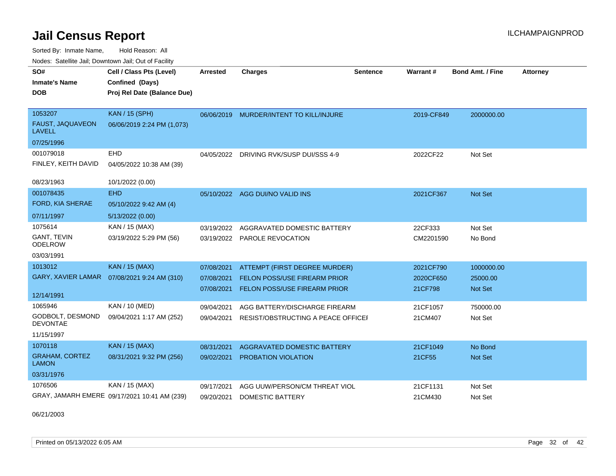Sorted By: Inmate Name, Hold Reason: All Nodes: Satellite Jail; Downtown Jail; Out of Facility

| SO#                                   | Cell / Class Pts (Level)                     | Arrested   | <b>Charges</b>                          | Sentence | Warrant#   | <b>Bond Amt. / Fine</b> | <b>Attorney</b> |
|---------------------------------------|----------------------------------------------|------------|-----------------------------------------|----------|------------|-------------------------|-----------------|
| <b>Inmate's Name</b>                  | Confined (Days)                              |            |                                         |          |            |                         |                 |
| <b>DOB</b>                            | Proj Rel Date (Balance Due)                  |            |                                         |          |            |                         |                 |
| 1053207                               | <b>KAN / 15 (SPH)</b>                        |            | 06/06/2019 MURDER/INTENT TO KILL/INJURE |          | 2019-CF849 | 2000000.00              |                 |
| FAUST, JAQUAVEON<br><b>LAVELL</b>     | 06/06/2019 2:24 PM (1,073)                   |            |                                         |          |            |                         |                 |
| 07/25/1996                            |                                              |            |                                         |          |            |                         |                 |
| 001079018                             | <b>EHD</b>                                   | 04/05/2022 | DRIVING RVK/SUSP DUI/SSS 4-9            |          | 2022CF22   | Not Set                 |                 |
| FINLEY, KEITH DAVID                   | 04/05/2022 10:38 AM (39)                     |            |                                         |          |            |                         |                 |
| 08/23/1963                            | 10/1/2022 (0.00)                             |            |                                         |          |            |                         |                 |
| 001078435                             | <b>EHD</b>                                   |            | 05/10/2022 AGG DUI/NO VALID INS         |          | 2021CF367  | <b>Not Set</b>          |                 |
| FORD, KIA SHERAE                      | 05/10/2022 9:42 AM (4)                       |            |                                         |          |            |                         |                 |
| 07/11/1997                            | 5/13/2022 (0.00)                             |            |                                         |          |            |                         |                 |
| 1075614                               | KAN / 15 (MAX)                               | 03/19/2022 | AGGRAVATED DOMESTIC BATTERY             |          | 22CF333    | Not Set                 |                 |
| GANT, TEVIN<br><b>ODELROW</b>         | 03/19/2022 5:29 PM (56)                      |            | 03/19/2022 PAROLE REVOCATION            |          | CM2201590  | No Bond                 |                 |
| 03/03/1991                            |                                              |            |                                         |          |            |                         |                 |
| 1013012                               | <b>KAN / 15 (MAX)</b>                        | 07/08/2021 | ATTEMPT (FIRST DEGREE MURDER)           |          | 2021CF790  | 1000000.00              |                 |
|                                       | GARY, XAVIER LAMAR  07/08/2021 9:24 AM (310) | 07/08/2021 | <b>FELON POSS/USE FIREARM PRIOR</b>     |          | 2020CF650  | 25000.00                |                 |
|                                       |                                              | 07/08/2021 | FELON POSS/USE FIREARM PRIOR            |          | 21CF798    | Not Set                 |                 |
| 12/14/1991                            |                                              |            |                                         |          |            |                         |                 |
| 1065946                               | KAN / 10 (MED)                               | 09/04/2021 | AGG BATTERY/DISCHARGE FIREARM           |          | 21CF1057   | 750000.00               |                 |
| GODBOLT, DESMOND<br><b>DEVONTAE</b>   | 09/04/2021 1:17 AM (252)                     | 09/04/2021 | RESIST/OBSTRUCTING A PEACE OFFICEI      |          | 21CM407    | Not Set                 |                 |
| 11/15/1997                            |                                              |            |                                         |          |            |                         |                 |
| 1070118                               | <b>KAN / 15 (MAX)</b>                        | 08/31/2021 | AGGRAVATED DOMESTIC BATTERY             |          | 21CF1049   | No Bond                 |                 |
| <b>GRAHAM, CORTEZ</b><br><b>LAMON</b> | 08/31/2021 9:32 PM (256)                     | 09/02/2021 | <b>PROBATION VIOLATION</b>              |          | 21CF55     | Not Set                 |                 |
| 03/31/1976                            |                                              |            |                                         |          |            |                         |                 |
| 1076506                               | KAN / 15 (MAX)                               | 09/17/2021 | AGG UUW/PERSON/CM THREAT VIOL           |          | 21CF1131   | Not Set                 |                 |
|                                       | GRAY, JAMARH EMERE 09/17/2021 10:41 AM (239) | 09/20/2021 | <b>DOMESTIC BATTERY</b>                 |          | 21CM430    | Not Set                 |                 |

06/21/2003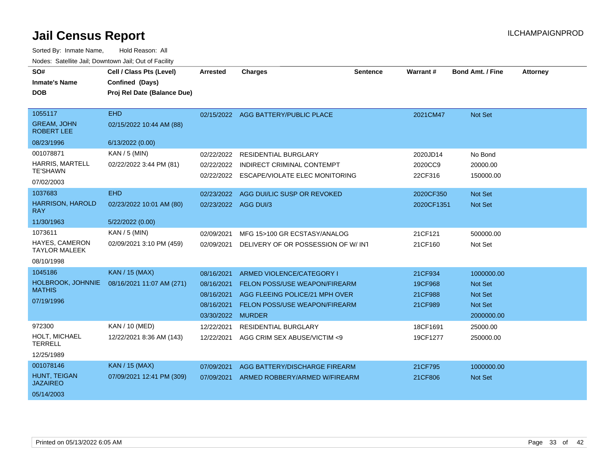| SO#                                     | Cell / Class Pts (Level)    | <b>Arrested</b>      | <b>Charges</b>                       | <b>Sentence</b> | Warrant#   | <b>Bond Amt. / Fine</b> | <b>Attorney</b> |
|-----------------------------------------|-----------------------------|----------------------|--------------------------------------|-----------------|------------|-------------------------|-----------------|
| <b>Inmate's Name</b>                    | <b>Confined (Days)</b>      |                      |                                      |                 |            |                         |                 |
| <b>DOB</b>                              | Proj Rel Date (Balance Due) |                      |                                      |                 |            |                         |                 |
|                                         |                             |                      |                                      |                 |            |                         |                 |
| 1055117                                 | <b>EHD</b>                  |                      | 02/15/2022 AGG BATTERY/PUBLIC PLACE  |                 | 2021CM47   | <b>Not Set</b>          |                 |
| <b>GREAM, JOHN</b><br><b>ROBERT LEE</b> | 02/15/2022 10:44 AM (88)    |                      |                                      |                 |            |                         |                 |
| 08/23/1996                              | 6/13/2022 (0.00)            |                      |                                      |                 |            |                         |                 |
| 001078871                               | <b>KAN / 5 (MIN)</b>        | 02/22/2022           | <b>RESIDENTIAL BURGLARY</b>          |                 | 2020JD14   | No Bond                 |                 |
| <b>HARRIS, MARTELL</b>                  | 02/22/2022 3:44 PM (81)     | 02/22/2022           | INDIRECT CRIMINAL CONTEMPT           |                 | 2020CC9    | 20000.00                |                 |
| <b>TE'SHAWN</b>                         |                             | 02/22/2022           | ESCAPE/VIOLATE ELEC MONITORING       |                 | 22CF316    | 150000.00               |                 |
| 07/02/2003                              |                             |                      |                                      |                 |            |                         |                 |
| 1037683                                 | <b>EHD</b>                  | 02/23/2022           | AGG DUI/LIC SUSP OR REVOKED          |                 | 2020CF350  | <b>Not Set</b>          |                 |
| <b>HARRISON, HAROLD</b><br><b>RAY</b>   | 02/23/2022 10:01 AM (80)    | 02/23/2022 AGG DUI/3 |                                      |                 | 2020CF1351 | <b>Not Set</b>          |                 |
| 11/30/1963                              | 5/22/2022 (0.00)            |                      |                                      |                 |            |                         |                 |
| 1073611                                 | KAN / 5 (MIN)               | 02/09/2021           | MFG 15>100 GR ECSTASY/ANALOG         |                 | 21CF121    | 500000.00               |                 |
| HAYES, CAMERON<br><b>TAYLOR MALEEK</b>  | 02/09/2021 3:10 PM (459)    | 02/09/2021           | DELIVERY OF OR POSSESSION OF W/INT   |                 | 21CF160    | Not Set                 |                 |
| 08/10/1998                              |                             |                      |                                      |                 |            |                         |                 |
| 1045186                                 | <b>KAN / 15 (MAX)</b>       | 08/16/2021           | ARMED VIOLENCE/CATEGORY I            |                 | 21CF934    | 1000000.00              |                 |
| HOLBROOK, JOHNNIE                       | 08/16/2021 11:07 AM (271)   | 08/16/2021           | FELON POSS/USE WEAPON/FIREARM        |                 | 19CF968    | Not Set                 |                 |
| <b>MATHIS</b>                           |                             | 08/16/2021           | AGG FLEEING POLICE/21 MPH OVER       |                 | 21CF988    | <b>Not Set</b>          |                 |
| 07/19/1996                              |                             | 08/16/2021           | <b>FELON POSS/USE WEAPON/FIREARM</b> |                 | 21CF989    | <b>Not Set</b>          |                 |
|                                         |                             | 03/30/2022           | <b>MURDER</b>                        |                 |            | 2000000.00              |                 |
| 972300                                  | KAN / 10 (MED)              | 12/22/2021           | <b>RESIDENTIAL BURGLARY</b>          |                 | 18CF1691   | 25000.00                |                 |
| <b>HOLT, MICHAEL</b><br><b>TERRELL</b>  | 12/22/2021 8:36 AM (143)    | 12/22/2021           | AGG CRIM SEX ABUSE/VICTIM <9         |                 | 19CF1277   | 250000.00               |                 |
| 12/25/1989                              |                             |                      |                                      |                 |            |                         |                 |
| 001078146                               | <b>KAN</b> / 15 (MAX)       | 07/09/2021           | AGG BATTERY/DISCHARGE FIREARM        |                 | 21CF795    | 1000000.00              |                 |
| HUNT, TEIGAN<br><b>JAZAIREO</b>         | 07/09/2021 12:41 PM (309)   | 07/09/2021           | ARMED ROBBERY/ARMED W/FIREARM        |                 | 21CF806    | <b>Not Set</b>          |                 |
| 05/14/2003                              |                             |                      |                                      |                 |            |                         |                 |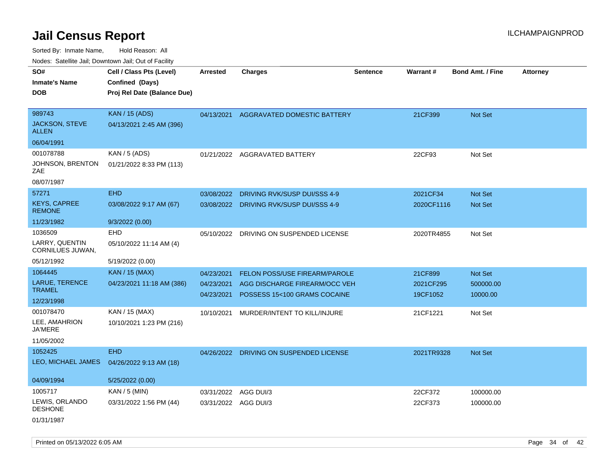Sorted By: Inmate Name, Hold Reason: All

| Nodes: Satellite Jail; Downtown Jail; Out of Facility |  |
|-------------------------------------------------------|--|
|-------------------------------------------------------|--|

| SO#<br><b>Inmate's Name</b>               | Cell / Class Pts (Level)<br>Confined (Days) | <b>Arrested</b> | <b>Charges</b>                           | Sentence | <b>Warrant#</b> | <b>Bond Amt. / Fine</b> | <b>Attorney</b> |
|-------------------------------------------|---------------------------------------------|-----------------|------------------------------------------|----------|-----------------|-------------------------|-----------------|
| <b>DOB</b>                                | Proj Rel Date (Balance Due)                 |                 |                                          |          |                 |                         |                 |
| 989743                                    | <b>KAN / 15 (ADS)</b>                       | 04/13/2021      | AGGRAVATED DOMESTIC BATTERY              |          | 21CF399         | Not Set                 |                 |
| JACKSON, STEVE<br><b>ALLEN</b>            | 04/13/2021 2:45 AM (396)                    |                 |                                          |          |                 |                         |                 |
| 06/04/1991                                |                                             |                 |                                          |          |                 |                         |                 |
| 001078788                                 | KAN / 5 (ADS)                               | 01/21/2022      | AGGRAVATED BATTERY                       |          | 22CF93          | Not Set                 |                 |
| JOHNSON, BRENTON<br>ZAE                   | 01/21/2022 8:33 PM (113)                    |                 |                                          |          |                 |                         |                 |
| 08/07/1987                                |                                             |                 |                                          |          |                 |                         |                 |
| 57271                                     | EHD                                         | 03/08/2022      | DRIVING RVK/SUSP DUI/SSS 4-9             |          | 2021CF34        | Not Set                 |                 |
| <b>KEYS, CAPREE</b><br><b>REMONE</b>      | 03/08/2022 9:17 AM (67)                     |                 | 03/08/2022 DRIVING RVK/SUSP DUI/SSS 4-9  |          | 2020CF1116      | Not Set                 |                 |
| 11/23/1982                                | 9/3/2022 (0.00)                             |                 |                                          |          |                 |                         |                 |
| 1036509                                   | EHD                                         |                 | 05/10/2022 DRIVING ON SUSPENDED LICENSE  |          | 2020TR4855      | Not Set                 |                 |
| LARRY, QUENTIN<br><b>CORNILUES JUWAN,</b> | 05/10/2022 11:14 AM (4)                     |                 |                                          |          |                 |                         |                 |
| 05/12/1992                                | 5/19/2022 (0.00)                            |                 |                                          |          |                 |                         |                 |
| 1064445                                   | <b>KAN / 15 (MAX)</b>                       | 04/23/2021      | FELON POSS/USE FIREARM/PAROLE            |          | 21CF899         | Not Set                 |                 |
| LARUE, TERENCE                            | 04/23/2021 11:18 AM (386)                   |                 | 04/23/2021 AGG DISCHARGE FIREARM/OCC VEH |          | 2021CF295       | 500000.00               |                 |
| <b>TRAMEL</b>                             |                                             | 04/23/2021      | POSSESS 15<100 GRAMS COCAINE             |          | 19CF1052        | 10000.00                |                 |
| 12/23/1998<br>001078470                   |                                             |                 |                                          |          |                 |                         |                 |
| LEE, AMAHRION                             | KAN / 15 (MAX)                              | 10/10/2021      | MURDER/INTENT TO KILL/INJURE             |          | 21CF1221        | Not Set                 |                 |
| <b>JA'MERE</b>                            | 10/10/2021 1:23 PM (216)                    |                 |                                          |          |                 |                         |                 |
| 11/05/2002                                |                                             |                 |                                          |          |                 |                         |                 |
| 1052425                                   | <b>EHD</b>                                  |                 | 04/26/2022 DRIVING ON SUSPENDED LICENSE  |          | 2021TR9328      | Not Set                 |                 |
| LEO, MICHAEL JAMES                        | 04/26/2022 9:13 AM (18)                     |                 |                                          |          |                 |                         |                 |
| 04/09/1994                                | 5/25/2022 (0.00)                            |                 |                                          |          |                 |                         |                 |
| 1005717                                   | KAN / 5 (MIN)                               | 03/31/2022      | AGG DUI/3                                |          | 22CF372         | 100000.00               |                 |
| LEWIS, ORLANDO<br><b>DESHONE</b>          | 03/31/2022 1:56 PM (44)                     |                 | 03/31/2022 AGG DUI/3                     |          | 22CF373         | 100000.00               |                 |
| 01/31/1987                                |                                             |                 |                                          |          |                 |                         |                 |

Printed on 05/13/2022 6:05 AM Page 34 of 42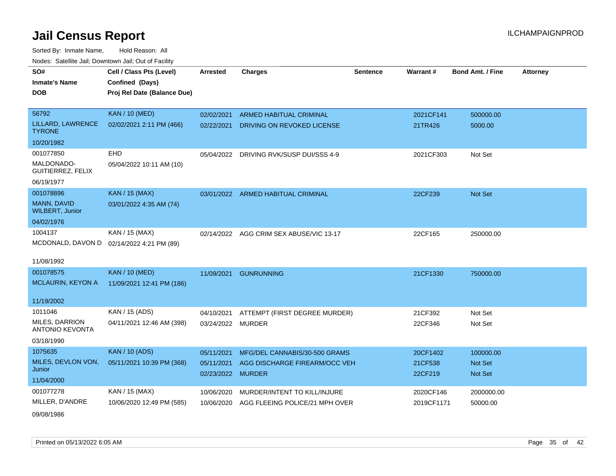Sorted By: Inmate Name, Hold Reason: All Nodes: Satellite Jail; Downtown Jail; Out of Facility

| SO#<br><b>Inmate's Name</b><br><b>DOB</b>                                       | Cell / Class Pts (Level)<br>Confined (Days)<br>Proj Rel Date (Balance Due) | <b>Arrested</b>                               | <b>Charges</b>                                                 | <b>Sentence</b> | Warrant#                       | <b>Bond Amt. / Fine</b>         | <b>Attorney</b> |
|---------------------------------------------------------------------------------|----------------------------------------------------------------------------|-----------------------------------------------|----------------------------------------------------------------|-----------------|--------------------------------|---------------------------------|-----------------|
| 56792<br>LILLARD, LAWRENCE<br><b>TYRONE</b>                                     | <b>KAN / 10 (MED)</b><br>02/02/2021 2:11 PM (466)                          | 02/02/2021<br>02/22/2021                      | <b>ARMED HABITUAL CRIMINAL</b><br>DRIVING ON REVOKED LICENSE   |                 | 2021CF141<br>21TR426           | 500000.00<br>5000.00            |                 |
| 10/20/1982                                                                      |                                                                            |                                               |                                                                |                 |                                |                                 |                 |
| 001077850<br>MALDONADO-<br><b>GUITIERREZ, FELIX</b><br>06/19/1977               | EHD<br>05/04/2022 10:11 AM (10)                                            | 05/04/2022                                    | DRIVING RVK/SUSP DUI/SSS 4-9                                   |                 | 2021CF303                      | Not Set                         |                 |
| 001078896<br>MANN, DAVID<br><b>WILBERT, Junior</b><br>04/02/1976                | <b>KAN / 15 (MAX)</b><br>03/01/2022 4:35 AM (74)                           |                                               | 03/01/2022 ARMED HABITUAL CRIMINAL                             |                 | 22CF239                        | Not Set                         |                 |
| 1004137<br>MCDONALD, DAVON D<br>11/08/1992                                      | KAN / 15 (MAX)<br>02/14/2022 4:21 PM (89)                                  | 02/14/2022                                    | AGG CRIM SEX ABUSE/VIC 13-17                                   |                 | 22CF165                        | 250000.00                       |                 |
| 001078575<br><b>MCLAURIN, KEYON A</b>                                           | <b>KAN / 10 (MED)</b><br>11/09/2021 12:41 PM (186)                         | 11/09/2021                                    | <b>GUNRUNNING</b>                                              |                 | 21CF1330                       | 750000.00                       |                 |
| 11/19/2002<br>1011046<br>MILES, DARRION<br><b>ANTONIO KEVONTA</b><br>03/18/1990 | KAN / 15 (ADS)<br>04/11/2021 12:46 AM (398)                                | 04/10/2021<br>03/24/2022 MURDER               | ATTEMPT (FIRST DEGREE MURDER)                                  |                 | 21CF392<br>22CF346             | Not Set<br>Not Set              |                 |
| 1075635<br>MILES, DEVLON VON,<br>Junior<br>11/04/2000                           | <b>KAN / 10 (ADS)</b><br>05/11/2021 10:39 PM (368)                         | 05/11/2021<br>05/11/2021<br>02/23/2022 MURDER | MFG/DEL CANNABIS/30-500 GRAMS<br>AGG DISCHARGE FIREARM/OCC VEH |                 | 20CF1402<br>21CF538<br>22CF219 | 100000.00<br>Not Set<br>Not Set |                 |
| 001077278<br>MILLER, D'ANDRE                                                    | KAN / 15 (MAX)<br>10/06/2020 12:49 PM (585)                                | 10/06/2020<br>10/06/2020                      | MURDER/INTENT TO KILL/INJURE<br>AGG FLEEING POLICE/21 MPH OVER |                 | 2020CF146<br>2019CF1171        | 2000000.00<br>50000.00          |                 |

09/08/1986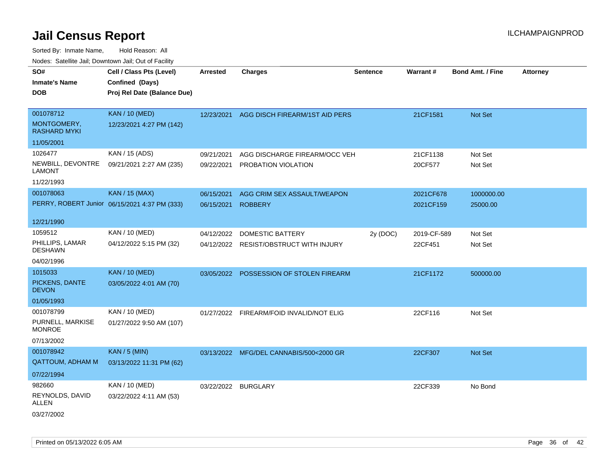| roaco. Catolino dall, Downtown dall, Out of Fability |                                               |            |                                    |                 |                 |                         |                 |
|------------------------------------------------------|-----------------------------------------------|------------|------------------------------------|-----------------|-----------------|-------------------------|-----------------|
| SO#                                                  | Cell / Class Pts (Level)                      | Arrested   | <b>Charges</b>                     | <b>Sentence</b> | <b>Warrant#</b> | <b>Bond Amt. / Fine</b> | <b>Attorney</b> |
| <b>Inmate's Name</b>                                 | Confined (Days)                               |            |                                    |                 |                 |                         |                 |
| <b>DOB</b>                                           | Proj Rel Date (Balance Due)                   |            |                                    |                 |                 |                         |                 |
|                                                      |                                               |            |                                    |                 |                 |                         |                 |
| 001078712                                            | <b>KAN / 10 (MED)</b>                         | 12/23/2021 | AGG DISCH FIREARM/1ST AID PERS     |                 | 21CF1581        | <b>Not Set</b>          |                 |
| MONTGOMERY,<br><b>RASHARD MYKI</b>                   | 12/23/2021 4:27 PM (142)                      |            |                                    |                 |                 |                         |                 |
| 11/05/2001                                           |                                               |            |                                    |                 |                 |                         |                 |
| 1026477                                              | KAN / 15 (ADS)                                | 09/21/2021 | AGG DISCHARGE FIREARM/OCC VEH      |                 | 21CF1138        | Not Set                 |                 |
| NEWBILL, DEVONTRE<br>LAMONT                          | 09/21/2021 2:27 AM (235)                      | 09/22/2021 | PROBATION VIOLATION                |                 | 20CF577         | Not Set                 |                 |
| 11/22/1993                                           |                                               |            |                                    |                 |                 |                         |                 |
| 001078063                                            | KAN / 15 (MAX)                                | 06/15/2021 | AGG CRIM SEX ASSAULT/WEAPON        |                 | 2021CF678       | 1000000.00              |                 |
|                                                      | PERRY, ROBERT Junior 06/15/2021 4:37 PM (333) | 06/15/2021 | <b>ROBBERY</b>                     |                 | 2021CF159       | 25000.00                |                 |
|                                                      |                                               |            |                                    |                 |                 |                         |                 |
| 12/21/1990                                           |                                               |            |                                    |                 |                 |                         |                 |
| 1059512                                              | KAN / 10 (MED)                                | 04/12/2022 | DOMESTIC BATTERY                   | 2y (DOC)        | 2019-CF-589     | Not Set                 |                 |
| PHILLIPS, LAMAR<br><b>DESHAWN</b>                    | 04/12/2022 5:15 PM (32)                       | 04/12/2022 | <b>RESIST/OBSTRUCT WITH INJURY</b> |                 | 22CF451         | Not Set                 |                 |
| 04/02/1996                                           |                                               |            |                                    |                 |                 |                         |                 |
| 1015033                                              | <b>KAN / 10 (MED)</b>                         | 03/05/2022 | POSSESSION OF STOLEN FIREARM       |                 | 21CF1172        | 500000.00               |                 |
| PICKENS, DANTE<br><b>DEVON</b>                       | 03/05/2022 4:01 AM (70)                       |            |                                    |                 |                 |                         |                 |
| 01/05/1993                                           |                                               |            |                                    |                 |                 |                         |                 |
| 001078799                                            | KAN / 10 (MED)                                | 01/27/2022 | FIREARM/FOID INVALID/NOT ELIG      |                 | 22CF116         | Not Set                 |                 |
| PURNELL, MARKISE<br><b>MONROE</b>                    | 01/27/2022 9:50 AM (107)                      |            |                                    |                 |                 |                         |                 |
| 07/13/2002                                           |                                               |            |                                    |                 |                 |                         |                 |
| 001078942                                            | <b>KAN / 5 (MIN)</b>                          | 03/13/2022 | MFG/DEL CANNABIS/500<2000 GR       |                 | 22CF307         | <b>Not Set</b>          |                 |
| <b>QATTOUM, ADHAM M</b>                              | 03/13/2022 11:31 PM (62)                      |            |                                    |                 |                 |                         |                 |
| 07/22/1994                                           |                                               |            |                                    |                 |                 |                         |                 |
| 982660                                               | KAN / 10 (MED)                                | 03/22/2022 | BURGLARY                           |                 | 22CF339         | No Bond                 |                 |
| REYNOLDS, DAVID<br>ALLEN                             | 03/22/2022 4:11 AM (53)                       |            |                                    |                 |                 |                         |                 |
| 03/27/2002                                           |                                               |            |                                    |                 |                 |                         |                 |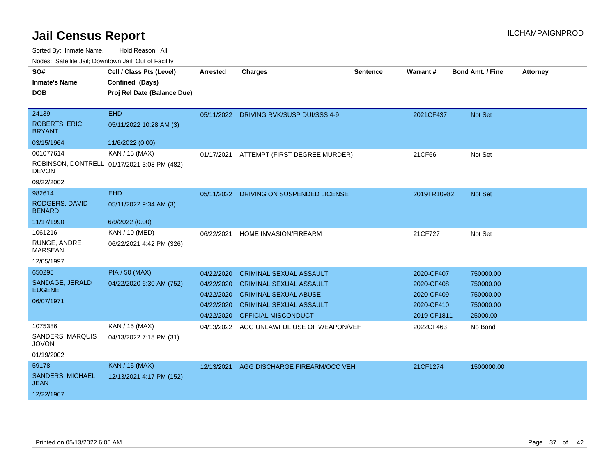| Noucs. Catchitic sail, Downtown sail, Out of Facility |                                             |                 |                                          |                 |             |                         |                 |
|-------------------------------------------------------|---------------------------------------------|-----------------|------------------------------------------|-----------------|-------------|-------------------------|-----------------|
| SO#                                                   | Cell / Class Pts (Level)                    | <b>Arrested</b> | <b>Charges</b>                           | <b>Sentence</b> | Warrant#    | <b>Bond Amt. / Fine</b> | <b>Attorney</b> |
| <b>Inmate's Name</b>                                  | Confined (Days)                             |                 |                                          |                 |             |                         |                 |
| DOB.                                                  | Proj Rel Date (Balance Due)                 |                 |                                          |                 |             |                         |                 |
|                                                       |                                             |                 |                                          |                 |             |                         |                 |
| 24139                                                 | <b>EHD</b>                                  |                 | 05/11/2022 DRIVING RVK/SUSP DUI/SSS 4-9  |                 | 2021CF437   | <b>Not Set</b>          |                 |
| <b>ROBERTS, ERIC</b><br><b>BRYANT</b>                 | 05/11/2022 10:28 AM (3)                     |                 |                                          |                 |             |                         |                 |
| 03/15/1964                                            | 11/6/2022 (0.00)                            |                 |                                          |                 |             |                         |                 |
| 001077614                                             | KAN / 15 (MAX)                              |                 | 01/17/2021 ATTEMPT (FIRST DEGREE MURDER) |                 | 21CF66      | Not Set                 |                 |
| <b>DEVON</b>                                          | ROBINSON, DONTRELL 01/17/2021 3:08 PM (482) |                 |                                          |                 |             |                         |                 |
| 09/22/2002                                            |                                             |                 |                                          |                 |             |                         |                 |
| 982614                                                | <b>EHD</b>                                  |                 | 05/11/2022 DRIVING ON SUSPENDED LICENSE  |                 | 2019TR10982 | <b>Not Set</b>          |                 |
| RODGERS, DAVID<br><b>BENARD</b>                       | 05/11/2022 9:34 AM (3)                      |                 |                                          |                 |             |                         |                 |
| 11/17/1990                                            | 6/9/2022 (0.00)                             |                 |                                          |                 |             |                         |                 |
| 1061216                                               | KAN / 10 (MED)                              | 06/22/2021      | HOME INVASION/FIREARM                    |                 | 21CF727     | Not Set                 |                 |
| RUNGE, ANDRE<br><b>MARSEAN</b>                        | 06/22/2021 4:42 PM (326)                    |                 |                                          |                 |             |                         |                 |
| 12/05/1997                                            |                                             |                 |                                          |                 |             |                         |                 |
| 650295                                                | <b>PIA / 50 (MAX)</b>                       | 04/22/2020      | <b>CRIMINAL SEXUAL ASSAULT</b>           |                 | 2020-CF407  | 750000.00               |                 |
| SANDAGE, JERALD                                       | 04/22/2020 6:30 AM (752)                    | 04/22/2020      | <b>CRIMINAL SEXUAL ASSAULT</b>           |                 | 2020-CF408  | 750000.00               |                 |
| <b>EUGENE</b>                                         |                                             | 04/22/2020      | <b>CRIMINAL SEXUAL ABUSE</b>             |                 | 2020-CF409  | 750000.00               |                 |
| 06/07/1971                                            |                                             | 04/22/2020      | <b>CRIMINAL SEXUAL ASSAULT</b>           |                 | 2020-CF410  | 750000.00               |                 |
|                                                       |                                             | 04/22/2020      | <b>OFFICIAL MISCONDUCT</b>               |                 | 2019-CF1811 | 25000.00                |                 |
| 1075386                                               | KAN / 15 (MAX)                              | 04/13/2022      | AGG UNLAWFUL USE OF WEAPON/VEH           |                 | 2022CF463   | No Bond                 |                 |
| SANDERS, MARQUIS<br><b>JOVON</b>                      | 04/13/2022 7:18 PM (31)                     |                 |                                          |                 |             |                         |                 |
| 01/19/2002                                            |                                             |                 |                                          |                 |             |                         |                 |
| 59178                                                 | <b>KAN / 15 (MAX)</b>                       | 12/13/2021      | AGG DISCHARGE FIREARM/OCC VEH            |                 | 21CF1274    | 1500000.00              |                 |
| SANDERS, MICHAEL<br>JEAN                              | 12/13/2021 4:17 PM (152)                    |                 |                                          |                 |             |                         |                 |
| 12/22/1967                                            |                                             |                 |                                          |                 |             |                         |                 |
|                                                       |                                             |                 |                                          |                 |             |                         |                 |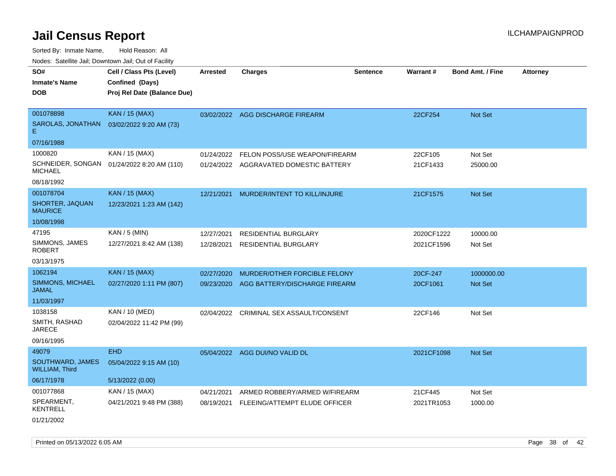| rougs. Calcinic Jan, Downtown Jan, Out of Facility |                             |                 |                                          |                 |            |                         |                 |
|----------------------------------------------------|-----------------------------|-----------------|------------------------------------------|-----------------|------------|-------------------------|-----------------|
| SO#                                                | Cell / Class Pts (Level)    | <b>Arrested</b> | <b>Charges</b>                           | <b>Sentence</b> | Warrant#   | <b>Bond Amt. / Fine</b> | <b>Attorney</b> |
| <b>Inmate's Name</b>                               | Confined (Days)             |                 |                                          |                 |            |                         |                 |
| <b>DOB</b>                                         | Proj Rel Date (Balance Due) |                 |                                          |                 |            |                         |                 |
|                                                    |                             |                 |                                          |                 |            |                         |                 |
| 001078898                                          | <b>KAN / 15 (MAX)</b>       |                 | 03/02/2022 AGG DISCHARGE FIREARM         |                 | 22CF254    | Not Set                 |                 |
| SAROLAS, JONATHAN<br>Е                             | 03/02/2022 9:20 AM (73)     |                 |                                          |                 |            |                         |                 |
| 07/16/1988                                         |                             |                 |                                          |                 |            |                         |                 |
| 1000820                                            | KAN / 15 (MAX)              | 01/24/2022      | FELON POSS/USE WEAPON/FIREARM            |                 | 22CF105    | Not Set                 |                 |
| SCHNEIDER, SONGAN<br><b>MICHAEL</b>                | 01/24/2022 8:20 AM (110)    |                 | 01/24/2022 AGGRAVATED DOMESTIC BATTERY   |                 | 21CF1433   | 25000.00                |                 |
| 08/18/1992                                         |                             |                 |                                          |                 |            |                         |                 |
| 001078704                                          | <b>KAN / 15 (MAX)</b>       | 12/21/2021      | MURDER/INTENT TO KILL/INJURE             |                 | 21CF1575   | Not Set                 |                 |
| SHORTER, JAQUAN<br><b>MAURICE</b>                  | 12/23/2021 1:23 AM (142)    |                 |                                          |                 |            |                         |                 |
| 10/08/1998                                         |                             |                 |                                          |                 |            |                         |                 |
| 47195                                              | KAN / 5 (MIN)               | 12/27/2021      | <b>RESIDENTIAL BURGLARY</b>              |                 | 2020CF1222 | 10000.00                |                 |
| SIMMONS, JAMES<br><b>ROBERT</b>                    | 12/27/2021 8:42 AM (138)    | 12/28/2021      | <b>RESIDENTIAL BURGLARY</b>              |                 | 2021CF1596 | Not Set                 |                 |
| 03/13/1975                                         |                             |                 |                                          |                 |            |                         |                 |
| 1062194                                            | <b>KAN / 15 (MAX)</b>       | 02/27/2020      | MURDER/OTHER FORCIBLE FELONY             |                 | 20CF-247   | 1000000.00              |                 |
| <b>SIMMONS, MICHAEL</b><br><b>JAMAL</b>            | 02/27/2020 1:11 PM (807)    |                 | 09/23/2020 AGG BATTERY/DISCHARGE FIREARM |                 | 20CF1061   | Not Set                 |                 |
| 11/03/1997                                         |                             |                 |                                          |                 |            |                         |                 |
| 1038158                                            | KAN / 10 (MED)              |                 | 02/04/2022 CRIMINAL SEX ASSAULT/CONSENT  |                 | 22CF146    | Not Set                 |                 |
| SMITH, RASHAD<br><b>JARECE</b>                     | 02/04/2022 11:42 PM (99)    |                 |                                          |                 |            |                         |                 |
| 09/16/1995                                         |                             |                 |                                          |                 |            |                         |                 |
| 49079                                              | <b>EHD</b>                  |                 | 05/04/2022 AGG DUI/NO VALID DL           |                 | 2021CF1098 | Not Set                 |                 |
| SOUTHWARD, JAMES<br><b>WILLIAM, Third</b>          | 05/04/2022 9:15 AM (10)     |                 |                                          |                 |            |                         |                 |
| 06/17/1978                                         | 5/13/2022 (0.00)            |                 |                                          |                 |            |                         |                 |
| 001077868                                          | KAN / 15 (MAX)              | 04/21/2021      | ARMED ROBBERY/ARMED W/FIREARM            |                 | 21CF445    | Not Set                 |                 |
| SPEARMENT,<br><b>KENTRELL</b>                      | 04/21/2021 9:48 PM (388)    | 08/19/2021      | FLEEING/ATTEMPT ELUDE OFFICER            |                 | 2021TR1053 | 1000.00                 |                 |
| 01/21/2002                                         |                             |                 |                                          |                 |            |                         |                 |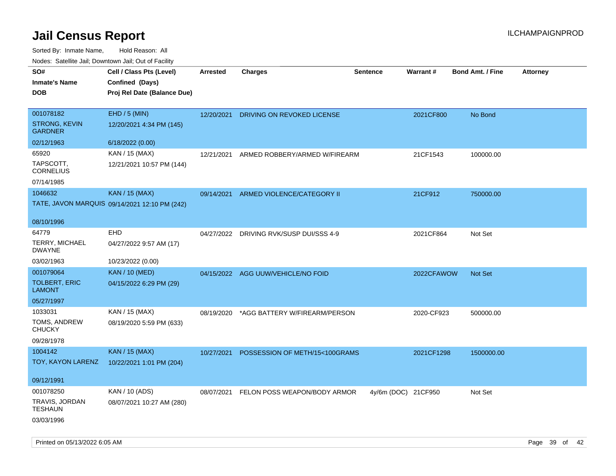| Hougo. Catolino can, Bowmown can, Cat or Fagint<br>SO# | Cell / Class Pts (Level)                      | Arrested   | <b>Charges</b>                     | <b>Sentence</b>     | <b>Warrant#</b> | <b>Bond Amt. / Fine</b> | <b>Attorney</b> |
|--------------------------------------------------------|-----------------------------------------------|------------|------------------------------------|---------------------|-----------------|-------------------------|-----------------|
| <b>Inmate's Name</b>                                   | Confined (Days)                               |            |                                    |                     |                 |                         |                 |
| <b>DOB</b>                                             | Proj Rel Date (Balance Due)                   |            |                                    |                     |                 |                         |                 |
| 001078182                                              | EHD / 5 (MIN)                                 |            |                                    |                     |                 |                         |                 |
| <b>STRONG, KEVIN</b><br><b>GARDNER</b>                 | 12/20/2021 4:34 PM (145)                      | 12/20/2021 | DRIVING ON REVOKED LICENSE         |                     | 2021CF800       | No Bond                 |                 |
| 02/12/1963                                             | 6/18/2022 (0.00)                              |            |                                    |                     |                 |                         |                 |
| 65920                                                  | KAN / 15 (MAX)                                | 12/21/2021 | ARMED ROBBERY/ARMED W/FIREARM      |                     | 21CF1543        | 100000.00               |                 |
| TAPSCOTT,<br><b>CORNELIUS</b>                          | 12/21/2021 10:57 PM (144)                     |            |                                    |                     |                 |                         |                 |
| 07/14/1985                                             |                                               |            |                                    |                     |                 |                         |                 |
| 1046632                                                | <b>KAN / 15 (MAX)</b>                         | 09/14/2021 | ARMED VIOLENCE/CATEGORY II         |                     | 21CF912         | 750000.00               |                 |
|                                                        | TATE, JAVON MARQUIS 09/14/2021 12:10 PM (242) |            |                                    |                     |                 |                         |                 |
| 08/10/1996                                             |                                               |            |                                    |                     |                 |                         |                 |
| 64779                                                  | <b>EHD</b>                                    | 04/27/2022 | DRIVING RVK/SUSP DUI/SSS 4-9       |                     | 2021CF864       | Not Set                 |                 |
| <b>TERRY, MICHAEL</b><br><b>DWAYNE</b>                 | 04/27/2022 9:57 AM (17)                       |            |                                    |                     |                 |                         |                 |
| 03/02/1963                                             | 10/23/2022 (0.00)                             |            |                                    |                     |                 |                         |                 |
| 001079064                                              | <b>KAN / 10 (MED)</b>                         |            | 04/15/2022 AGG UUW/VEHICLE/NO FOID |                     | 2022CFAWOW      | <b>Not Set</b>          |                 |
| <b>TOLBERT, ERIC</b><br><b>LAMONT</b>                  | 04/15/2022 6:29 PM (29)                       |            |                                    |                     |                 |                         |                 |
| 05/27/1997                                             |                                               |            |                                    |                     |                 |                         |                 |
| 1033031                                                | KAN / 15 (MAX)                                | 08/19/2020 | *AGG BATTERY W/FIREARM/PERSON      |                     | 2020-CF923      | 500000.00               |                 |
| TOMS, ANDREW<br><b>CHUCKY</b>                          | 08/19/2020 5:59 PM (633)                      |            |                                    |                     |                 |                         |                 |
| 09/28/1978                                             |                                               |            |                                    |                     |                 |                         |                 |
| 1004142                                                | <b>KAN</b> / 15 (MAX)                         | 10/27/2021 | POSSESSION OF METH/15<100GRAMS     |                     | 2021CF1298      | 1500000.00              |                 |
| TOY, KAYON LARENZ                                      | 10/22/2021 1:01 PM (204)                      |            |                                    |                     |                 |                         |                 |
| 09/12/1991                                             |                                               |            |                                    |                     |                 |                         |                 |
| 001078250                                              | KAN / 10 (ADS)                                | 08/07/2021 | FELON POSS WEAPON/BODY ARMOR       | 4y/6m (DOC) 21CF950 |                 | Not Set                 |                 |
| TRAVIS, JORDAN<br>TESHAUN                              | 08/07/2021 10:27 AM (280)                     |            |                                    |                     |                 |                         |                 |
| 03/03/1996                                             |                                               |            |                                    |                     |                 |                         |                 |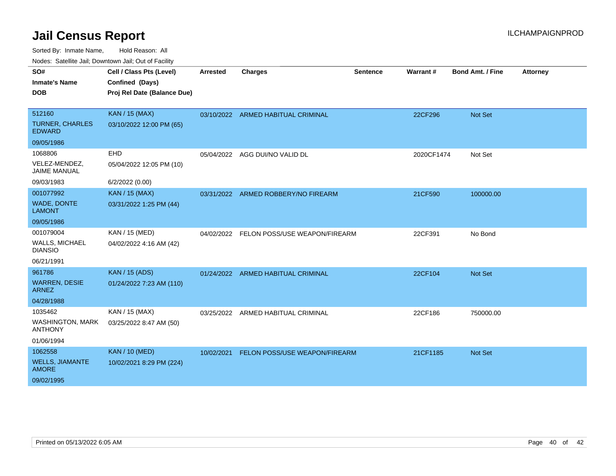| Noucs. Calcillic Jail, Downtown Jail, Out of Facility |                             |            |                                          |                 |            |                         |                 |
|-------------------------------------------------------|-----------------------------|------------|------------------------------------------|-----------------|------------|-------------------------|-----------------|
| SO#                                                   | Cell / Class Pts (Level)    | Arrested   | <b>Charges</b>                           | <b>Sentence</b> | Warrant#   | <b>Bond Amt. / Fine</b> | <b>Attorney</b> |
| <b>Inmate's Name</b>                                  | Confined (Days)             |            |                                          |                 |            |                         |                 |
| <b>DOB</b>                                            | Proj Rel Date (Balance Due) |            |                                          |                 |            |                         |                 |
|                                                       |                             |            |                                          |                 |            |                         |                 |
| 512160                                                | <b>KAN / 15 (MAX)</b>       |            | 03/10/2022 ARMED HABITUAL CRIMINAL       |                 | 22CF296    | Not Set                 |                 |
| <b>TURNER, CHARLES</b><br><b>EDWARD</b>               | 03/10/2022 12:00 PM (65)    |            |                                          |                 |            |                         |                 |
| 09/05/1986                                            |                             |            |                                          |                 |            |                         |                 |
| 1068806                                               | EHD                         |            | 05/04/2022 AGG DUI/NO VALID DL           |                 | 2020CF1474 | Not Set                 |                 |
| VELEZ-MENDEZ,<br><b>JAIME MANUAL</b>                  | 05/04/2022 12:05 PM (10)    |            |                                          |                 |            |                         |                 |
| 09/03/1983                                            | 6/2/2022 (0.00)             |            |                                          |                 |            |                         |                 |
| 001077992                                             | <b>KAN / 15 (MAX)</b>       | 03/31/2022 | ARMED ROBBERY/NO FIREARM                 |                 | 21CF590    | 100000.00               |                 |
| <b>WADE, DONTE</b><br><b>LAMONT</b>                   | 03/31/2022 1:25 PM (44)     |            |                                          |                 |            |                         |                 |
| 09/05/1986                                            |                             |            |                                          |                 |            |                         |                 |
| 001079004                                             | KAN / 15 (MED)              |            | 04/02/2022 FELON POSS/USE WEAPON/FIREARM |                 | 22CF391    | No Bond                 |                 |
| <b>WALLS, MICHAEL</b><br><b>DIANSIO</b>               | 04/02/2022 4:16 AM (42)     |            |                                          |                 |            |                         |                 |
| 06/21/1991                                            |                             |            |                                          |                 |            |                         |                 |
| 961786                                                | <b>KAN / 15 (ADS)</b>       |            | 01/24/2022 ARMED HABITUAL CRIMINAL       |                 | 22CF104    | Not Set                 |                 |
| <b>WARREN, DESIE</b><br><b>ARNEZ</b>                  | 01/24/2022 7:23 AM (110)    |            |                                          |                 |            |                         |                 |
| 04/28/1988                                            |                             |            |                                          |                 |            |                         |                 |
| 1035462                                               | KAN / 15 (MAX)              |            | 03/25/2022 ARMED HABITUAL CRIMINAL       |                 | 22CF186    | 750000.00               |                 |
| <b>WASHINGTON, MARK</b><br><b>ANTHONY</b>             | 03/25/2022 8:47 AM (50)     |            |                                          |                 |            |                         |                 |
| 01/06/1994                                            |                             |            |                                          |                 |            |                         |                 |
| 1062558                                               | <b>KAN / 10 (MED)</b>       | 10/02/2021 | FELON POSS/USE WEAPON/FIREARM            |                 | 21CF1185   | Not Set                 |                 |
| <b>WELLS, JIAMANTE</b><br><b>AMORE</b>                | 10/02/2021 8:29 PM (224)    |            |                                          |                 |            |                         |                 |
| 09/02/1995                                            |                             |            |                                          |                 |            |                         |                 |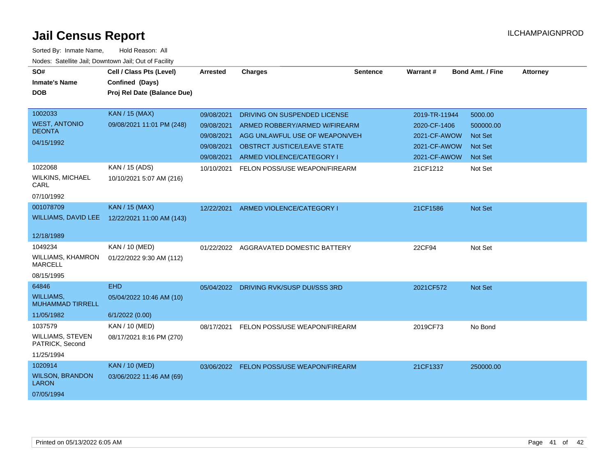| SO#<br><b>Inmate's Name</b><br><b>DOB</b>                       | Cell / Class Pts (Level)<br>Confined (Days)<br>Proj Rel Date (Balance Due) | <b>Arrested</b>                        | <b>Charges</b>                                                                                  | <b>Sentence</b> | Warrant#                                      | <b>Bond Amt. / Fine</b>                | <b>Attorney</b> |
|-----------------------------------------------------------------|----------------------------------------------------------------------------|----------------------------------------|-------------------------------------------------------------------------------------------------|-----------------|-----------------------------------------------|----------------------------------------|-----------------|
|                                                                 |                                                                            |                                        |                                                                                                 |                 |                                               |                                        |                 |
| 1002033<br><b>WEST, ANTONIO</b><br><b>DEONTA</b><br>04/15/1992  | <b>KAN / 15 (MAX)</b><br>09/08/2021 11:01 PM (248)                         | 09/08/2021<br>09/08/2021<br>09/08/2021 | DRIVING ON SUSPENDED LICENSE<br>ARMED ROBBERY/ARMED W/FIREARM<br>AGG UNLAWFUL USE OF WEAPON/VEH |                 | 2019-TR-11944<br>2020-CF-1406<br>2021-CF-AWOW | 5000.00<br>500000.00<br><b>Not Set</b> |                 |
|                                                                 |                                                                            | 09/08/2021<br>09/08/2021               | <b>OBSTRCT JUSTICE/LEAVE STATE</b><br>ARMED VIOLENCE/CATEGORY I                                 |                 | 2021-CF-AWOW<br>2021-CF-AWOW                  | <b>Not Set</b><br><b>Not Set</b>       |                 |
| 1022068<br><b>WILKINS, MICHAEL</b><br>CARL<br>07/10/1992        | KAN / 15 (ADS)<br>10/10/2021 5:07 AM (216)                                 | 10/10/2021                             | FELON POSS/USE WEAPON/FIREARM                                                                   |                 | 21CF1212                                      | Not Set                                |                 |
| 001078709<br><b>WILLIAMS, DAVID LEE</b>                         | <b>KAN / 15 (MAX)</b><br>12/22/2021 11:00 AM (143)                         | 12/22/2021                             | ARMED VIOLENCE/CATEGORY I                                                                       |                 | 21CF1586                                      | Not Set                                |                 |
| 12/18/1989                                                      |                                                                            |                                        |                                                                                                 |                 |                                               |                                        |                 |
| 1049234<br>WILLIAMS, KHAMRON<br><b>MARCELL</b><br>08/15/1995    | KAN / 10 (MED)<br>01/22/2022 9:30 AM (112)                                 | 01/22/2022                             | AGGRAVATED DOMESTIC BATTERY                                                                     |                 | 22CF94                                        | Not Set                                |                 |
| 64846                                                           | <b>EHD</b>                                                                 |                                        | 05/04/2022 DRIVING RVK/SUSP DUI/SSS 3RD                                                         |                 | 2021CF572                                     | Not Set                                |                 |
| <b>WILLIAMS,</b><br><b>MUHAMMAD TIRRELL</b>                     | 05/04/2022 10:46 AM (10)                                                   |                                        |                                                                                                 |                 |                                               |                                        |                 |
| 11/05/1982                                                      | 6/1/2022 (0.00)                                                            |                                        |                                                                                                 |                 |                                               |                                        |                 |
| 1037579<br><b>WILLIAMS, STEVEN</b><br>PATRICK, Second           | KAN / 10 (MED)<br>08/17/2021 8:16 PM (270)                                 | 08/17/2021                             | FELON POSS/USE WEAPON/FIREARM                                                                   |                 | 2019CF73                                      | No Bond                                |                 |
| 11/25/1994                                                      |                                                                            |                                        |                                                                                                 |                 |                                               |                                        |                 |
| 1020914<br><b>WILSON, BRANDON</b><br><b>LARON</b><br>07/05/1994 | <b>KAN / 10 (MED)</b><br>03/06/2022 11:46 AM (69)                          | 03/06/2022                             | <b>FELON POSS/USE WEAPON/FIREARM</b>                                                            |                 | 21CF1337                                      | 250000.00                              |                 |